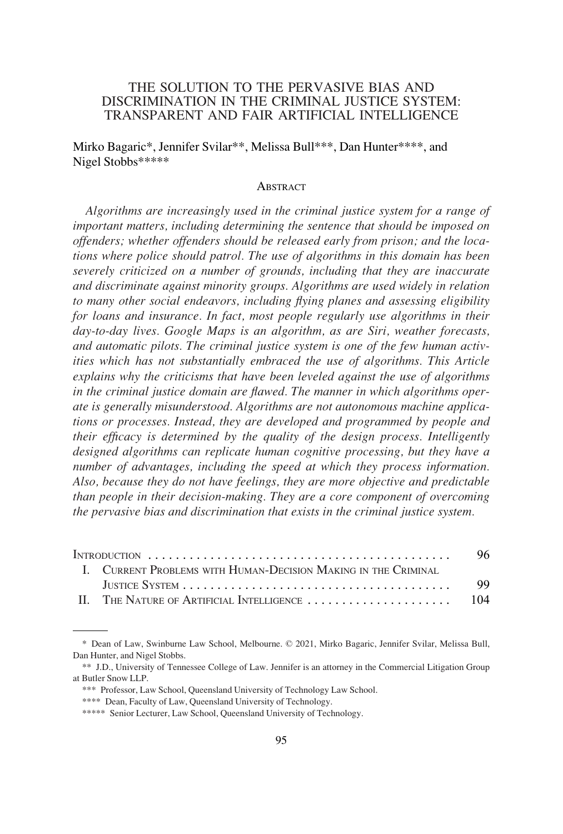# THE SOLUTION TO THE PERVASIVE BIAS AND DISCRIMINATION IN THE CRIMINAL JUSTICE SYSTEM: TRANSPARENT AND FAIR ARTIFICIAL INTELLIGENCE

Mirko Bagaric\*, Jennifer Svilar\*\*, Melissa Bull\*\*\*, Dan Hunter\*\*\*\*, and Nigel Stobbs\*\*\*\*\*

#### **ABSTRACT**

*Algorithms are increasingly used in the criminal justice system for a range of important matters, including determining the sentence that should be imposed on offenders; whether offenders should be released early from prison; and the locations where police should patrol. The use of algorithms in this domain has been severely criticized on a number of grounds, including that they are inaccurate and discriminate against minority groups. Algorithms are used widely in relation to many other social endeavors, including flying planes and assessing eligibility for loans and insurance. In fact, most people regularly use algorithms in their day-to-day lives. Google Maps is an algorithm, as are Siri, weather forecasts, and automatic pilots. The criminal justice system is one of the few human activities which has not substantially embraced the use of algorithms. This Article explains why the criticisms that have been leveled against the use of algorithms in the criminal justice domain are flawed. The manner in which algorithms operate is generally misunderstood. Algorithms are not autonomous machine applications or processes. Instead, they are developed and programmed by people and their efficacy is determined by the quality of the design process. Intelligently designed algorithms can replicate human cognitive processing, but they have a number of advantages, including the speed at which they process information. Also, because they do not have feelings, they are more objective and predictable than people in their decision-making. They are a core component of overcoming the pervasive bias and discrimination that exists in the criminal justice system.* 

|  |                                                                | 96.  |
|--|----------------------------------------------------------------|------|
|  | I. CURRENT PROBLEMS WITH HUMAN-DECISION MAKING IN THE CRIMINAL |      |
|  |                                                                | -99. |
|  |                                                                |      |

<sup>\*</sup> Dean of Law, Swinburne Law School, Melbourne. © 2021, Mirko Bagaric, Jennifer Svilar, Melissa Bull, Dan Hunter, and Nigel Stobbs.

<sup>\*\*</sup> J.D., University of Tennessee College of Law. Jennifer is an attorney in the Commercial Litigation Group at Butler Snow LLP.

<sup>\*\*\*</sup> Professor, Law School, Queensland University of Technology Law School.

<sup>\*\*\*\*</sup> Dean, Faculty of Law, Queensland University of Technology.

<sup>\*\*\*\*\*</sup> Senior Lecturer, Law School, Queensland University of Technology.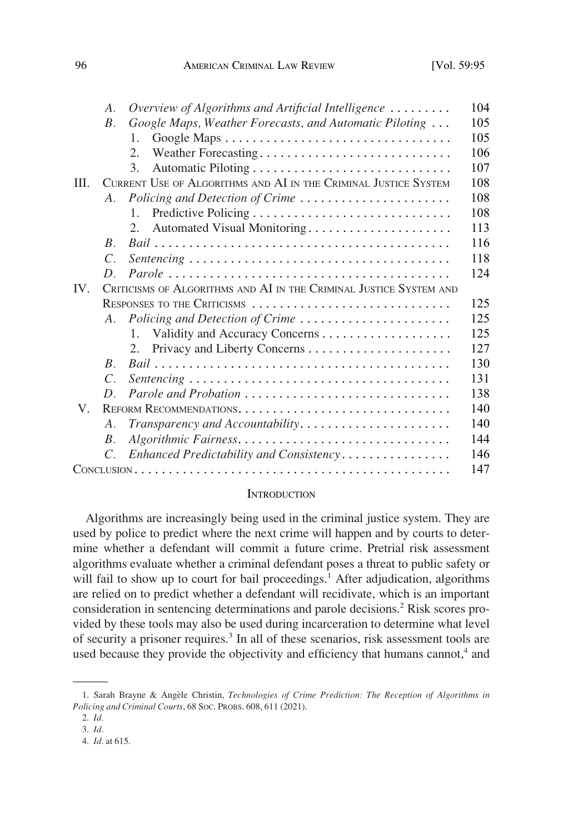<span id="page-1-0"></span>

|          | $A_{\cdot}$                                                        | Overview of Algorithms and Artificial Intelligence              | 104 |  |
|----------|--------------------------------------------------------------------|-----------------------------------------------------------------|-----|--|
|          | $B_{\cdot}$                                                        | Google Maps, Weather Forecasts, and Automatic Piloting          | 105 |  |
|          |                                                                    | 1.                                                              | 105 |  |
|          |                                                                    | Weather Forecasting<br>2.                                       | 106 |  |
|          |                                                                    | $\mathcal{E}$                                                   | 107 |  |
| III.     |                                                                    | CURRENT USE OF ALGORITHMS AND AI IN THE CRIMINAL JUSTICE SYSTEM | 108 |  |
|          | $A_{\cdot}$                                                        | Policing and Detection of Crime                                 | 108 |  |
|          |                                                                    | 1.                                                              | 108 |  |
|          |                                                                    | 2.<br>Automated Visual Monitoring                               | 113 |  |
|          | $\overline{B}$                                                     |                                                                 | 116 |  |
|          | $\overline{C}$                                                     |                                                                 | 118 |  |
|          | D.                                                                 |                                                                 | 124 |  |
| $IV_{-}$ | CRITICISMS OF ALGORITHMS AND AI IN THE CRIMINAL JUSTICE SYSTEM AND |                                                                 |     |  |
|          |                                                                    | RESPONSES TO THE CRITICISMS                                     | 125 |  |
|          | $A_{\cdot}$                                                        | Policing and Detection of Crime                                 | 125 |  |
|          |                                                                    | $1_{-}$                                                         | 125 |  |
|          |                                                                    |                                                                 | 127 |  |
|          | $\overline{B}$                                                     |                                                                 | 130 |  |
|          | $\mathcal{C}$ .                                                    |                                                                 | 131 |  |
|          | D                                                                  |                                                                 | 138 |  |
| V.       |                                                                    |                                                                 | 140 |  |
|          | А.                                                                 |                                                                 | 140 |  |
|          | В.                                                                 |                                                                 | 144 |  |
|          | $C_{\cdot}$                                                        | Enhanced Predictability and Consistency                         | 146 |  |
|          |                                                                    |                                                                 | 147 |  |
|          |                                                                    |                                                                 |     |  |

#### **INTRODUCTION**

Algorithms are increasingly being used in the criminal justice system. They are used by police to predict where the next crime will happen and by courts to determine whether a defendant will commit a future crime. Pretrial risk assessment algorithms evaluate whether a criminal defendant poses a threat to public safety or will fail to show up to court for bail proceedings.<sup>1</sup> After adjudication, algorithms are relied on to predict whether a defendant will recidivate, which is an important consideration in sentencing determinations and parole decisions.<sup>2</sup> Risk scores provided by these tools may also be used during incarceration to determine what level of security a prisoner requires.<sup>3</sup> In all of these scenarios, risk assessment tools are used because they provide the objectivity and efficiency that humans cannot, $4$  and

<sup>1.</sup> Sarah Brayne & Angèle Christin, *Technologies of Crime Prediction: The Reception of Algorithms in Policing and Criminal Courts*, 68 SOC. PROBS. 608, 611 (2021).

<sup>2.</sup> *Id.* 

<sup>3.</sup> *Id.* 

<sup>4.</sup> *Id.* at 615.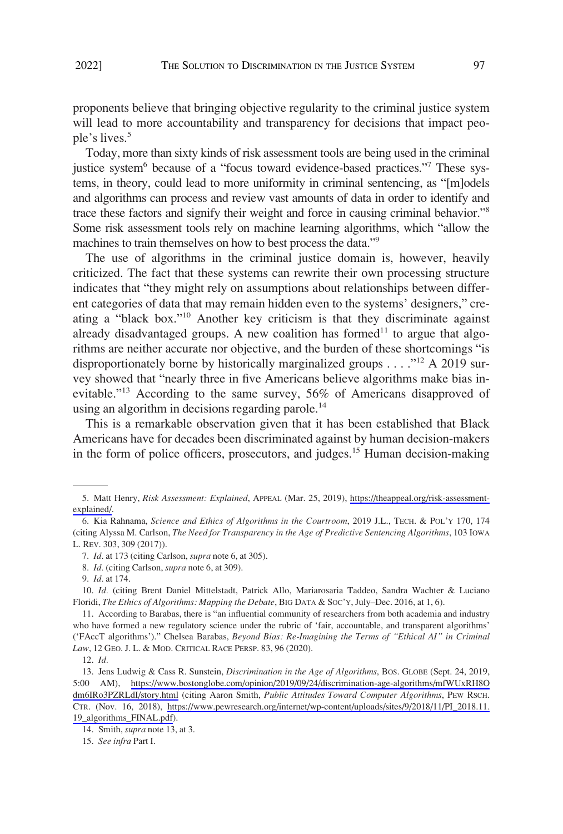proponents believe that bringing objective regularity to the criminal justice system will lead to more accountability and transparency for decisions that impact people's lives.<sup>5</sup>

Today, more than sixty kinds of risk assessment tools are being used in the criminal justice system<sup>6</sup> because of a "focus toward evidence-based practices."<sup>7</sup> These systems, in theory, could lead to more uniformity in criminal sentencing, as "[m]odels and algorithms can process and review vast amounts of data in order to identify and trace these factors and signify their weight and force in causing criminal behavior."<sup>8</sup> Some risk assessment tools rely on machine learning algorithms, which "allow the machines to train themselves on how to best process the data."<sup>9</sup>

The use of algorithms in the criminal justice domain is, however, heavily criticized. The fact that these systems can rewrite their own processing structure indicates that "they might rely on assumptions about relationships between different categories of data that may remain hidden even to the systems' designers," creating a "black box."10 Another key criticism is that they discriminate against already disadvantaged groups. A new coalition has formed $11$  to argue that algorithms are neither accurate nor objective, and the burden of these shortcomings "is disproportionately borne by historically marginalized groups . . . .  $12$  A 2019 survey showed that "nearly three in five Americans believe algorithms make bias inevitable."<sup>13</sup> According to the same survey, 56% of Americans disapproved of using an algorithm in decisions regarding parole.<sup>14</sup>

This is a remarkable observation given that it has been established that Black Americans have for decades been discriminated against by human decision-makers in the form of police officers, prosecutors, and judges.<sup>15</sup> Human decision-making

<sup>5.</sup> Matt Henry, *Risk Assessment: Explained*, APPEAL (Mar. 25, 2019), [https://theappeal.org/risk-assessment](https://theappeal.org/risk-assessment-explained/)[explained/](https://theappeal.org/risk-assessment-explained/).

<sup>6.</sup> Kia Rahnama, *Science and Ethics of Algorithms in the Courtroom*, 2019 J.L., TECH. & POL'Y 170, 174 (citing Alyssa M. Carlson, *The Need for Transparency in the Age of Predictive Sentencing Algorithms*, 103 IOWA L. REV. 303, 309 (2017)).

<sup>7.</sup> *Id.* at 173 (citing Carlson, *supra* note 6, at 305).

<sup>8.</sup> *Id.* (citing Carlson, *supra* note 6, at 309).

<sup>9.</sup> *Id.* at 174.

<sup>10.</sup> *Id.* (citing Brent Daniel Mittelstadt, Patrick Allo, Mariarosaria Taddeo, Sandra Wachter & Luciano Floridi, *The Ethics of Algorithms: Mapping the Debate*, BIG DATA & SOC'Y, July–Dec. 2016, at 1, 6).

<sup>11.</sup> According to Barabas, there is "an influential community of researchers from both academia and industry who have formed a new regulatory science under the rubric of 'fair, accountable, and transparent algorithms' ('FAccT algorithms')." Chelsea Barabas, *Beyond Bias: Re-Imagining the Terms of "Ethical AI" in Criminal Law*, 12 GEO. J. L. & MOD. CRITICAL RACE PERSP. 83, 96 (2020).

<sup>12.</sup> *Id.* 

<sup>13.</sup> Jens Ludwig & Cass R. Sunstein, *Discrimination in the Age of Algorithms*, Bos. GLOBE (Sept. 24, 2019, 5:00 AM), [https://www.bostonglobe.com/opinion/2019/09/24/discrimination-age-algorithms/mfWUxRH8O](https://www.bostonglobe.com/opinion/2019/09/24/discrimination-age-algorithms/mfWUxRH8Odm6IRo3PZRLdI/story.html) [dm6IRo3PZRLdI/story.html](https://www.bostonglobe.com/opinion/2019/09/24/discrimination-age-algorithms/mfWUxRH8Odm6IRo3PZRLdI/story.html) (citing Aaron Smith, *Public Attitudes Toward Computer Algorithms*, PEW RSCH. CTR. (Nov. 16, 2018), [https://www.pewresearch.org/internet/wp-content/uploads/sites/9/2018/11/PI\\_2018.11.](https://www.pewresearch.org/internet/wp-content/uploads/sites/9/2018/11/PI_2018.11.19_algorithms_FINAL.pdf) [19\\_algorithms\\_FINAL.pdf](https://www.pewresearch.org/internet/wp-content/uploads/sites/9/2018/11/PI_2018.11.19_algorithms_FINAL.pdf)).

<sup>14.</sup> Smith, *supra* note 13, at 3.

<sup>15.</sup> *See infra* Part I.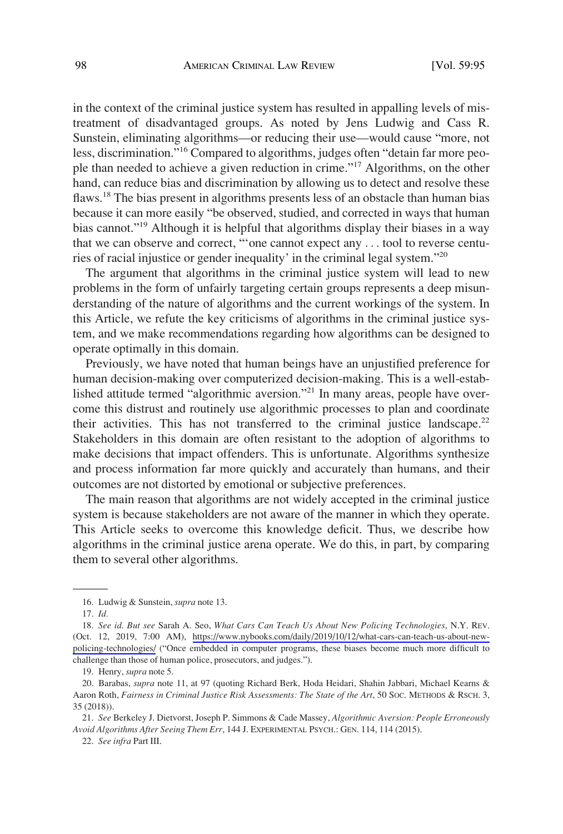in the context of the criminal justice system has resulted in appalling levels of mistreatment of disadvantaged groups. As noted by Jens Ludwig and Cass R. Sunstein, eliminating algorithms—or reducing their use—would cause "more, not less, discrimination."16 Compared to algorithms, judges often "detain far more people than needed to achieve a given reduction in crime."17 Algorithms, on the other hand, can reduce bias and discrimination by allowing us to detect and resolve these flaws.<sup>18</sup> The bias present in algorithms presents less of an obstacle than human bias because it can more easily "be observed, studied, and corrected in ways that human bias cannot."19 Although it is helpful that algorithms display their biases in a way that we can observe and correct, "'one cannot expect any . . . tool to reverse centuries of racial injustice or gender inequality' in the criminal legal system."<sup>20</sup>

The argument that algorithms in the criminal justice system will lead to new problems in the form of unfairly targeting certain groups represents a deep misunderstanding of the nature of algorithms and the current workings of the system. In this Article, we refute the key criticisms of algorithms in the criminal justice system, and we make recommendations regarding how algorithms can be designed to operate optimally in this domain.

Previously, we have noted that human beings have an unjustified preference for human decision-making over computerized decision-making. This is a well-established attitude termed "algorithmic aversion."21 In many areas, people have overcome this distrust and routinely use algorithmic processes to plan and coordinate their activities. This has not transferred to the criminal justice landscape.<sup>22</sup> Stakeholders in this domain are often resistant to the adoption of algorithms to make decisions that impact offenders. This is unfortunate. Algorithms synthesize and process information far more quickly and accurately than humans, and their outcomes are not distorted by emotional or subjective preferences.

The main reason that algorithms are not widely accepted in the criminal justice system is because stakeholders are not aware of the manner in which they operate. This Article seeks to overcome this knowledge deficit. Thus, we describe how algorithms in the criminal justice arena operate. We do this, in part, by comparing them to several other algorithms.

<sup>16.</sup> Ludwig & Sunstein, *supra* note 13.

<sup>17.</sup> *Id.* 

*See id*. *But see* Sarah A. Seo, *What Cars Can Teach Us About New Policing Technologies*, N.Y. REV. 18. (Oct. 12, 2019, 7:00 AM), [https://www.nybooks.com/daily/2019/10/12/what-cars-can-teach-us-about-new](https://www.nybooks.com/daily/2019/10/12/what-cars-can-teach-us-about-new-policing-technologies/)[policing-technologies/](https://www.nybooks.com/daily/2019/10/12/what-cars-can-teach-us-about-new-policing-technologies/) ("Once embedded in computer programs, these biases become much more difficult to challenge than those of human police, prosecutors, and judges.").

<sup>19.</sup> Henry, *supra* note 5.

<sup>20.</sup> Barabas, *supra* note 11, at 97 (quoting Richard Berk, Hoda Heidari, Shahin Jabbari, Michael Kearns & Aaron Roth, *Fairness in Criminal Justice Risk Assessments: The State of the Art*, 50 SOC. METHODS & RSCH. 3, 35 (2018)).

<sup>21.</sup> *See* Berkeley J. Dietvorst, Joseph P. Simmons & Cade Massey, *Algorithmic Aversion: People Erroneously Avoid Algorithms After Seeing Them Err*, 144 J. EXPERIMENTAL PSYCH.: GEN. 114, 114 (2015).

<sup>22.</sup> *See infra* Part III.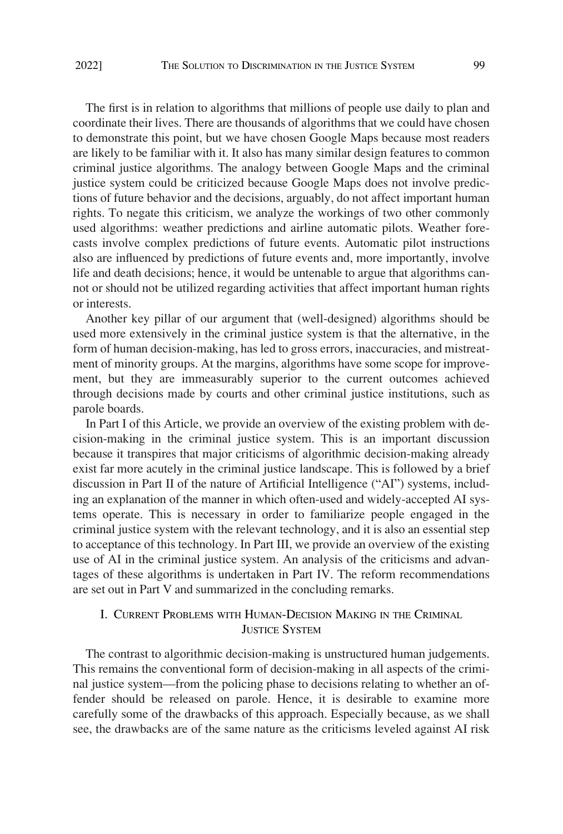<span id="page-4-0"></span>The first is in relation to algorithms that millions of people use daily to plan and coordinate their lives. There are thousands of algorithms that we could have chosen to demonstrate this point, but we have chosen Google Maps because most readers are likely to be familiar with it. It also has many similar design features to common criminal justice algorithms. The analogy between Google Maps and the criminal justice system could be criticized because Google Maps does not involve predictions of future behavior and the decisions, arguably, do not affect important human rights. To negate this criticism, we analyze the workings of two other commonly used algorithms: weather predictions and airline automatic pilots. Weather forecasts involve complex predictions of future events. Automatic pilot instructions also are influenced by predictions of future events and, more importantly, involve life and death decisions; hence, it would be untenable to argue that algorithms cannot or should not be utilized regarding activities that affect important human rights or interests.

Another key pillar of our argument that (well-designed) algorithms should be used more extensively in the criminal justice system is that the alternative, in the form of human decision-making, has led to gross errors, inaccuracies, and mistreatment of minority groups. At the margins, algorithms have some scope for improvement, but they are immeasurably superior to the current outcomes achieved through decisions made by courts and other criminal justice institutions, such as parole boards.

In Part I of this Article, we provide an overview of the existing problem with decision-making in the criminal justice system. This is an important discussion because it transpires that major criticisms of algorithmic decision-making already exist far more acutely in the criminal justice landscape. This is followed by a brief discussion in Part II of the nature of Artificial Intelligence ("AI") systems, including an explanation of the manner in which often-used and widely-accepted AI systems operate. This is necessary in order to familiarize people engaged in the criminal justice system with the relevant technology, and it is also an essential step to acceptance of this technology. In Part III, we provide an overview of the existing use of AI in the criminal justice system. An analysis of the criticisms and advantages of these algorithms is undertaken in Part IV. The reform recommendations are set out in Part V and summarized in the concluding remarks.

# I. CURRENT PROBLEMS WITH HUMAN-DECISION MAKING IN THE CRIMINAL **JUSTICE SYSTEM**

The contrast to algorithmic decision-making is unstructured human judgements. This remains the conventional form of decision-making in all aspects of the criminal justice system—from the policing phase to decisions relating to whether an offender should be released on parole. Hence, it is desirable to examine more carefully some of the drawbacks of this approach. Especially because, as we shall see, the drawbacks are of the same nature as the criticisms leveled against AI risk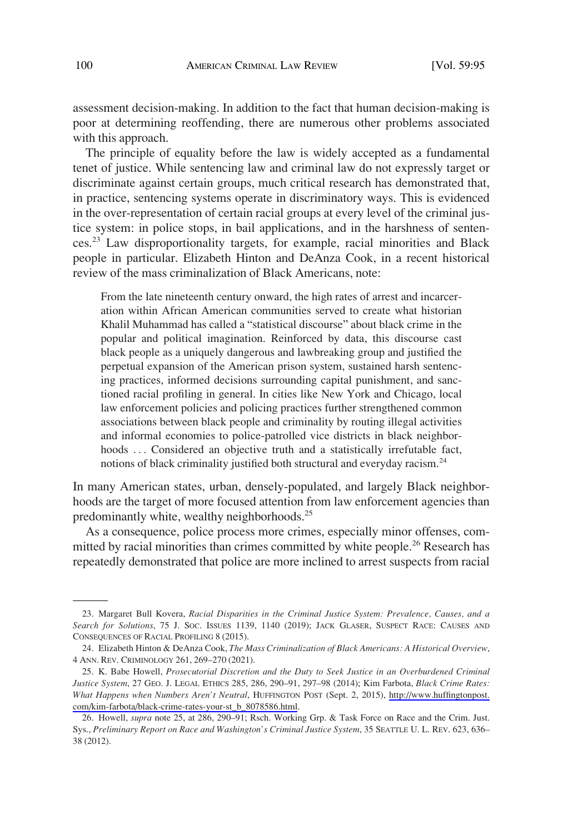assessment decision-making. In addition to the fact that human decision-making is poor at determining reoffending, there are numerous other problems associated with this approach.

The principle of equality before the law is widely accepted as a fundamental tenet of justice. While sentencing law and criminal law do not expressly target or discriminate against certain groups, much critical research has demonstrated that, in practice, sentencing systems operate in discriminatory ways. This is evidenced in the over-representation of certain racial groups at every level of the criminal justice system: in police stops, in bail applications, and in the harshness of sentences.23 Law disproportionality targets, for example, racial minorities and Black people in particular. Elizabeth Hinton and DeAnza Cook, in a recent historical review of the mass criminalization of Black Americans, note:

From the late nineteenth century onward, the high rates of arrest and incarceration within African American communities served to create what historian Khalil Muhammad has called a "statistical discourse" about black crime in the popular and political imagination. Reinforced by data, this discourse cast black people as a uniquely dangerous and lawbreaking group and justified the perpetual expansion of the American prison system, sustained harsh sentencing practices, informed decisions surrounding capital punishment, and sanctioned racial profiling in general. In cities like New York and Chicago, local law enforcement policies and policing practices further strengthened common associations between black people and criminality by routing illegal activities and informal economies to police-patrolled vice districts in black neighborhoods ... Considered an objective truth and a statistically irrefutable fact, notions of black criminality justified both structural and everyday racism.<sup>24</sup>

In many American states, urban, densely-populated, and largely Black neighborhoods are the target of more focused attention from law enforcement agencies than predominantly white, wealthy neighborhoods.25

As a consequence, police process more crimes, especially minor offenses, committed by racial minorities than crimes committed by white people.<sup>26</sup> Research has repeatedly demonstrated that police are more inclined to arrest suspects from racial

<sup>23.</sup> Margaret Bull Kovera, *Racial Disparities in the Criminal Justice System: Prevalence, Causes, and a Search for Solutions*, 75 J. SOC. ISSUES 1139, 1140 (2019); JACK GLASER, SUSPECT RACE: CAUSES AND CONSEQUENCES OF RACIAL PROFILING 8 (2015).

<sup>24.</sup> Elizabeth Hinton & DeAnza Cook, *The Mass Criminalization of Black Americans: A Historical Overview*, 4 ANN. REV. CRIMINOLOGY 261, 269–270 (2021).

<sup>25.</sup> K. Babe Howell, Prosecutorial Discretion and the Duty to Seek Justice in an Overburdened Criminal *Justice System*, 27 GEO. J. LEGAL ETHICS 285, 286, 290–91, 297–98 (2014); Kim Farbota, *Black Crime Rates: What Happens when Numbers Aren't Neutral*, HUFFINGTON POST (Sept. 2, 2015), [http://www.huffingtonpost.](http://www.huffingtonpost.com/kim-farbota/black-crime-rates-your-st_b_8078586.html)  [com/kim-farbota/black-crime-rates-your-st\\_b\\_8078586.html](http://www.huffingtonpost.com/kim-farbota/black-crime-rates-your-st_b_8078586.html).

<sup>26.</sup> Howell, *supra* note 25, at 286, 290–91; Rsch. Working Grp. & Task Force on Race and the Crim. Just. Sys., *Preliminary Report on Race and Washington's Criminal Justice System*, 35 SEATTLE U. L. REV. 623, 636– 38 (2012).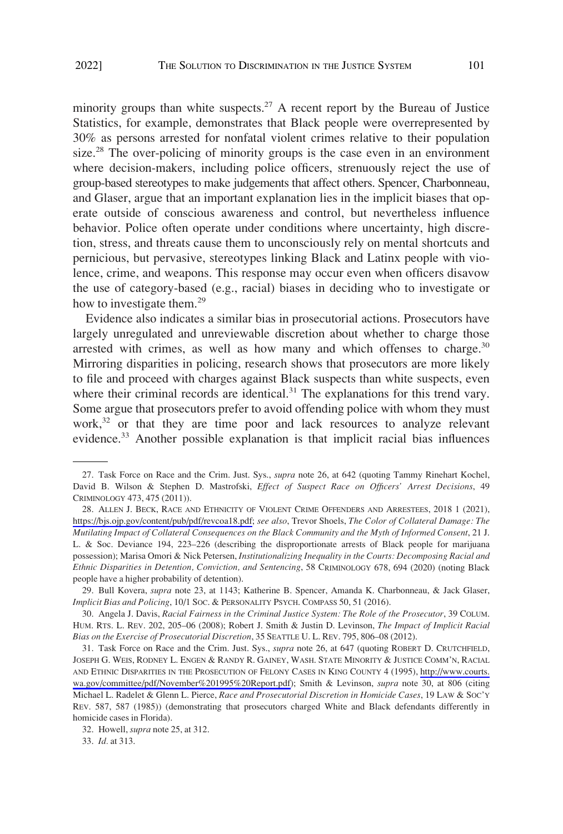minority groups than white suspects.<sup>27</sup> A recent report by the Bureau of Justice Statistics, for example, demonstrates that Black people were overrepresented by 30% as persons arrested for nonfatal violent crimes relative to their population size.<sup>28</sup> The over-policing of minority groups is the case even in an environment where decision-makers, including police officers, strenuously reject the use of group-based stereotypes to make judgements that affect others. Spencer, Charbonneau, and Glaser, argue that an important explanation lies in the implicit biases that operate outside of conscious awareness and control, but nevertheless influence behavior. Police often operate under conditions where uncertainty, high discretion, stress, and threats cause them to unconsciously rely on mental shortcuts and pernicious, but pervasive, stereotypes linking Black and Latinx people with violence, crime, and weapons. This response may occur even when officers disavow the use of category-based (e.g., racial) biases in deciding who to investigate or how to investigate them.<sup>29</sup>

Evidence also indicates a similar bias in prosecutorial actions. Prosecutors have largely unregulated and unreviewable discretion about whether to charge those arrested with crimes, as well as how many and which offenses to charge. $30$ Mirroring disparities in policing, research shows that prosecutors are more likely to file and proceed with charges against Black suspects than white suspects, even where their criminal records are identical. $31$  The explanations for this trend vary. Some argue that prosecutors prefer to avoid offending police with whom they must  $work<sup>32</sup>$  or that they are time poor and lack resources to analyze relevant evidence.<sup>33</sup> Another possible explanation is that implicit racial bias influences

32. Howell, *supra* note 25, at 312.

33. *Id.* at 313.

<sup>27.</sup> Task Force on Race and the Crim. Just. Sys., *supra* note 26, at 642 (quoting Tammy Rinehart Kochel, David B. Wilson & Stephen D. Mastrofski, *Effect of Suspect Race on Officers' Arrest Decisions*, 49 CRIMINOLOGY 473, 475 (2011)).

<sup>28.</sup> ALLEN J. BECK, RACE AND ETHNICITY OF VIOLENT CRIME OFFENDERS AND ARRESTEES, 2018 1 (2021), [https://bjs.ojp.gov/content/pub/pdf/revcoa18.pdf;](https://bjs.ojp.gov/content/pub/pdf/revcoa18.pdf) *see also*, Trevor Shoels, *The Color of Collateral Damage: The Mutilating Impact of Collateral Consequences on the Black Community and the Myth of Informed Consent*, 21 J. L. & Soc. Deviance 194, 223–226 (describing the disproportionate arrests of Black people for marijuana possession); Marisa Omori & Nick Petersen, *Institutionalizing Inequality in the Courts: Decomposing Racial and Ethnic Disparities in Detention, Conviction, and Sentencing*, 58 CRIMINOLOGY 678, 694 (2020) (noting Black people have a higher probability of detention).

<sup>29.</sup> Bull Kovera, *supra* note 23, at 1143; Katherine B. Spencer, Amanda K. Charbonneau, & Jack Glaser, *Implicit Bias and Policing*, 10/1 SOC. & PERSONALITY PSYCH. COMPASS 50, 51 (2016).

<sup>30.</sup> Angela J. Davis, *Racial Fairness in the Criminal Justice System: The Role of the Prosecutor*, 39 COLUM. HUM. RTS. L. REV. 202, 205–06 (2008); Robert J. Smith & Justin D. Levinson, *The Impact of Implicit Racial Bias on the Exercise of Prosecutorial Discretion*, 35 SEATTLE U. L. REV. 795, 806–08 (2012).

<sup>31.</sup> Task Force on Race and the Crim. Just. Sys., *supra* note 26, at 647 (quoting ROBERT D. CRUTCHFIELD, JOSEPH G. WEIS, RODNEY L. ENGEN & RANDY R. GAINEY, WASH. STATE MINORITY & JUSTICE COMM'N, RACIAL AND ETHNIC DISPARITIES IN THE PROSECUTION OF FELONY CASES IN KING COUNTY 4 (1995), [http://www.courts.](http://www.courts.wa.gov/committee/pdf/November&hx0025;201995&hx0025;20Report.pdf) [wa.gov/committee/pdf/November%201995%20Report.pdf\)](http://www.courts.wa.gov/committee/pdf/November&hx0025;201995&hx0025;20Report.pdf); Smith & Levinson, *supra* note 30, at 806 (citing Michael L. Radelet & Glenn L. Pierce, *Race and Prosecutorial Discretion in Homicide Cases*, 19 LAW & SOC'Y REV. 587, 587 (1985)) (demonstrating that prosecutors charged White and Black defendants differently in homicide cases in Florida).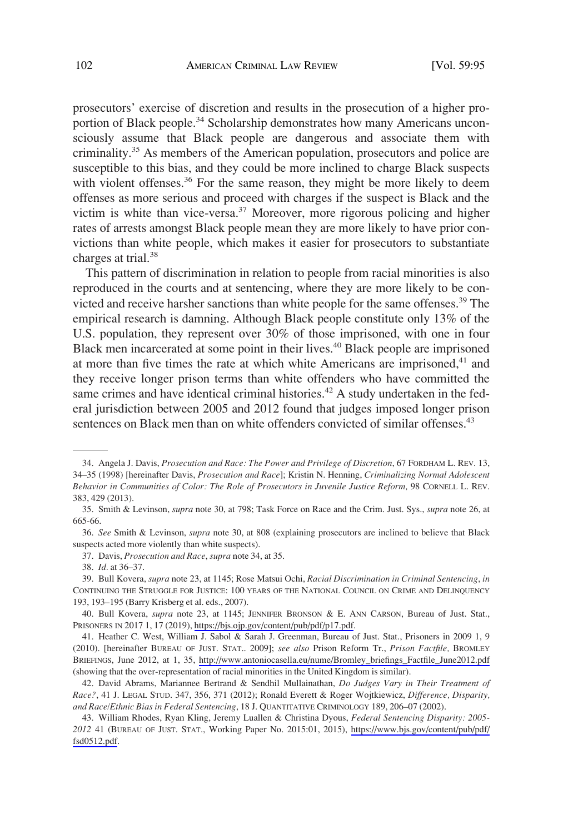prosecutors' exercise of discretion and results in the prosecution of a higher proportion of Black people.<sup>34</sup> Scholarship demonstrates how many Americans unconsciously assume that Black people are dangerous and associate them with criminality.35 As members of the American population, prosecutors and police are susceptible to this bias, and they could be more inclined to charge Black suspects with violent offenses.<sup>36</sup> For the same reason, they might be more likely to deem offenses as more serious and proceed with charges if the suspect is Black and the victim is white than vice-versa.<sup>37</sup> Moreover, more rigorous policing and higher rates of arrests amongst Black people mean they are more likely to have prior convictions than white people, which makes it easier for prosecutors to substantiate charges at trial.<sup>38</sup>

This pattern of discrimination in relation to people from racial minorities is also reproduced in the courts and at sentencing, where they are more likely to be convicted and receive harsher sanctions than white people for the same offenses.<sup>39</sup> The empirical research is damning. Although Black people constitute only 13% of the U.S. population, they represent over 30% of those imprisoned, with one in four Black men incarcerated at some point in their lives.<sup>40</sup> Black people are imprisoned at more than five times the rate at which white Americans are imprisoned,<sup>41</sup> and they receive longer prison terms than white offenders who have committed the same crimes and have identical criminal histories.<sup>42</sup> A study undertaken in the federal jurisdiction between 2005 and 2012 found that judges imposed longer prison sentences on Black men than on white offenders convicted of similar offenses.<sup>43</sup>

<sup>34.</sup> Angela J. Davis, *Prosecution and Race: The Power and Privilege of Discretion*, 67 FORDHAM L. REV. 13, 34–35 (1998) [hereinafter Davis, *Prosecution and Race*]; Kristin N. Henning, *Criminalizing Normal Adolescent Behavior in Communities of Color: The Role of Prosecutors in Juvenile Justice Reform,* 98 CORNELL L. REV. 383, 429 (2013).

<sup>35.</sup> Smith & Levinson, *supra* note 30, at 798; Task Force on Race and the Crim. Just. Sys., *supra* note 26, at 665-66.

<sup>36.</sup> *See* Smith & Levinson, *supra* note 30, at 808 (explaining prosecutors are inclined to believe that Black suspects acted more violently than white suspects).

<sup>37.</sup> Davis, *Prosecution and Race*, *supra* note 34, at 35.

<sup>38.</sup> *Id.* at 36–37.

<sup>39.</sup> Bull Kovera, *supra* note 23, at 1145; Rose Matsui Ochi, *Racial Discrimination in Criminal Sentencing*, *in*  CONTINUING THE STRUGGLE FOR JUSTICE: 100 YEARS OF THE NATIONAL COUNCIL ON CRIME AND DELINQUENCY 193, 193–195 (Barry Krisberg et al. eds., 2007).

<sup>40.</sup> Bull Kovera, *supra* note 23, at 1145; JENNIFER BRONSON & E. ANN CARSON, Bureau of Just. Stat., PRISONERS IN 2017 1, 17 (2019),<https://bjs.ojp.gov/content/pub/pdf/p17.pdf>.

<sup>41.</sup> Heather C. West, William J. Sabol & Sarah J. Greenman, Bureau of Just. Stat., Prisoners in 2009 1, 9 (2010). [hereinafter BUREAU OF JUST. STAT.. 2009]; *see also* Prison Reform Tr., *Prison Factfile,* BROMLEY BRIEFINGS, June 2012, at 1, 35, [http://www.antoniocasella.eu/nume/Bromley\\_briefings\\_Factfile\\_June2012.pdf](http://www.antoniocasella.eu/nume/Bromley_briefings_Factfile_June2012.pdf) (showing that the over-representation of racial minorities in the United Kingdom is similar).

<sup>42.</sup> David Abrams, Mariannee Bertrand & Sendhil Mullainathan, *Do Judges Vary in Their Treatment of Race?*, 41 J. LEGAL STUD. 347, 356, 371 (2012); Ronald Everett & Roger Wojtkiewicz, *Difference, Disparity, and Race/Ethnic Bias in Federal Sentencing*, 18 J. QUANTITATIVE CRIMINOLOGY 189, 206–07 (2002).

William Rhodes, Ryan Kling, Jeremy Luallen & Christina Dyous, *Federal Sentencing Disparity: 2005-*  43. *2012* 41 (BUREAU OF JUST. STAT., Working Paper No. 2015:01, 2015), [https://www.bjs.gov/content/pub/pdf/](https://www.bjs.gov/content/pub/pdf/fsd0512.pdf) [fsd0512.pdf](https://www.bjs.gov/content/pub/pdf/fsd0512.pdf).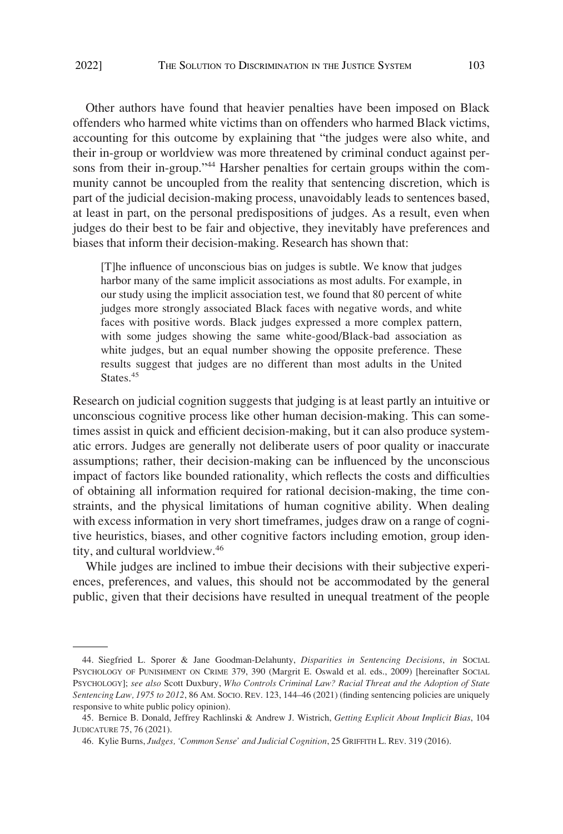Other authors have found that heavier penalties have been imposed on Black offenders who harmed white victims than on offenders who harmed Black victims, accounting for this outcome by explaining that "the judges were also white, and their in-group or worldview was more threatened by criminal conduct against persons from their in-group."<sup>44</sup> Harsher penalties for certain groups within the community cannot be uncoupled from the reality that sentencing discretion, which is part of the judicial decision-making process, unavoidably leads to sentences based, at least in part, on the personal predispositions of judges. As a result, even when judges do their best to be fair and objective, they inevitably have preferences and biases that inform their decision-making. Research has shown that:

[T]he influence of unconscious bias on judges is subtle. We know that judges harbor many of the same implicit associations as most adults. For example, in our study using the implicit association test, we found that 80 percent of white judges more strongly associated Black faces with negative words, and white faces with positive words. Black judges expressed a more complex pattern, with some judges showing the same white-good/Black-bad association as white judges, but an equal number showing the opposite preference. These results suggest that judges are no different than most adults in the United States.<sup>45</sup>

Research on judicial cognition suggests that judging is at least partly an intuitive or unconscious cognitive process like other human decision-making. This can sometimes assist in quick and efficient decision-making, but it can also produce systematic errors. Judges are generally not deliberate users of poor quality or inaccurate assumptions; rather, their decision-making can be influenced by the unconscious impact of factors like bounded rationality, which reflects the costs and difficulties of obtaining all information required for rational decision-making, the time constraints, and the physical limitations of human cognitive ability. When dealing with excess information in very short timeframes, judges draw on a range of cognitive heuristics, biases, and other cognitive factors including emotion, group identity, and cultural worldview.46

While judges are inclined to imbue their decisions with their subjective experiences, preferences, and values, this should not be accommodated by the general public, given that their decisions have resulted in unequal treatment of the people

<sup>44.</sup> Siegfried L. Sporer & Jane Goodman-Delahunty, *Disparities in Sentencing Decisions*, *in* SOCIAL PSYCHOLOGY OF PUNISHMENT ON CRIME 379, 390 (Margrit E. Oswald et al. eds., 2009) [hereinafter SOCIAL PSYCHOLOGY]; *see also* Scott Duxbury, *Who Controls Criminal Law? Racial Threat and the Adoption of State Sentencing Law, 1975 to 2012*, 86 AM. SOCIO. REV. 123, 144–46 (2021) (finding sentencing policies are uniquely responsive to white public policy opinion).

<sup>45.</sup> Bernice B. Donald, Jeffrey Rachlinski & Andrew J. Wistrich, *Getting Explicit About Implicit Bias*, 104 JUDICATURE 75, 76 (2021).

<sup>46.</sup> Kylie Burns, *Judges, 'Common Sense' and Judicial Cognition*, 25 GRIFFITH L. REV. 319 (2016).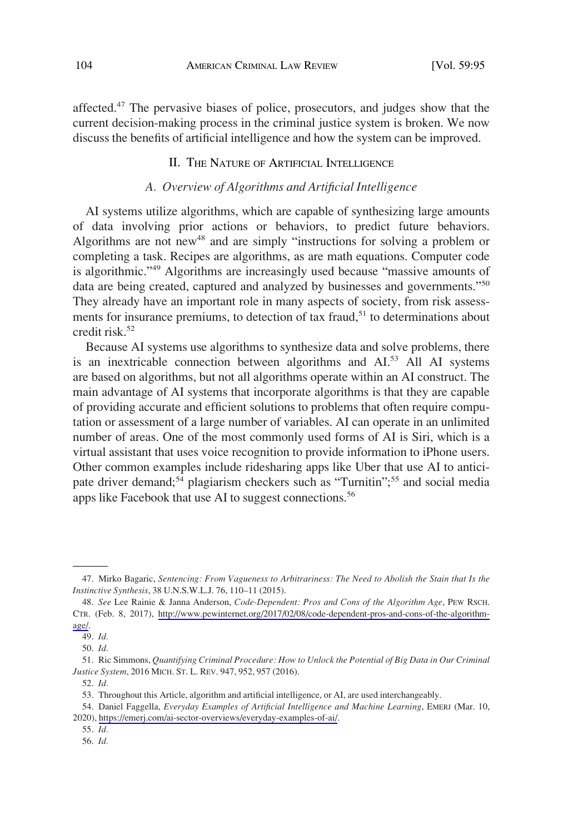<span id="page-9-0"></span>affected.47 The pervasive biases of police, prosecutors, and judges show that the current decision-making process in the criminal justice system is broken. We now discuss the benefits of artificial intelligence and how the system can be improved.

# II. THE NATURE OF ARTIFICIAL INTELLIGENCE

# *A. Overview of Algorithms and Artificial Intelligence*

AI systems utilize algorithms, which are capable of synthesizing large amounts of data involving prior actions or behaviors, to predict future behaviors. Algorithms are not new<sup>48</sup> and are simply "instructions for solving a problem or completing a task. Recipes are algorithms, as are math equations. Computer code is algorithmic."<sup>49</sup> Algorithms are increasingly used because "massive amounts of data are being created, captured and analyzed by businesses and governments."<sup>50</sup> They already have an important role in many aspects of society, from risk assessments for insurance premiums, to detection of tax fraud, $51$  to determinations about credit risk.<sup>52</sup>

Because AI systems use algorithms to synthesize data and solve problems, there is an inextricable connection between algorithms and  $AI^{53}$  All AI systems are based on algorithms, but not all algorithms operate within an AI construct. The main advantage of AI systems that incorporate algorithms is that they are capable of providing accurate and efficient solutions to problems that often require computation or assessment of a large number of variables. AI can operate in an unlimited number of areas. One of the most commonly used forms of AI is Siri, which is a virtual assistant that uses voice recognition to provide information to iPhone users. Other common examples include ridesharing apps like Uber that use AI to anticipate driver demand;<sup>54</sup> plagiarism checkers such as "Turnitin";<sup>55</sup> and social media apps like Facebook that use AI to suggest connections.<sup>56</sup>

<sup>47.</sup> Mirko Bagaric, *Sentencing: From Vagueness to Arbitrariness: The Need to Abolish the Stain that Is the Instinctive Synthesis*, 38 U.N.S.W.L.J. 76, 110–11 (2015).

*See* Lee Rainie & Janna Anderson, *Code-Dependent: Pros and Cons of the Algorithm Age*, PEW RSCH. 48. CTR. (Feb. 8, 2017), [http://www.pewinternet.org/2017/02/08/code-dependent-pros-and-cons-of-the-algorithm](http://www.pewinternet.org/2017/02/08/code-dependent-pros-and-cons-of-the-algorithm-age/)[age/](http://www.pewinternet.org/2017/02/08/code-dependent-pros-and-cons-of-the-algorithm-age/).

<sup>49.</sup> *Id.* 

<sup>50.</sup> *Id.* 

<sup>51.</sup> Ric Simmons, *Quantifying Criminal Procedure: How to Unlock the Potential of Big Data in Our Criminal Justice System*, 2016 MICH. ST. L. REV. 947, 952, 957 (2016).

<sup>52.</sup> *Id.* 

<sup>53.</sup> Throughout this Article, algorithm and artificial intelligence, or AI, are used interchangeably.

<sup>54.</sup> Daniel Faggella, *Everyday Examples of Artificial Intelligence and Machine Learning*, EMERJ (Mar. 10, 2020),<https://emerj.com/ai-sector-overviews/everyday-examples-of-ai/>.

<sup>55.</sup> *Id.* 

<sup>56.</sup> *Id.*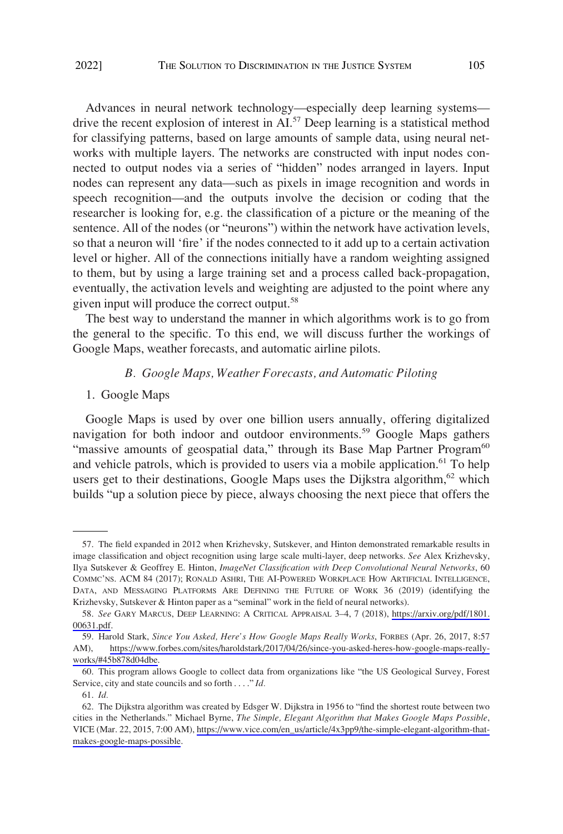<span id="page-10-0"></span>Advances in neural network technology—especially deep learning systems drive the recent explosion of interest in AI.<sup>57</sup> Deep learning is a statistical method for classifying patterns, based on large amounts of sample data, using neural networks with multiple layers. The networks are constructed with input nodes connected to output nodes via a series of "hidden" nodes arranged in layers. Input nodes can represent any data—such as pixels in image recognition and words in speech recognition—and the outputs involve the decision or coding that the researcher is looking for, e.g. the classification of a picture or the meaning of the sentence. All of the nodes (or "neurons") within the network have activation levels, so that a neuron will 'fire' if the nodes connected to it add up to a certain activation level or higher. All of the connections initially have a random weighting assigned to them, but by using a large training set and a process called back-propagation, eventually, the activation levels and weighting are adjusted to the point where any given input will produce the correct output.<sup>58</sup>

The best way to understand the manner in which algorithms work is to go from the general to the specific. To this end, we will discuss further the workings of Google Maps, weather forecasts, and automatic airline pilots.

#### *B. Google Maps, Weather Forecasts, and Automatic Piloting*

#### 1. Google Maps

Google Maps is used by over one billion users annually, offering digitalized navigation for both indoor and outdoor environments.<sup>59</sup> Google Maps gathers "massive amounts of geospatial data," through its Base Map Partner Program<sup>60</sup> and vehicle patrols, which is provided to users via a mobile application.<sup>61</sup> To help users get to their destinations, Google Maps uses the Dijkstra algorithm,<sup>62</sup> which builds "up a solution piece by piece, always choosing the next piece that offers the

<sup>57.</sup> The field expanded in 2012 when Krizhevsky, Sutskever, and Hinton demonstrated remarkable results in image classification and object recognition using large scale multi-layer, deep networks. *See* Alex Krizhevsky, Ilya Sutskever & Geoffrey E. Hinton, *ImageNet Classification with Deep Convolutional Neural Networks*, 60 COMMC'NS. ACM 84 (2017); RONALD ASHRI, THE AI-POWERED WORKPLACE HOW ARTIFICIAL INTELLIGENCE, DATA, AND MESSAGING PLATFORMS ARE DEFINING THE FUTURE OF WORK 36 (2019) (identifying the Krizhevsky, Sutskever & Hinton paper as a "seminal" work in the field of neural networks).

<sup>58.</sup> See GARY MARCUS, DEEP LEARNING: A CRITICAL APPRAISAL 3-4, 7 (2018), [https://arxiv.org/pdf/1801.](https://arxiv.org/pdf/1801.00631.pdf) [00631.pdf.](https://arxiv.org/pdf/1801.00631.pdf)

<sup>59.</sup> Harold Stark, *Since You Asked, Here's How Google Maps Really Works*, FORBES (Apr. 26, 2017, 8:57 AM), [https://www.forbes.com/sites/haroldstark/2017/04/26/since-you-asked-heres-how-google-maps-really](https://www.forbes.com/sites/haroldstark/2017/04/26/since-you-asked-heres-how-google-maps-really-works/#45b878d04dbe)[works/#45b878d04dbe](https://www.forbes.com/sites/haroldstark/2017/04/26/since-you-asked-heres-how-google-maps-really-works/#45b878d04dbe).

<sup>60.</sup> This program allows Google to collect data from organizations like "the US Geological Survey, Forest Service, city and state councils and so forth . . . ." *Id.* 

<sup>61.</sup> *Id.* 

<sup>62.</sup> The Dijkstra algorithm was created by Edsger W. Dijkstra in 1956 to "find the shortest route between two cities in the Netherlands." Michael Byrne, *The Simple, Elegant Algorithm that Makes Google Maps Possible*, VICE (Mar. 22, 2015, 7:00 AM), [https://www.vice.com/en\\_us/article/4x3pp9/the-simple-elegant-algorithm-that](https://www.vice.com/en_us/article/4x3pp9/the-simple-elegant-algorithm-that-makes-google-maps-possible)[makes-google-maps-possible](https://www.vice.com/en_us/article/4x3pp9/the-simple-elegant-algorithm-that-makes-google-maps-possible).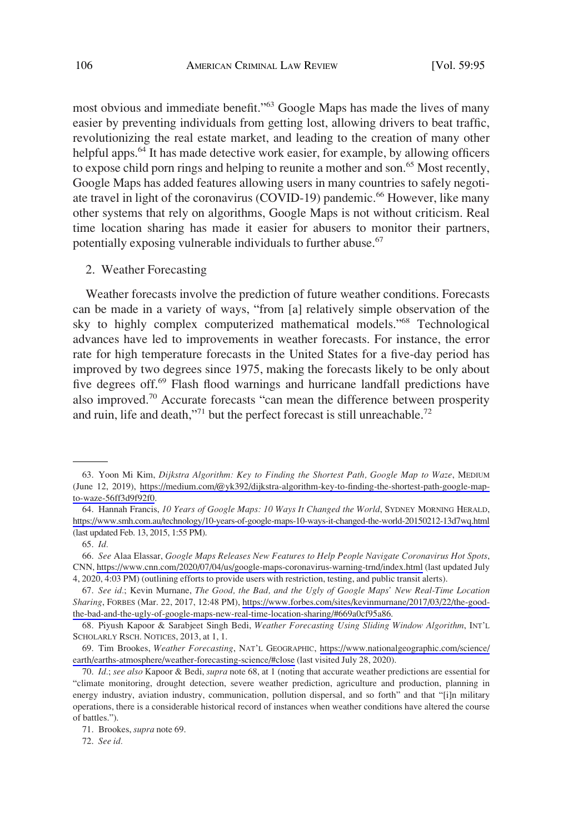<span id="page-11-0"></span>most obvious and immediate benefit."<sup>63</sup> Google Maps has made the lives of many easier by preventing individuals from getting lost, allowing drivers to beat traffic, revolutionizing the real estate market, and leading to the creation of many other helpful apps.<sup>64</sup> It has made detective work easier, for example, by allowing officers to expose child porn rings and helping to reunite a mother and son.<sup>65</sup> Most recently, Google Maps has added features allowing users in many countries to safely negotiate travel in light of the coronavirus (COVID-19) pandemic.<sup>66</sup> However, like many other systems that rely on algorithms, Google Maps is not without criticism. Real time location sharing has made it easier for abusers to monitor their partners, potentially exposing vulnerable individuals to further abuse.<sup>67</sup>

### 2. Weather Forecasting

Weather forecasts involve the prediction of future weather conditions. Forecasts can be made in a variety of ways, "from [a] relatively simple observation of the sky to highly complex computerized mathematical models."68 Technological advances have led to improvements in weather forecasts. For instance, the error rate for high temperature forecasts in the United States for a five-day period has improved by two degrees since 1975, making the forecasts likely to be only about five degrees off.<sup>69</sup> Flash flood warnings and hurricane landfall predictions have also improved.70 Accurate forecasts "can mean the difference between prosperity and ruin, life and death,"<sup>71</sup> but the perfect forecast is still unreachable.<sup>72</sup>

Yoon Mi Kim, *Dijkstra Algorithm: Key to Finding the Shortest Path, Google Map to Waze*, MEDIUM 63. (June 12, 2019), [https://medium.com/@yk392/dijkstra-algorithm-key-to-finding-the-shortest-path-google-map](https://medium.com//dijkstra-algorithm-key-to-finding-the-shortest-path-google-map-to-waze-56ff3d9f92f0)[to-waze-56ff3d9f92f0.](https://medium.com//dijkstra-algorithm-key-to-finding-the-shortest-path-google-map-to-waze-56ff3d9f92f0)

<sup>64.</sup> Hannah Francis, 10 Years of Google Maps: 10 Ways It Changed the World, SYDNEY MORNING HERALD, <https://www.smh.com.au/technology/10-years-of-google-maps-10-ways-it-changed-the-world-20150212-13d7wq.html> (last updated Feb. 13, 2015, 1:55 PM).

<sup>65.</sup> *Id.* 

*See* Alaa Elassar, *Google Maps Releases New Features to Help People Navigate Coronavirus Hot Spots*, 66. CNN, <https://www.cnn.com/2020/07/04/us/google-maps-coronavirus-warning-trnd/index.html> (last updated July 4, 2020, 4:03 PM) (outlining efforts to provide users with restriction, testing, and public transit alerts).

*See id.*; Kevin Murnane, *The Good, the Bad, and the Ugly of Google Maps' New Real-Time Location*  67. *Sharing*, FORBES (Mar. 22, 2017, 12:48 PM), [https://www.forbes.com/sites/kevinmurnane/2017/03/22/the-good](https://www.forbes.com/sites/kevinmurnane/2017/03/22/the-good-the-bad-and-the-ugly-of-google-maps-new-real-time-location-sharing/#669a0cf95a86)[the-bad-and-the-ugly-of-google-maps-new-real-time-location-sharing/#669a0cf95a86.](https://www.forbes.com/sites/kevinmurnane/2017/03/22/the-good-the-bad-and-the-ugly-of-google-maps-new-real-time-location-sharing/#669a0cf95a86)

<sup>68.</sup> Piyush Kapoor & Sarabjeet Singh Bedi, *Weather Forecasting Using Sliding Window Algorithm*, INT'L SCHOLARLY RSCH. NOTICES, 2013, at 1, 1.

<sup>69.</sup> Tim Brookes, Weather Forecasting, NAT'L GEOGRAPHIC, [https://www.nationalgeographic.com/science/](https://www.nationalgeographic.com/science/earth/earths-atmosphere/weather-forecasting-science/#close) [earth/earths-atmosphere/weather-forecasting-science/#close](https://www.nationalgeographic.com/science/earth/earths-atmosphere/weather-forecasting-science/#close) (last visited July 28, 2020).

<sup>70.</sup> *Id.*; *see also* Kapoor & Bedi, *supra* note 68, at 1 (noting that accurate weather predictions are essential for "climate monitoring, drought detection, severe weather prediction, agriculture and production, planning in energy industry, aviation industry, communication, pollution dispersal, and so forth" and that "[i]n military operations, there is a considerable historical record of instances when weather conditions have altered the course of battles.").

<sup>71.</sup> Brookes, *supra* note 69.

<sup>72.</sup> *See id.*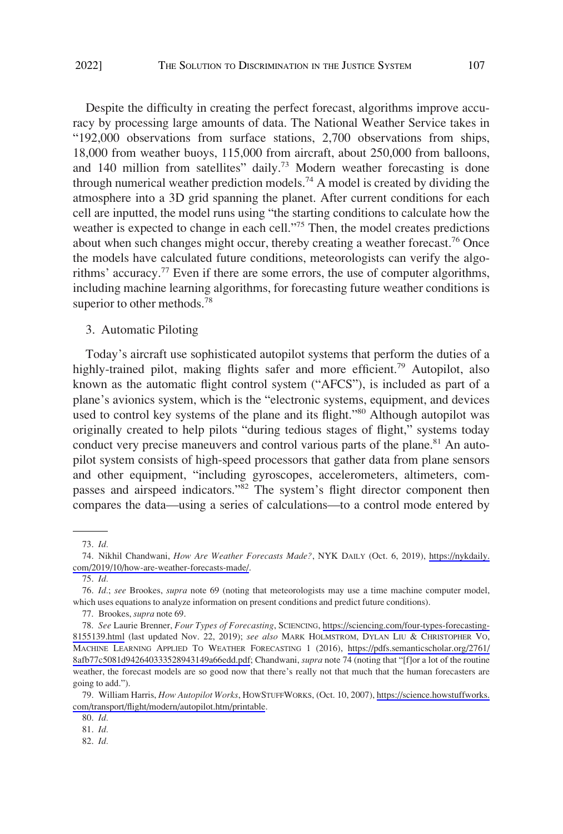<span id="page-12-0"></span>Despite the difficulty in creating the perfect forecast, algorithms improve accuracy by processing large amounts of data. The National Weather Service takes in "192,000 observations from surface stations, 2,700 observations from ships, 18,000 from weather buoys, 115,000 from aircraft, about 250,000 from balloons, and 140 million from satellites" daily.<sup>73</sup> Modern weather forecasting is done through numerical weather prediction models.<sup>74</sup> A model is created by dividing the atmosphere into a 3D grid spanning the planet. After current conditions for each cell are inputted, the model runs using "the starting conditions to calculate how the weather is expected to change in each cell."<sup>75</sup> Then, the model creates predictions about when such changes might occur, thereby creating a weather forecast.<sup>76</sup> Once the models have calculated future conditions, meteorologists can verify the algorithms' accuracy.<sup>77</sup> Even if there are some errors, the use of computer algorithms, including machine learning algorithms, for forecasting future weather conditions is superior to other methods.<sup>78</sup>

3. Automatic Piloting

Today's aircraft use sophisticated autopilot systems that perform the duties of a highly-trained pilot, making flights safer and more efficient.<sup>79</sup> Autopilot, also known as the automatic flight control system ("AFCS"), is included as part of a plane's avionics system, which is the "electronic systems, equipment, and devices used to control key systems of the plane and its flight."<sup>80</sup> Although autopilot was originally created to help pilots "during tedious stages of flight," systems today conduct very precise maneuvers and control various parts of the plane.<sup>81</sup> An autopilot system consists of high-speed processors that gather data from plane sensors and other equipment, "including gyroscopes, accelerometers, altimeters, compasses and airspeed indicators."82 The system's flight director component then compares the data—using a series of calculations—to a control mode entered by

<sup>73.</sup> *Id.* 

<sup>74.</sup> Nikhil Chandwani, *How Are Weather Forecasts Made?*, NYK DAILY (Oct. 6, 2019), [https://nykdaily.](https://nykdaily.com/2019/10/how-are-weather-forecasts-made/) [com/2019/10/how-are-weather-forecasts-made/.](https://nykdaily.com/2019/10/how-are-weather-forecasts-made/)

<sup>75.</sup> *Id.* 

<sup>76.</sup> *Id.*; *see* Brookes, *supra* note 69 (noting that meteorologists may use a time machine computer model, which uses equations to analyze information on present conditions and predict future conditions).

<sup>77.</sup> Brookes, *supra* note 69.

*See* Laurie Brenner, *Four Types of Forecasting*, SCIENCING, [https://sciencing.com/four-types-forecasting-](https://sciencing.com/four-types-forecasting-8155139.html)78. [8155139.html](https://sciencing.com/four-types-forecasting-8155139.html) (last updated Nov. 22, 2019); *see also* MARK HOLMSTROM, DYLAN LIU & CHRISTOPHER VO, MACHINE LEARNING APPLIED TO WEATHER FORECASTING 1 (2016), [https://pdfs.semanticscholar.org/2761/](https://pdfs.semanticscholar.org/2761/8afb77c5081d942640333528943149a66edd.pdf)  [8afb77c5081d942640333528943149a66edd.pdf](https://pdfs.semanticscholar.org/2761/8afb77c5081d942640333528943149a66edd.pdf); Chandwani, *supra* note 74 (noting that "[f]or a lot of the routine weather, the forecast models are so good now that there's really not that much that the human forecasters are going to add.").

William Harris, *How Autopilot Works*, HOWSTUFFWORKS, (Oct. 10, 2007), [https://science.howstuffworks.](https://science.howstuffworks.com/transport/flight/modern/autopilot.htm/printable) 79. [com/transport/flight/modern/autopilot.htm/printable](https://science.howstuffworks.com/transport/flight/modern/autopilot.htm/printable).

<sup>80.</sup> *Id.* 

<sup>81.</sup> *Id.* 

<sup>82.</sup> *Id.*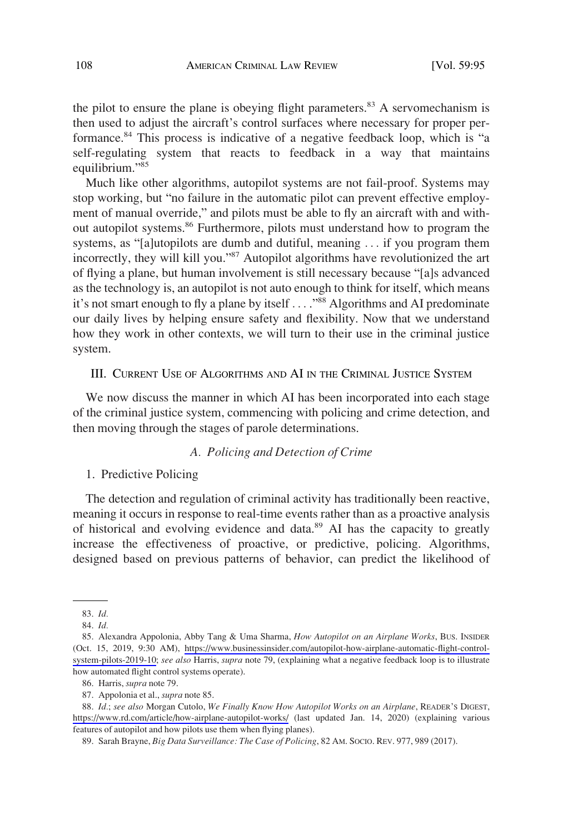<span id="page-13-0"></span>the pilot to ensure the plane is obeying flight parameters. $83$  A servomechanism is then used to adjust the aircraft's control surfaces where necessary for proper performance.84 This process is indicative of a negative feedback loop, which is "a self-regulating system that reacts to feedback in a way that maintains equilibrium."<sup>85</sup>

Much like other algorithms, autopilot systems are not fail-proof. Systems may stop working, but "no failure in the automatic pilot can prevent effective employment of manual override," and pilots must be able to fly an aircraft with and without autopilot systems.<sup>86</sup> Furthermore, pilots must understand how to program the systems, as "[a]utopilots are dumb and dutiful, meaning . . . if you program them incorrectly, they will kill you."<sup>87</sup> Autopilot algorithms have revolutionized the art of flying a plane, but human involvement is still necessary because "[a]s advanced as the technology is, an autopilot is not auto enough to think for itself, which means it's not smart enough to fly a plane by itself . . . . "<sup>88</sup> Algorithms and AI predominate our daily lives by helping ensure safety and flexibility. Now that we understand how they work in other contexts, we will turn to their use in the criminal justice system.

## III. CURRENT USE OF ALGORITHMS AND AI IN THE CRIMINAL JUSTICE SYSTEM

We now discuss the manner in which AI has been incorporated into each stage of the criminal justice system, commencing with policing and crime detection, and then moving through the stages of parole determinations.

# *A. Policing and Detection of Crime*

## 1. Predictive Policing

The detection and regulation of criminal activity has traditionally been reactive, meaning it occurs in response to real-time events rather than as a proactive analysis of historical and evolving evidence and data.<sup>89</sup> AI has the capacity to greatly increase the effectiveness of proactive, or predictive, policing. Algorithms, designed based on previous patterns of behavior, can predict the likelihood of

*Id.*; *see also* Morgan Cutolo, *We Finally Know How Autopilot Works on an Airplane*, READER'S DIGEST, 88. <https://www.rd.com/article/how-airplane-autopilot-works/> (last updated Jan. 14, 2020) (explaining various features of autopilot and how pilots use them when flying planes).

89. Sarah Brayne, *Big Data Surveillance: The Case of Policing*, 82 AM. SOCIO. REV. 977, 989 (2017).

<sup>83.</sup> *Id.* 

<sup>84.</sup> *Id.* 

<sup>85.</sup> Alexandra Appolonia, Abby Tang & Uma Sharma, *How Autopilot on an Airplane Works*, Bus. INSIDER (Oct. 15, 2019, 9:30 AM), [https://www.businessinsider.com/autopilot-how-airplane-automatic-flight-control](https://www.businessinsider.com/autopilot-how-airplane-automatic-flight-control-system-pilots-2019-10)[system-pilots-2019-10;](https://www.businessinsider.com/autopilot-how-airplane-automatic-flight-control-system-pilots-2019-10) *see also* Harris, *supra* note 79, (explaining what a negative feedback loop is to illustrate how automated flight control systems operate).

<sup>86.</sup> Harris, *supra* note 79.

<sup>87.</sup> Appolonia et al., *supra* note 85.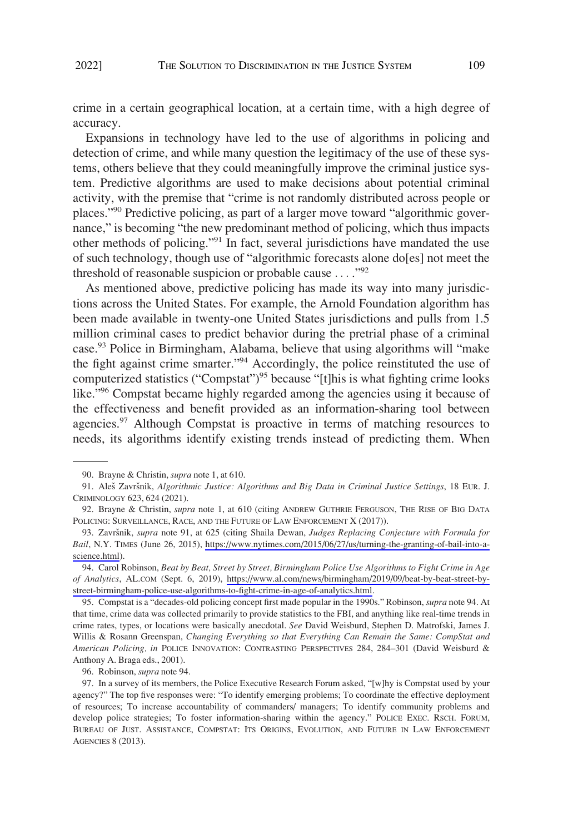crime in a certain geographical location, at a certain time, with a high degree of accuracy.

Expansions in technology have led to the use of algorithms in policing and detection of crime, and while many question the legitimacy of the use of these systems, others believe that they could meaningfully improve the criminal justice system. Predictive algorithms are used to make decisions about potential criminal activity, with the premise that "crime is not randomly distributed across people or places."90 Predictive policing, as part of a larger move toward "algorithmic governance," is becoming "the new predominant method of policing, which thus impacts other methods of policing."91 In fact, several jurisdictions have mandated the use of such technology, though use of "algorithmic forecasts alone do[es] not meet the threshold of reasonable suspicion or probable cause  $\dots$ ."<sup>92</sup>

As mentioned above, predictive policing has made its way into many jurisdictions across the United States. For example, the Arnold Foundation algorithm has been made available in twenty-one United States jurisdictions and pulls from 1.5 million criminal cases to predict behavior during the pretrial phase of a criminal case.<sup>93</sup> Police in Birmingham, Alabama, believe that using algorithms will "make the fight against crime smarter."<sup>94</sup> Accordingly, the police reinstituted the use of computerized statistics ("Compstat")<sup>95</sup> because "[t]his is what fighting crime looks like."96 Compstat became highly regarded among the agencies using it because of the effectiveness and benefit provided as an information-sharing tool between agencies.<sup>97</sup> Although Compstat is proactive in terms of matching resources to needs, its algorithms identify existing trends instead of predicting them. When

95. Compstat is a "decades-old policing concept first made popular in the 1990s." Robinson, *supra* note 94. At that time, crime data was collected primarily to provide statistics to the FBI, and anything like real-time trends in crime rates, types, or locations were basically anecdotal. *See* David Weisburd, Stephen D. Matrofski, James J. Willis & Rosann Greenspan, *Changing Everything so that Everything Can Remain the Same: CompStat and American Policing, in* POLICE INNOVATION: CONTRASTING PERSPECTIVES 284, 284–301 (David Weisburd & Anthony A. Braga eds., 2001).

96. Robinson, *supra* note 94.

<sup>90.</sup> Brayne & Christin, *supra* note 1, at 610.

<sup>91.</sup> Aleš Završnik, *Algorithmic Justice: Algorithms and Big Data in Criminal Justice Settings*, 18 EUR. J. CRIMINOLOGY 623, 624 (2021).

<sup>92.</sup> Brayne & Christin, *supra* note 1, at 610 (citing ANDREW GUTHRIE FERGUSON, THE RISE OF BIG DATA POLICING: SURVEILLANCE, RACE, AND THE FUTURE OF LAW ENFORCEMENT X (2017)).

<sup>93.</sup> Završnik, *supra* note 91, at 625 (citing Shaila Dewan, *Judges Replacing Conjecture with Formula for Bail*, N.Y. TIMES (June 26, 2015), [https://www.nytimes.com/2015/06/27/us/turning-the-granting-of-bail-into-a](https://www.nytimes.com/2015/06/27/us/turning-the-granting-of-bail-into-a-science.html)[science.html](https://www.nytimes.com/2015/06/27/us/turning-the-granting-of-bail-into-a-science.html)).

Carol Robinson, *Beat by Beat, Street by Street, Birmingham Police Use Algorithms to Fight Crime in Age*  94. *of Analytics*, AL.COM (Sept. 6, 2019), [https://www.al.com/news/birmingham/2019/09/beat-by-beat-street-by](https://www.al.com/news/birmingham/2019/09/beat-by-beat-street-by-street-birmingham-police-use-algorithms-to-fight-crime-in-age-of-analytics.html)[street-birmingham-police-use-algorithms-to-fight-crime-in-age-of-analytics.html.](https://www.al.com/news/birmingham/2019/09/beat-by-beat-street-by-street-birmingham-police-use-algorithms-to-fight-crime-in-age-of-analytics.html)

<sup>97.</sup> In a survey of its members, the Police Executive Research Forum asked, "[w]hy is Compstat used by your agency?" The top five responses were: "To identify emerging problems; To coordinate the effective deployment of resources; To increase accountability of commanders/ managers; To identify community problems and develop police strategies; To foster information-sharing within the agency." POLICE EXEC. RSCH. FORUM, BUREAU OF JUST. ASSISTANCE, COMPSTAT: ITS ORIGINS, EVOLUTION, AND FUTURE IN LAW ENFORCEMENT AGENCIES 8 (2013).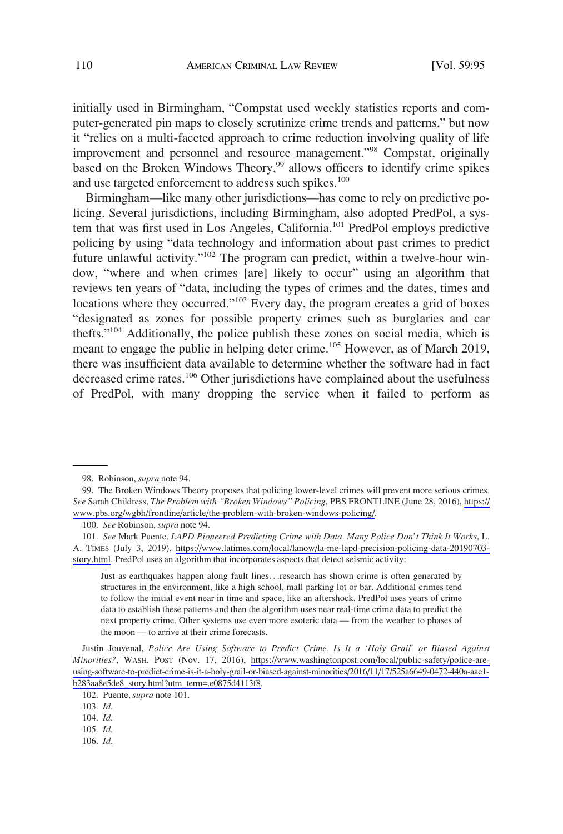initially used in Birmingham, "Compstat used weekly statistics reports and computer-generated pin maps to closely scrutinize crime trends and patterns," but now it "relies on a multi-faceted approach to crime reduction involving quality of life improvement and personnel and resource management."<sup>98</sup> Compstat, originally based on the Broken Windows Theory,<sup>99</sup> allows officers to identify crime spikes and use targeted enforcement to address such spikes.<sup>100</sup>

Birmingham—like many other jurisdictions—has come to rely on predictive policing. Several jurisdictions, including Birmingham, also adopted PredPol, a system that was first used in Los Angeles, California.<sup>101</sup> PredPol employs predictive policing by using "data technology and information about past crimes to predict future unlawful activity."102 The program can predict, within a twelve-hour window, "where and when crimes [are] likely to occur" using an algorithm that reviews ten years of "data, including the types of crimes and the dates, times and locations where they occurred."<sup>103</sup> Every day, the program creates a grid of boxes "designated as zones for possible property crimes such as burglaries and car thefts."104 Additionally, the police publish these zones on social media, which is meant to engage the public in helping deter crime.<sup>105</sup> However, as of March 2019, there was insufficient data available to determine whether the software had in fact decreased crime rates.<sup>106</sup> Other jurisdictions have complained about the usefulness of PredPol, with many dropping the service when it failed to perform as

Just as earthquakes happen along fault lines. . .research has shown crime is often generated by structures in the environment, like a high school, mall parking lot or bar. Additional crimes tend to follow the initial event near in time and space, like an aftershock. PredPol uses years of crime data to establish these patterns and then the algorithm uses near real-time crime data to predict the next property crime. Other systems use even more esoteric data — from the weather to phases of the moon — to arrive at their crime forecasts.

Justin Jouvenal, *Police Are Using Software to Predict Crime. Is It a 'Holy Grail' or Biased Against Minorities?*, WASH. POST (Nov. 17, 2016), [https://www.washingtonpost.com/local/public-safety/police-are](https://www.washingtonpost.com/local/public-safety/police-are-using-software-to-predict-crime-is-it-a-holy-grail-or-biased-against-minorities/2016/11/17/525a6649-0472-440a-aae1-b283aa8e5de8_story.html?utm_term=.e0875d4113f8)[using-software-to-predict-crime-is-it-a-holy-grail-or-biased-against-minorities/2016/11/17/525a6649-0472-440a-aae1](https://www.washingtonpost.com/local/public-safety/police-are-using-software-to-predict-crime-is-it-a-holy-grail-or-biased-against-minorities/2016/11/17/525a6649-0472-440a-aae1-b283aa8e5de8_story.html?utm_term=.e0875d4113f8)  [b283aa8e5de8\\_story.html?utm\\_term=.e0875d4113f8](https://www.washingtonpost.com/local/public-safety/police-are-using-software-to-predict-crime-is-it-a-holy-grail-or-biased-against-minorities/2016/11/17/525a6649-0472-440a-aae1-b283aa8e5de8_story.html?utm_term=.e0875d4113f8).

106. *Id.* 

<sup>98.</sup> Robinson, *supra* note 94.

The Broken Windows Theory proposes that policing lower-level crimes will prevent more serious crimes. 99. *See* Sarah Childress, *The Problem with "Broken Windows" Policing*, PBS FRONTLINE (June 28, 2016), [https://](https://www.pbs.org/wgbh/frontline/article/the-problem-with-broken-windows-policing/) [www.pbs.org/wgbh/frontline/article/the-problem-with-broken-windows-policing/.](https://www.pbs.org/wgbh/frontline/article/the-problem-with-broken-windows-policing/)

<sup>100.</sup> *See* Robinson, *supra* note 94.

*See* Mark Puente, *LAPD Pioneered Predicting Crime with Data. Many Police Don't Think It Works*, L. 101. A. TIMES (July 3, 2019), [https://www.latimes.com/local/lanow/la-me-lapd-precision-policing-data-20190703](https://www.latimes.com/local/lanow/la-me-lapd-precision-policing-data-20190703-story.html) [story.html.](https://www.latimes.com/local/lanow/la-me-lapd-precision-policing-data-20190703-story.html) PredPol uses an algorithm that incorporates aspects that detect seismic activity:

<sup>102.</sup> Puente, *supra* note 101.

<sup>103.</sup> *Id.* 

<sup>104.</sup> *Id.* 

<sup>105.</sup> *Id.*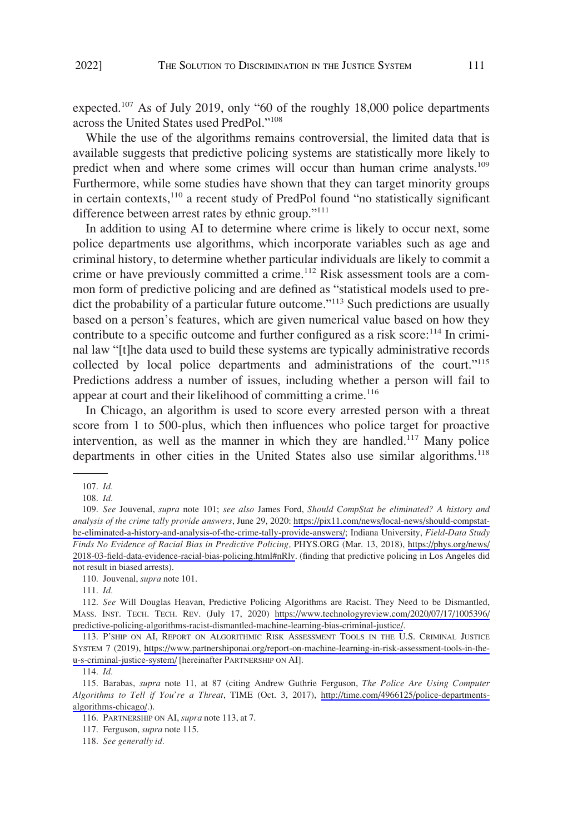expected.<sup>107</sup> As of July 2019, only "60 of the roughly 18,000 police departments across the United States used PredPol."<sup>108</sup>

While the use of the algorithms remains controversial, the limited data that is available suggests that predictive policing systems are statistically more likely to predict when and where some crimes will occur than human crime analysts.<sup>109</sup> Furthermore, while some studies have shown that they can target minority groups in certain contexts,<sup>110</sup> a recent study of PredPol found "no statistically significant difference between arrest rates by ethnic group."<sup>111</sup>

In addition to using AI to determine where crime is likely to occur next, some police departments use algorithms, which incorporate variables such as age and criminal history, to determine whether particular individuals are likely to commit a crime or have previously committed a crime.<sup>112</sup> Risk assessment tools are a common form of predictive policing and are defined as "statistical models used to predict the probability of a particular future outcome."<sup>113</sup> Such predictions are usually based on a person's features, which are given numerical value based on how they contribute to a specific outcome and further configured as a risk score:<sup>114</sup> In criminal law "[t]he data used to build these systems are typically administrative records collected by local police departments and administrations of the court."<sup>115</sup> Predictions address a number of issues, including whether a person will fail to appear at court and their likelihood of committing a crime.<sup>116</sup>

In Chicago, an algorithm is used to score every arrested person with a threat score from 1 to 500-plus, which then influences who police target for proactive intervention, as well as the manner in which they are handled.<sup>117</sup> Many police departments in other cities in the United States also use similar algorithms.<sup>118</sup>

110. Jouvenal, *supra* note 101.

<sup>107.</sup> *Id.* 

<sup>108.</sup> *Id.* 

*See* Jouvenal, *supra* note 101; *see also* James Ford, *Should CompStat be eliminated? A history and*  109. *analysis of the crime tally provide answers*, June 29, 2020: [https://pix11.com/news/local-news/should-compstat](https://pix11.com/news/local-news/should-compstat-be-eliminated-a-history-and-analysis-of-the-crime-tally-provide-answers/)[be-eliminated-a-history-and-analysis-of-the-crime-tally-provide-answers/](https://pix11.com/news/local-news/should-compstat-be-eliminated-a-history-and-analysis-of-the-crime-tally-provide-answers/); Indiana University, *Field-Data Study Finds No Evidence of Racial Bias in Predictive Policing,* PHYS.ORG (Mar. 13, 2018), [https://phys.org/news/](https://phys.org/news/2018-03-field-data-evidence-racial-bias-policing.html#nRlv.)  [2018-03-field-data-evidence-racial-bias-policing.html#nRlv.](https://phys.org/news/2018-03-field-data-evidence-racial-bias-policing.html#nRlv.) (finding that predictive policing in Los Angeles did not result in biased arrests).

<sup>111.</sup> *Id.* 

<sup>112.</sup> See Will Douglas Heavan, Predictive Policing Algorithms are Racist. They Need to be Dismantled, MASS. INST. TECH. TECH. REV. (July 17, 2020) [https://www.technologyreview.com/2020/07/17/1005396/](https://www.technologyreview.com/2020/07/17/1005396/predictive-policing-algorithms-racist-dismantled-machine-learning-bias-criminal-justice/) [predictive-policing-algorithms-racist-dismantled-machine-learning-bias-criminal-justice/](https://www.technologyreview.com/2020/07/17/1005396/predictive-policing-algorithms-racist-dismantled-machine-learning-bias-criminal-justice/).

<sup>113.</sup> P'SHIP ON AI, REPORT ON ALGORITHMIC RISK ASSESSMENT TOOLS IN THE U.S. CRIMINAL JUSTICE SYSTEM 7 (2019), [https://www.partnershiponai.org/report-on-machine-learning-in-risk-assessment-tools-in-the](https://www.partnershiponai.org/report-on-machine-learning-in-risk-assessment-tools-in-the-u-s-criminal-justice-system/)[u-s-criminal-justice-system/](https://www.partnershiponai.org/report-on-machine-learning-in-risk-assessment-tools-in-the-u-s-criminal-justice-system/) [hereinafter PARTNERSHIP ON AI].

<sup>114.</sup> *Id.* 

Barabas, *supra* note 11, at 87 (citing Andrew Guthrie Ferguson, *The Police Are Using Computer*  115. *Algorithms to Tell if You're a Threat*, TIME (Oct. 3, 2017), [http://time.com/4966125/police-departments](http://time.com/4966125/police-departments-algorithms-chicago/)[algorithms-chicago/](http://time.com/4966125/police-departments-algorithms-chicago/).).

<sup>116.</sup> PARTNERSHIP ON AI, *supra* note 113, at 7.

<sup>117.</sup> Ferguson, *supra* note 115.

<sup>118.</sup> *See generally id.*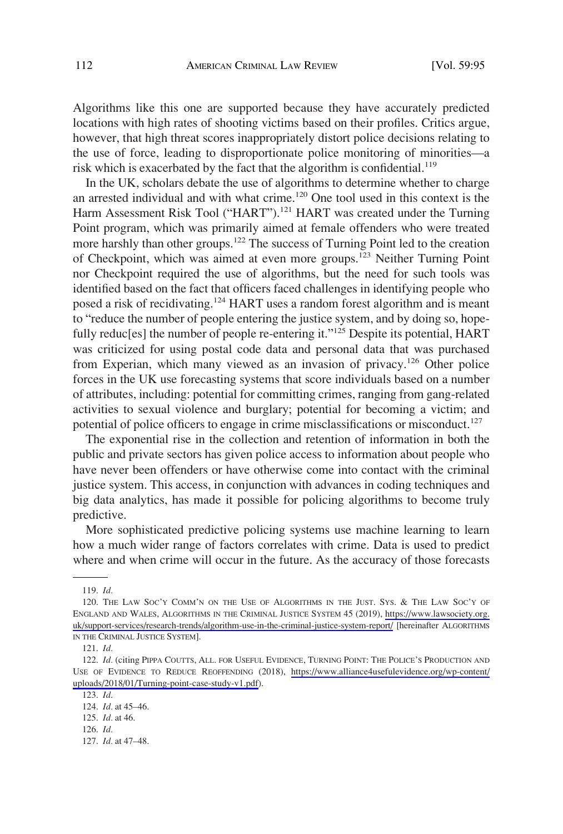Algorithms like this one are supported because they have accurately predicted locations with high rates of shooting victims based on their profiles. Critics argue, however, that high threat scores inappropriately distort police decisions relating to the use of force, leading to disproportionate police monitoring of minorities—a risk which is exacerbated by the fact that the algorithm is confidential.<sup>119</sup>

In the UK, scholars debate the use of algorithms to determine whether to charge an arrested individual and with what crime.<sup>120</sup> One tool used in this context is the Harm Assessment Risk Tool ("HART").<sup>121</sup> HART was created under the Turning Point program, which was primarily aimed at female offenders who were treated more harshly than other groups.<sup>122</sup> The success of Turning Point led to the creation of Checkpoint, which was aimed at even more groups.<sup>123</sup> Neither Turning Point nor Checkpoint required the use of algorithms, but the need for such tools was identified based on the fact that officers faced challenges in identifying people who posed a risk of recidivating.<sup>124</sup> HART uses a random forest algorithm and is meant to "reduce the number of people entering the justice system, and by doing so, hopefully reduc[es] the number of people re-entering it."<sup>125</sup> Despite its potential, HART was criticized for using postal code data and personal data that was purchased from Experian, which many viewed as an invasion of privacy.<sup>126</sup> Other police forces in the UK use forecasting systems that score individuals based on a number of attributes, including: potential for committing crimes, ranging from gang-related activities to sexual violence and burglary; potential for becoming a victim; and potential of police officers to engage in crime misclassifications or misconduct.<sup>127</sup>

The exponential rise in the collection and retention of information in both the public and private sectors has given police access to information about people who have never been offenders or have otherwise come into contact with the criminal justice system. This access, in conjunction with advances in coding techniques and big data analytics, has made it possible for policing algorithms to become truly predictive.

More sophisticated predictive policing systems use machine learning to learn how a much wider range of factors correlates with crime. Data is used to predict where and when crime will occur in the future. As the accuracy of those forecasts

<sup>119.</sup> *Id.* 

<sup>120.</sup> THE LAW SOC'Y COMM'N ON THE USE OF ALGORITHMS IN THE JUST. SYS. & THE LAW SOC'Y OF ENGLAND AND WALES, ALGORITHMS IN THE CRIMINAL JUSTICE SYSTEM 45 (2019), [https://www.lawsociety.org.](https://www.lawsociety.org.uk/support-services/research-trends/algorithm-use-in-the-criminal-justice-system-report/) [uk/support-services/research-trends/algorithm-use-in-the-criminal-justice-system-report/](https://www.lawsociety.org.uk/support-services/research-trends/algorithm-use-in-the-criminal-justice-system-report/) [hereinafter ALGORITHMS IN THE CRIMINAL JUSTICE SYSTEM].

<sup>121.</sup> *Id.* 

<sup>122.</sup> Id. (citing PIPPA COUTTS, ALL. FOR USEFUL EVIDENCE, TURNING POINT: THE POLICE'S PRODUCTION AND USE OF EVIDENCE TO REDUCE REOFFENDING (2018), [https://www.alliance4usefulevidence.org/wp-content/](https://www.alliance4usefulevidence.org/wp-content/uploads/2018/01/Turning-point-case-study-v1.pdf)  [uploads/2018/01/Turning-point-case-study-v1.pdf\)](https://www.alliance4usefulevidence.org/wp-content/uploads/2018/01/Turning-point-case-study-v1.pdf).

<sup>123.</sup> *Id*.

<sup>124.</sup> *Id.* at 45–46.

<sup>125.</sup> *Id.* at 46.

<sup>126.</sup> *Id.* 

<sup>127.</sup> *Id.* at 47–48.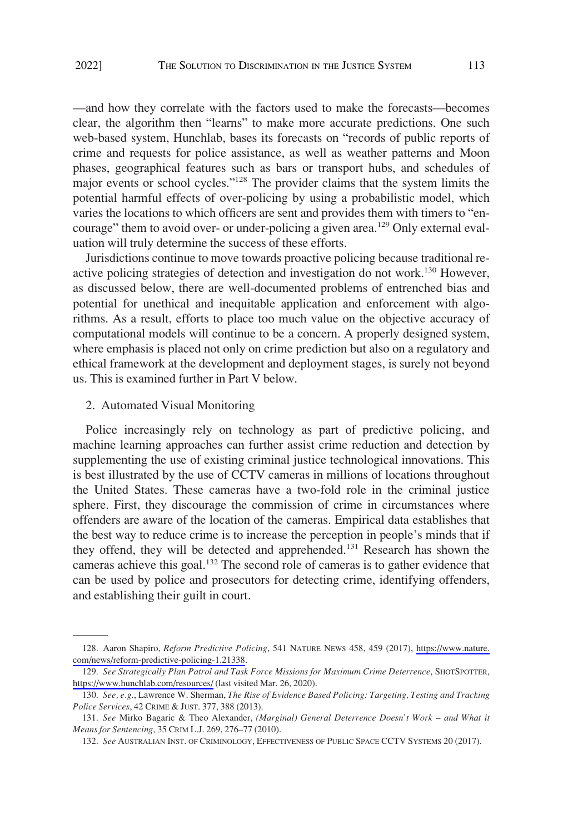<span id="page-18-0"></span>—and how they correlate with the factors used to make the forecasts—becomes clear, the algorithm then "learns" to make more accurate predictions. One such web-based system, Hunchlab, bases its forecasts on "records of public reports of crime and requests for police assistance, as well as weather patterns and Moon phases, geographical features such as bars or transport hubs, and schedules of major events or school cycles."<sup>128</sup> The provider claims that the system limits the potential harmful effects of over-policing by using a probabilistic model, which varies the locations to which officers are sent and provides them with timers to "encourage" them to avoid over- or under-policing a given area.<sup>129</sup> Only external evaluation will truly determine the success of these efforts.

Jurisdictions continue to move towards proactive policing because traditional reactive policing strategies of detection and investigation do not work.<sup>130</sup> However, as discussed below, there are well-documented problems of entrenched bias and potential for unethical and inequitable application and enforcement with algorithms. As a result, efforts to place too much value on the objective accuracy of computational models will continue to be a concern. A properly designed system, where emphasis is placed not only on crime prediction but also on a regulatory and ethical framework at the development and deployment stages, is surely not beyond us. This is examined further in Part V below.

## 2. Automated Visual Monitoring

Police increasingly rely on technology as part of predictive policing, and machine learning approaches can further assist crime reduction and detection by supplementing the use of existing criminal justice technological innovations. This is best illustrated by the use of CCTV cameras in millions of locations throughout the United States. These cameras have a two-fold role in the criminal justice sphere. First, they discourage the commission of crime in circumstances where offenders are aware of the location of the cameras. Empirical data establishes that the best way to reduce crime is to increase the perception in people's minds that if they offend, they will be detected and apprehended.<sup>131</sup> Research has shown the cameras achieve this goal.<sup>132</sup> The second role of cameras is to gather evidence that can be used by police and prosecutors for detecting crime, identifying offenders, and establishing their guilt in court.

<sup>128.</sup> Aaron Shapiro, *Reform Predictive Policing*, 541 NATURE NEWS 458, 459 (2017), [https://www.nature.](https://www.nature.com/news/reform-predictive-policing-1.21338) [com/news/reform-predictive-policing-1.21338.](https://www.nature.com/news/reform-predictive-policing-1.21338)

*See Strategically Plan Patrol and Task Force Missions for Maximum Crime Deterrence*, SHOTSPOTTER, 129. <https://www.hunchlab.com/resources/> (last visited Mar. 26, 2020).

<sup>130.</sup> *See, e.g.*, Lawrence W. Sherman, *The Rise of Evidence Based Policing: Targeting, Testing and Tracking Police Services*, 42 CRIME & JUST. 377, 388 (2013).

<sup>131.</sup> *See* Mirko Bagaric & Theo Alexander, *(Marginal) General Deterrence Doesn't Work – and What it Means for Sentencing*, 35 CRIM L.J. 269, 276–77 (2010).

<sup>132.</sup> *See* AUSTRALIAN INST. OF CRIMINOLOGY, EFFECTIVENESS OF PUBLIC SPACE CCTV SYSTEMS 20 (2017).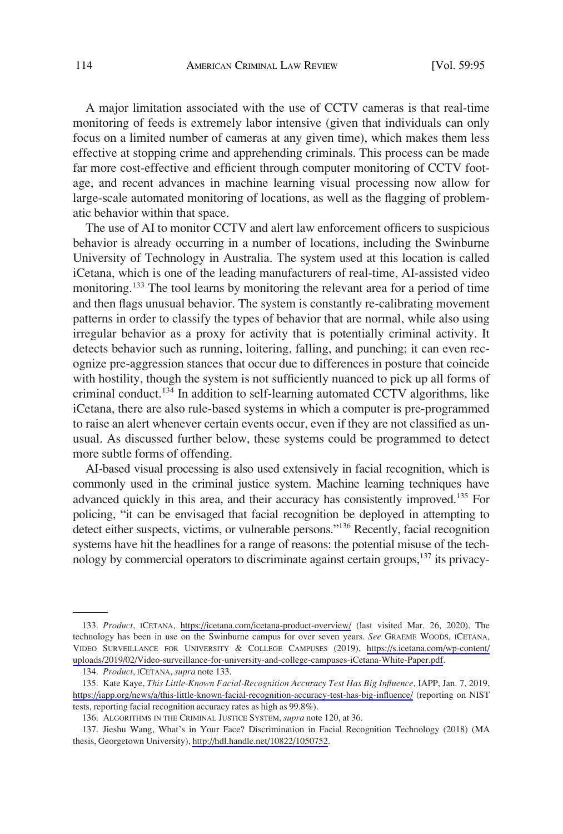A major limitation associated with the use of CCTV cameras is that real-time monitoring of feeds is extremely labor intensive (given that individuals can only focus on a limited number of cameras at any given time), which makes them less effective at stopping crime and apprehending criminals. This process can be made far more cost-effective and efficient through computer monitoring of CCTV footage, and recent advances in machine learning visual processing now allow for large-scale automated monitoring of locations, as well as the flagging of problematic behavior within that space.

The use of AI to monitor CCTV and alert law enforcement officers to suspicious behavior is already occurring in a number of locations, including the Swinburne University of Technology in Australia. The system used at this location is called iCetana, which is one of the leading manufacturers of real-time, AI-assisted video monitoring.<sup>133</sup> The tool learns by monitoring the relevant area for a period of time and then flags unusual behavior. The system is constantly re-calibrating movement patterns in order to classify the types of behavior that are normal, while also using irregular behavior as a proxy for activity that is potentially criminal activity. It detects behavior such as running, loitering, falling, and punching; it can even recognize pre-aggression stances that occur due to differences in posture that coincide with hostility, though the system is not sufficiently nuanced to pick up all forms of criminal conduct.134 In addition to self-learning automated CCTV algorithms, like iCetana, there are also rule-based systems in which a computer is pre-programmed to raise an alert whenever certain events occur, even if they are not classified as unusual. As discussed further below, these systems could be programmed to detect more subtle forms of offending.

AI-based visual processing is also used extensively in facial recognition, which is commonly used in the criminal justice system. Machine learning techniques have advanced quickly in this area, and their accuracy has consistently improved.<sup>135</sup> For policing, "it can be envisaged that facial recognition be deployed in attempting to detect either suspects, victims, or vulnerable persons."<sup>136</sup> Recently, facial recognition systems have hit the headlines for a range of reasons: the potential misuse of the technology by commercial operators to discriminate against certain groups,<sup>137</sup> its privacy-

<sup>133.</sup> Product, ICETANA, <https://icetana.com/icetana-product-overview/> (last visited Mar. 26, 2020). The technology has been in use on the Swinburne campus for over seven years. *See* GRAEME WOODS, ICETANA, VIDEO SURVEILLANCE FOR UNIVERSITY & COLLEGE CAMPUSES (2019), [https://s.icetana.com/wp-content/](https://s.icetana.com/wp-content/uploads/2019/02/Video-surveillance-for-university-and-college-campuses-iCetana-White-Paper.pdf) [uploads/2019/02/Video-surveillance-for-university-and-college-campuses-iCetana-White-Paper.pdf.](https://s.icetana.com/wp-content/uploads/2019/02/Video-surveillance-for-university-and-college-campuses-iCetana-White-Paper.pdf)

<sup>134.</sup> *Product*, ICETANA, *supra* note 133.

<sup>135.</sup> Kate Kaye, This Little-Known Facial-Recognition Accuracy Test Has Big Influence, IAPP, Jan. 7, 2019, <https://iapp.org/news/a/this-little-known-facial-recognition-accuracy-test-has-big-influence/>(reporting on NIST tests, reporting facial recognition accuracy rates as high as 99.8%).

<sup>136.</sup> ALGORITHMS IN THE CRIMINAL JUSTICE SYSTEM, *supra* note 120, at 36.

<sup>137.</sup> Jieshu Wang, What's in Your Face? Discrimination in Facial Recognition Technology (2018) (MA thesis, Georgetown University),<http://hdl.handle.net/10822/1050752>.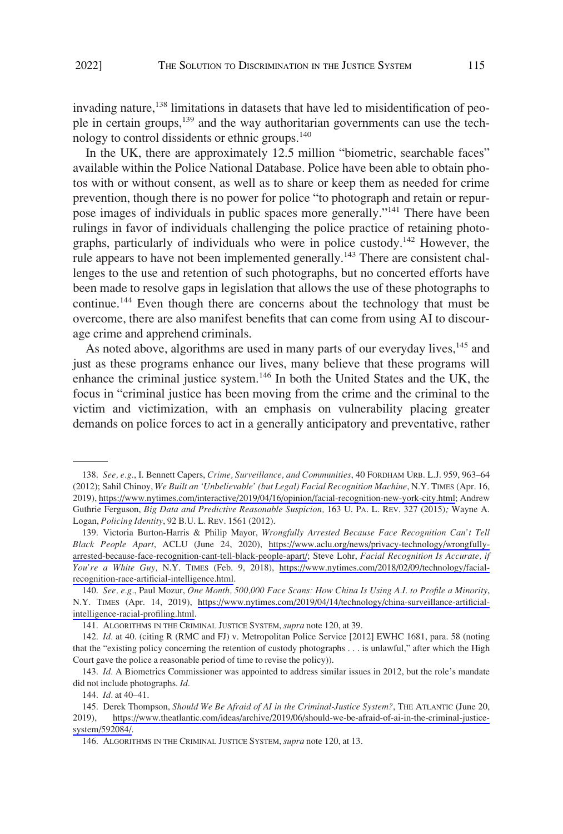invading nature,<sup>138</sup> limitations in datasets that have led to misidentification of people in certain groups,<sup>139</sup> and the way authoritarian governments can use the technology to control dissidents or ethnic groups.<sup>140</sup>

In the UK, there are approximately 12.5 million "biometric, searchable faces" available within the Police National Database. Police have been able to obtain photos with or without consent, as well as to share or keep them as needed for crime prevention, though there is no power for police "to photograph and retain or repurpose images of individuals in public spaces more generally."141 There have been rulings in favor of individuals challenging the police practice of retaining photographs, particularly of individuals who were in police custody.<sup>142</sup> However, the rule appears to have not been implemented generally.<sup>143</sup> There are consistent challenges to the use and retention of such photographs, but no concerted efforts have been made to resolve gaps in legislation that allows the use of these photographs to continue.<sup>144</sup> Even though there are concerns about the technology that must be overcome, there are also manifest benefits that can come from using AI to discourage crime and apprehend criminals.

As noted above, algorithms are used in many parts of our everyday lives,<sup>145</sup> and just as these programs enhance our lives, many believe that these programs will enhance the criminal justice system.<sup>146</sup> In both the United States and the UK, the focus in "criminal justice has been moving from the crime and the criminal to the victim and victimization, with an emphasis on vulnerability placing greater demands on police forces to act in a generally anticipatory and preventative, rather

*See, e.g.*, I. Bennett Capers, *Crime, Surveillance, and Communities*, 40 FORDHAM URB. L.J. 959, 963–64 138. (2012); Sahil Chinoy, *We Built an 'Unbelievable' (but Legal) Facial Recognition Machine*, N.Y. TIMES (Apr. 16, 2019),<https://www.nytimes.com/interactive/2019/04/16/opinion/facial-recognition-new-york-city.html>; Andrew Guthrie Ferguson, *Big Data and Predictive Reasonable Suspicion,* 163 U. PA. L. REV. 327 (2015)*;* Wayne A. Logan, *Policing Identity*, 92 B.U. L. REV. 1561 (2012).

<sup>139.</sup> Victoria Burton-Harris & Philip Mayor, *Wrongfully Arrested Because Face Recognition Can't Tell Black People Apart*, ACLU (June 24, 2020), [https://www.aclu.org/news/privacy-technology/wrongfully](https://www.aclu.org/news/privacy-technology/wrongfully-arrested-because-face-recognition-cant-tell-black-people-apart/)[arrested-because-face-recognition-cant-tell-black-people-apart/](https://www.aclu.org/news/privacy-technology/wrongfully-arrested-because-face-recognition-cant-tell-black-people-apart/); Steve Lohr, *Facial Recognition Is Accurate, if You're a White Guy,* N.Y. TIMES (Feb. 9, 2018), [https://www.nytimes.com/2018/02/09/technology/facial](https://www.nytimes.com/2018/02/09/technology/facial-recognition-race-artificial-intelligence.html)[recognition-race-artificial-intelligence.html.](https://www.nytimes.com/2018/02/09/technology/facial-recognition-race-artificial-intelligence.html)

*See, e.g.*, Paul Mozur, *One Month, 500,000 Face Scans: How China Is Using A.I. to Profile a Minority*, 140. N.Y. TIMES (Apr. 14, 2019), [https://www.nytimes.com/2019/04/14/technology/china-surveillance-artificial](https://www.nytimes.com/2019/04/14/technology/china-surveillance-artificial-intelligence-racial-profiling.html)[intelligence-racial-profiling.html.](https://www.nytimes.com/2019/04/14/technology/china-surveillance-artificial-intelligence-racial-profiling.html)

<sup>141.</sup> ALGORITHMS IN THE CRIMINAL JUSTICE SYSTEM, *supra* note 120, at 39.

<sup>142.</sup> *Id.* at 40. (citing R (RMC and FJ) v. Metropolitan Police Service [2012] EWHC 1681, para. 58 (noting that the "existing policy concerning the retention of custody photographs . . . is unlawful," after which the High Court gave the police a reasonable period of time to revise the policy)).

<sup>143.</sup> *Id.* A Biometrics Commissioner was appointed to address similar issues in 2012, but the role's mandate did not include photographs. *Id.* 

<sup>144.</sup> *Id.* at 40–41.

<sup>145.</sup> Derek Thompson, *Should We Be Afraid of AI in the Criminal-Justice System?*, THE ATLANTIC (June 20, 2019), [https://www.theatlantic.com/ideas/archive/2019/06/should-we-be-afraid-of-ai-in-the-criminal-justice](https://www.theatlantic.com/ideas/archive/2019/06/should-we-be-afraid-of-ai-in-the-criminal-justice-system/592084/)[system/592084/.](https://www.theatlantic.com/ideas/archive/2019/06/should-we-be-afraid-of-ai-in-the-criminal-justice-system/592084/)

<sup>146.</sup> ALGORITHMS IN THE CRIMINAL JUSTICE SYSTEM, *supra* note 120, at 13.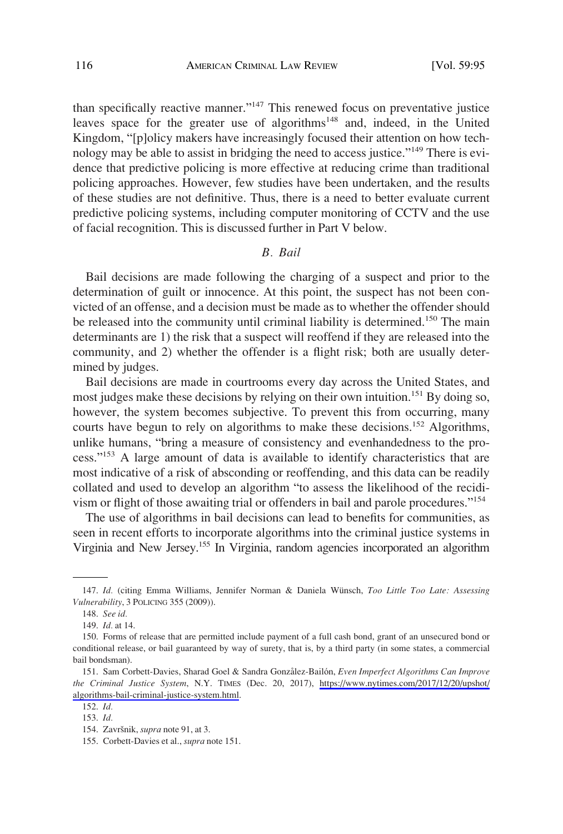<span id="page-21-0"></span>than specifically reactive manner."147 This renewed focus on preventative justice leaves space for the greater use of algorithms<sup>148</sup> and, indeed, in the United Kingdom, "[p]olicy makers have increasingly focused their attention on how technology may be able to assist in bridging the need to access justice."<sup>149</sup> There is evidence that predictive policing is more effective at reducing crime than traditional policing approaches. However, few studies have been undertaken, and the results of these studies are not definitive. Thus, there is a need to better evaluate current predictive policing systems, including computer monitoring of CCTV and the use of facial recognition. This is discussed further in Part V below.

### *B. Bail*

Bail decisions are made following the charging of a suspect and prior to the determination of guilt or innocence. At this point, the suspect has not been convicted of an offense, and a decision must be made as to whether the offender should be released into the community until criminal liability is determined.<sup>150</sup> The main determinants are 1) the risk that a suspect will reoffend if they are released into the community, and 2) whether the offender is a flight risk; both are usually determined by judges.

Bail decisions are made in courtrooms every day across the United States, and most judges make these decisions by relying on their own intuition.<sup>151</sup> By doing so, however, the system becomes subjective. To prevent this from occurring, many courts have begun to rely on algorithms to make these decisions.<sup>152</sup> Algorithms, unlike humans, "bring a measure of consistency and evenhandedness to the process."153 A large amount of data is available to identify characteristics that are most indicative of a risk of absconding or reoffending, and this data can be readily collated and used to develop an algorithm "to assess the likelihood of the recidivism or flight of those awaiting trial or offenders in bail and parole procedures."<sup>154</sup>

The use of algorithms in bail decisions can lead to benefits for communities, as seen in recent efforts to incorporate algorithms into the criminal justice systems in Virginia and New Jersey.155 In Virginia, random agencies incorporated an algorithm

<sup>147.</sup> *Id.* (citing Emma Williams, Jennifer Norman & Daniela Wünsch, *Too Little Too Late: Assessing Vulnerability*, 3 POLICING 355 (2009)).

<sup>148.</sup> *See id.* 

<sup>149.</sup> *Id.* at 14.

<sup>150.</sup> Forms of release that are permitted include payment of a full cash bond, grant of an unsecured bond or conditional release, or bail guaranteed by way of surety, that is, by a third party (in some states, a commercial bail bondsman).

<sup>151.</sup> Sam Corbett-Davies, Sharad Goel & Sandra Gonzålez-Bailón, *Even Imperfect Algorithms Can Improve the Criminal Justice System*, N.Y. TIMES (Dec. 20, 2017), [https://www.nytimes.com/2017/12/20/upshot/](https://www.nytimes.com/2017/12/20/upshot/algorithms-bail-criminal-justice-system.html) [algorithms-bail-criminal-justice-system.html](https://www.nytimes.com/2017/12/20/upshot/algorithms-bail-criminal-justice-system.html).

<sup>152.</sup> *Id.*  153. *Id.* 

<sup>154.</sup> Završnik, *supra* note 91, at 3.

<sup>155.</sup> Corbett-Davies et al., *supra* note 151.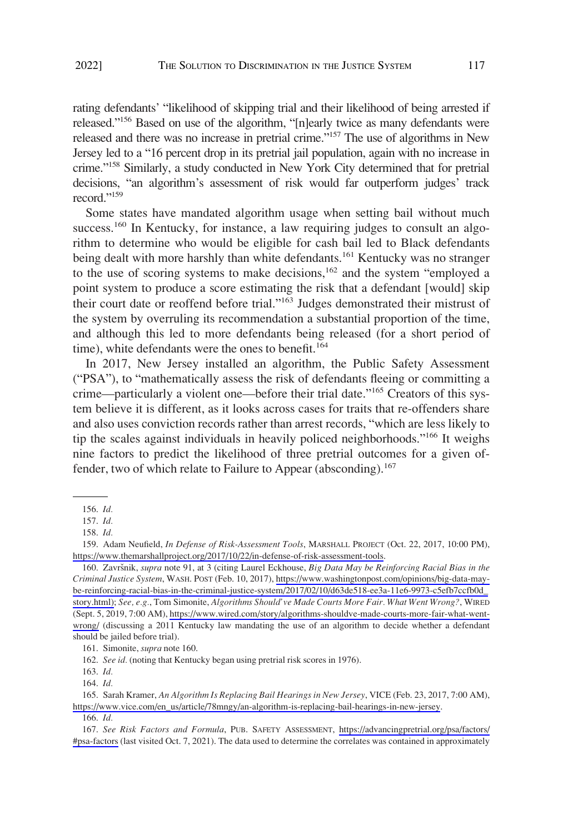rating defendants' "likelihood of skipping trial and their likelihood of being arrested if released."156 Based on use of the algorithm, "[n]early twice as many defendants were released and there was no increase in pretrial crime."157 The use of algorithms in New Jersey led to a "16 percent drop in its pretrial jail population, again with no increase in crime."158 Similarly, a study conducted in New York City determined that for pretrial decisions, "an algorithm's assessment of risk would far outperform judges' track record."<sup>159</sup>

Some states have mandated algorithm usage when setting bail without much success.<sup>160</sup> In Kentucky, for instance, a law requiring judges to consult an algorithm to determine who would be eligible for cash bail led to Black defendants being dealt with more harshly than white defendants.<sup>161</sup> Kentucky was no stranger to the use of scoring systems to make decisions, $162$  and the system "employed a point system to produce a score estimating the risk that a defendant [would] skip their court date or reoffend before trial."163 Judges demonstrated their mistrust of the system by overruling its recommendation a substantial proportion of the time, and although this led to more defendants being released (for a short period of time), white defendants were the ones to benefit.<sup>164</sup>

In 2017, New Jersey installed an algorithm, the Public Safety Assessment ("PSA"), to "mathematically assess the risk of defendants fleeing or committing a crime—particularly a violent one—before their trial date."<sup>165</sup> Creators of this system believe it is different, as it looks across cases for traits that re-offenders share and also uses conviction records rather than arrest records, "which are less likely to tip the scales against individuals in heavily policed neighborhoods."166 It weighs nine factors to predict the likelihood of three pretrial outcomes for a given offender, two of which relate to Failure to Appear (absconding).<sup>167</sup>

161. Simonite, *supra* note 160.

162. *See id.* (noting that Kentucky began using pretrial risk scores in 1976).

<sup>156.</sup> *Id.* 

<sup>157.</sup> *Id.* 

<sup>158.</sup> *Id.* 

<sup>159.</sup> Adam Neufield, *In Defense of Risk-Assessment Tools*, MARSHALL PROJECT (Oct. 22, 2017, 10:00 PM), <https://www.themarshallproject.org/2017/10/22/in-defense-of-risk-assessment-tools>.

<sup>160.</sup> Završnik, *supra* note 91, at 3 (citing Laurel Eckhouse, *Big Data May be Reinforcing Racial Bias in the Criminal Justice System*, WASH. POST (Feb. 10, 2017), https://www.washingtonpost.com/opinions/big-data-maybe-reinforcing-racial-bias-in-the-criminal-justice-system/2017/02/10/d63de518-ee3a-11e6-9973-c5efb7ccfb0d\_ story.html); *See, e.g.*, Tom Simonite, *Algorithms Should've Made Courts More Fair. What Went Wrong?*, WIRED (Sept. 5, 2019, 7:00 AM), [https://www.wired.com/story/algorithms-shouldve-made-courts-more-fair-what-went](https://www.wired.com/story/algorithms-shouldve-made-courts-more-fair-what-went-wrong/)[wrong/](https://www.wired.com/story/algorithms-shouldve-made-courts-more-fair-what-went-wrong/) (discussing a 2011 Kentucky law mandating the use of an algorithm to decide whether a defendant should be jailed before trial).

<sup>163.</sup> *Id.* 

<sup>164.</sup> *Id.* 

<sup>165.</sup> Sarah Kramer, *An Algorithm Is Replacing Bail Hearings in New Jersey*, VICE (Feb. 23, 2017, 7:00 AM), [https://www.vice.com/en\\_us/article/78mngy/an-algorithm-is-replacing-bail-hearings-in-new-jersey](https://www.vice.com/en_us/article/78mngy/an-algorithm-is-replacing-bail-hearings-in-new-jersey).

<sup>166.</sup> *Id.* 

*See Risk Factors and Formula*, PUB. SAFETY ASSESSMENT, [https://advancingpretrial.org/psa/factors/](https://advancingpretrial.org/psa/factors/#psa-factors) 167. [#psa-factors](https://advancingpretrial.org/psa/factors/#psa-factors) (last visited Oct. 7, 2021). The data used to determine the correlates was contained in approximately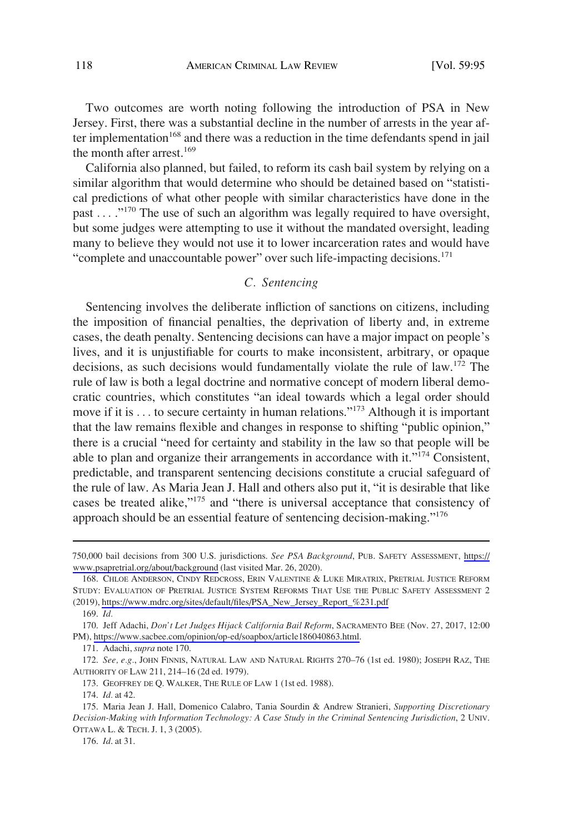<span id="page-23-0"></span>Two outcomes are worth noting following the introduction of PSA in New Jersey. First, there was a substantial decline in the number of arrests in the year after implementation<sup>168</sup> and there was a reduction in the time defendants spend in jail the month after arrest.<sup>169</sup>

California also planned, but failed, to reform its cash bail system by relying on a similar algorithm that would determine who should be detained based on "statistical predictions of what other people with similar characteristics have done in the past ... ."<sup>170</sup> The use of such an algorithm was legally required to have oversight, but some judges were attempting to use it without the mandated oversight, leading many to believe they would not use it to lower incarceration rates and would have "complete and unaccountable power" over such life-impacting decisions.<sup>171</sup>

# *C. Sentencing*

Sentencing involves the deliberate infliction of sanctions on citizens, including the imposition of financial penalties, the deprivation of liberty and, in extreme cases, the death penalty. Sentencing decisions can have a major impact on people's lives, and it is unjustifiable for courts to make inconsistent, arbitrary, or opaque decisions, as such decisions would fundamentally violate the rule of law.<sup>172</sup> The rule of law is both a legal doctrine and normative concept of modern liberal democratic countries, which constitutes "an ideal towards which a legal order should move if it is  $\dots$  to secure certainty in human relations."<sup>173</sup> Although it is important that the law remains flexible and changes in response to shifting "public opinion," there is a crucial "need for certainty and stability in the law so that people will be able to plan and organize their arrangements in accordance with it."<sup>174</sup> Consistent, predictable, and transparent sentencing decisions constitute a crucial safeguard of the rule of law. As Maria Jean J. Hall and others also put it, "it is desirable that like cases be treated alike,"175 and "there is universal acceptance that consistency of approach should be an essential feature of sentencing decision-making."<sup>176</sup>

<sup>750,000</sup> bail decisions from 300 U.S. jurisdictions. *See PSA Background*, PUB. SAFETY ASSESSMENT, [https://](https://www.psapretrial.org/about/background) [www.psapretrial.org/about/background](https://www.psapretrial.org/about/background) (last visited Mar. 26, 2020).

<sup>168.</sup> CHLOE ANDERSON, CINDY REDCROSS, ERIN VALENTINE & LUKE MIRATRIX, PRETRIAL JUSTICE REFORM STUDY: EVALUATION OF PRETRIAL JUSTICE SYSTEM REFORMS THAT USE THE PUBLIC SAFETY ASSESSMENT 2 (2019), [https://www.mdrc.org/sites/default/files/PSA\\_New\\_Jersey\\_Report\\_%231.pdf](https://www.mdrc.org/sites/default/files/PSA_New_Jersey_Report_&hx0025;231.pdf)

<sup>169.</sup> *Id.* 

<sup>170.</sup> Jeff Adachi, *Don't Let Judges Hijack California Bail Reform*, SACRAMENTO BEE (Nov. 27, 2017, 12:00 PM),<https://www.sacbee.com/opinion/op-ed/soapbox/article186040863.html>.

<sup>171.</sup> Adachi, *supra* note 170.

<sup>172.</sup> *See, e.g.*, JOHN FINNIS, NATURAL LAW AND NATURAL RIGHTS 270–76 (1st ed. 1980); JOSEPH RAZ, THE AUTHORITY OF LAW 211, 214–16 (2d ed. 1979).

<sup>173.</sup> GEOFFREY DE Q. WALKER, THE RULE OF LAW 1 (1st ed. 1988).

<sup>174.</sup> *Id.* at 42.

<sup>175.</sup> Maria Jean J. Hall, Domenico Calabro, Tania Sourdin & Andrew Stranieri, *Supporting Discretionary Decision-Making with Information Technology: A Case Study in the Criminal Sentencing Jurisdiction*, 2 UNIV. OTTAWA L. & TECH. J. 1, 3 (2005).

<sup>176.</sup> *Id*. at 31.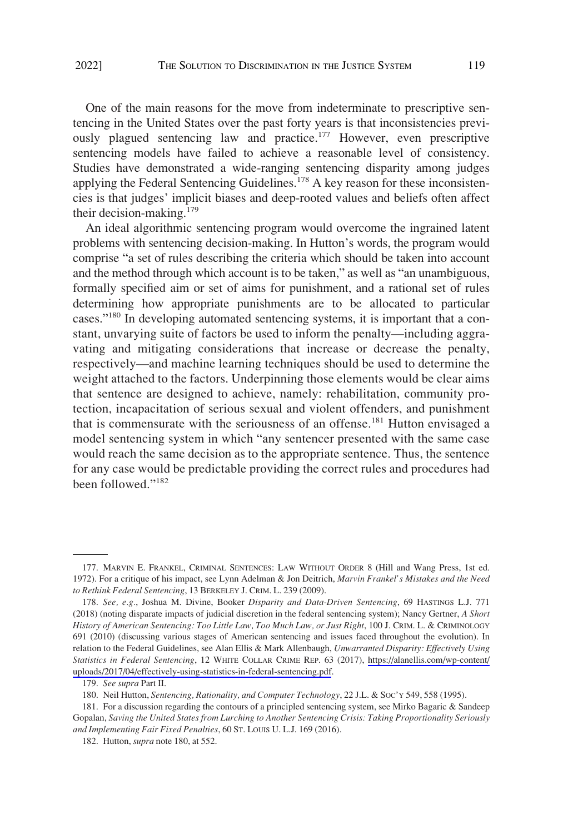One of the main reasons for the move from indeterminate to prescriptive sentencing in the United States over the past forty years is that inconsistencies previously plagued sentencing law and practice.177 However, even prescriptive sentencing models have failed to achieve a reasonable level of consistency. Studies have demonstrated a wide-ranging sentencing disparity among judges applying the Federal Sentencing Guidelines.<sup>178</sup> A key reason for these inconsistencies is that judges' implicit biases and deep-rooted values and beliefs often affect their decision-making.<sup>179</sup>

An ideal algorithmic sentencing program would overcome the ingrained latent problems with sentencing decision-making. In Hutton's words, the program would comprise "a set of rules describing the criteria which should be taken into account and the method through which account is to be taken," as well as "an unambiguous, formally specified aim or set of aims for punishment, and a rational set of rules determining how appropriate punishments are to be allocated to particular cases."180 In developing automated sentencing systems, it is important that a constant, unvarying suite of factors be used to inform the penalty—including aggravating and mitigating considerations that increase or decrease the penalty, respectively—and machine learning techniques should be used to determine the weight attached to the factors. Underpinning those elements would be clear aims that sentence are designed to achieve, namely: rehabilitation, community protection, incapacitation of serious sexual and violent offenders, and punishment that is commensurate with the seriousness of an offense.<sup>181</sup> Hutton envisaged a model sentencing system in which "any sentencer presented with the same case would reach the same decision as to the appropriate sentence. Thus, the sentence for any case would be predictable providing the correct rules and procedures had been followed."<sup>182</sup>

<sup>177.</sup> MARVIN E. FRANKEL, CRIMINAL SENTENCES: LAW WITHOUT ORDER 8 (Hill and Wang Press, 1st ed. 1972). For a critique of his impact, see Lynn Adelman & Jon Deitrich, *Marvin Frankel's Mistakes and the Need to Rethink Federal Sentencing*, 13 BERKELEY J. CRIM. L. 239 (2009).

*See, e.g.*, Joshua M. Divine, Booker *Disparity and Data-Driven Sentencing*, 69 HASTINGS L.J. 771 178. (2018) (noting disparate impacts of judicial discretion in the federal sentencing system); Nancy Gertner, *A Short History of American Sentencing: Too Little Law, Too Much Law, or Just Right*, 100 J. CRIM. L. & CRIMINOLOGY 691 (2010) (discussing various stages of American sentencing and issues faced throughout the evolution). In relation to the Federal Guidelines, see Alan Ellis & Mark Allenbaugh, *Unwarranted Disparity: Effectively Using Statistics in Federal Sentencing*, 12 WHITE COLLAR CRIME REP. 63 (2017), [https://alanellis.com/wp-content/](https://alanellis.com/wp-content/uploads/2017/04/effectively-using-statistics-in-federal-sentencing.pdf)  [uploads/2017/04/effectively-using-statistics-in-federal-sentencing.pdf](https://alanellis.com/wp-content/uploads/2017/04/effectively-using-statistics-in-federal-sentencing.pdf).

<sup>179.</sup> *See supra* Part II.

<sup>180.</sup> Neil Hutton, *Sentencing, Rationality, and Computer Technology*, 22 J.L. & SOC'Y 549, 558 (1995).

<sup>181.</sup> For a discussion regarding the contours of a principled sentencing system, see Mirko Bagaric & Sandeep Gopalan, *Saving the United States from Lurching to Another Sentencing Crisis: Taking Proportionality Seriously and Implementing Fair Fixed Penalties*, 60 ST. LOUIS U. L.J. 169 (2016).

<sup>182.</sup> Hutton, *supra* note 180, at 552.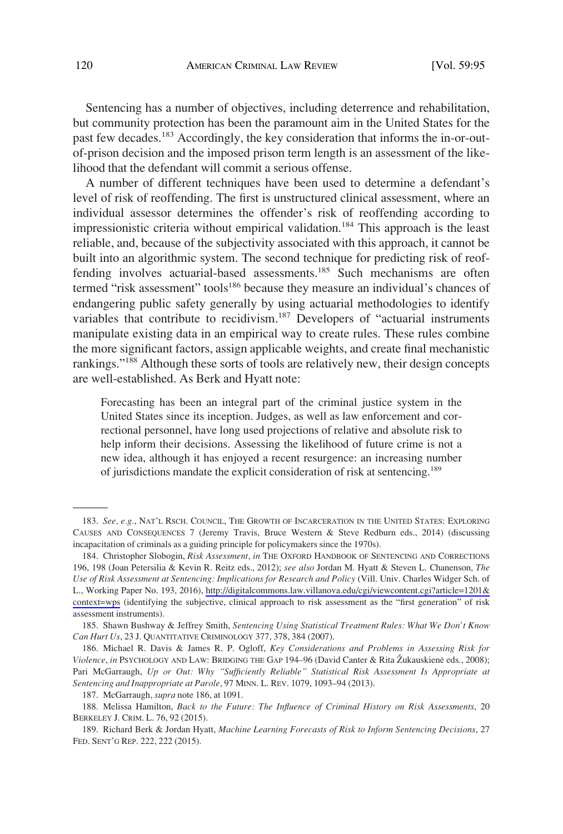Sentencing has a number of objectives, including deterrence and rehabilitation, but community protection has been the paramount aim in the United States for the past few decades.<sup>183</sup> Accordingly, the key consideration that informs the in-or-outof-prison decision and the imposed prison term length is an assessment of the likelihood that the defendant will commit a serious offense.

A number of different techniques have been used to determine a defendant's level of risk of reoffending. The first is unstructured clinical assessment, where an individual assessor determines the offender's risk of reoffending according to impressionistic criteria without empirical validation.<sup>184</sup> This approach is the least reliable, and, because of the subjectivity associated with this approach, it cannot be built into an algorithmic system. The second technique for predicting risk of reoffending involves actuarial-based assessments.<sup>185</sup> Such mechanisms are often termed "risk assessment" tools<sup>186</sup> because they measure an individual's chances of endangering public safety generally by using actuarial methodologies to identify variables that contribute to recidivism.<sup>187</sup> Developers of "actuarial instruments manipulate existing data in an empirical way to create rules. These rules combine the more significant factors, assign applicable weights, and create final mechanistic rankings."<sup>188</sup> Although these sorts of tools are relatively new, their design concepts are well-established. As Berk and Hyatt note:

Forecasting has been an integral part of the criminal justice system in the United States since its inception. Judges, as well as law enforcement and correctional personnel, have long used projections of relative and absolute risk to help inform their decisions. Assessing the likelihood of future crime is not a new idea, although it has enjoyed a recent resurgence: an increasing number of jurisdictions mandate the explicit consideration of risk at sentencing.<sup>189</sup>

<sup>183.</sup> *See, e.g.*, NAT'L RSCH. COUNCIL, THE GROWTH OF INCARCERATION IN THE UNITED STATES: EXPLORING CAUSES AND CONSEQUENCES 7 (Jeremy Travis, Bruce Western & Steve Redburn eds., 2014) (discussing incapacitation of criminals as a guiding principle for policymakers since the 1970s).

<sup>184.</sup> Christopher Slobogin, *Risk Assessment*, in THE OXFORD HANDBOOK OF SENTENCING AND CORRECTIONS 196, 198 (Joan Petersilia & Kevin R. Reitz eds., 2012); *see also* Jordan M. Hyatt & Steven L. Chanenson, *The Use of Risk Assessment at Sentencing: Implications for Research and Policy* (Vill. Univ. Charles Widger Sch. of L., Working Paper No. 193, 2016), [http://digitalcommons.law.villanova.edu/cgi/viewcontent.cgi?article=1201&](http://digitalcommons.law.villanova.edu/cgi/viewcontent.cgi?article=1201&context=wps) [context=wps](http://digitalcommons.law.villanova.edu/cgi/viewcontent.cgi?article=1201&context=wps) (identifying the subjective, clinical approach to risk assessment as the "first generation" of risk assessment instruments).

<sup>185.</sup> Shawn Bushway & Jeffrey Smith, *Sentencing Using Statistical Treatment Rules: What We Don't Know Can Hurt Us*, 23 J. QUANTITATIVE CRIMINOLOGY 377, 378, 384 (2007).

<sup>186.</sup> Michael R. Davis & James R. P. Ogloff, *Key Considerations and Problems in Assessing Risk for*  Violence, *in* PSYCHOLOGY AND LAW: BRIDGING THE GAP 194–96 (David Canter & Rita Žukauskienė eds., 2008); Pari McGarraugh, *Up or Out: Why "Sufficiently Reliable" Statistical Risk Assessment Is Appropriate at Sentencing and Inappropriate at Parole*, 97 MINN. L. REV. 1079, 1093–94 (2013).

<sup>187.</sup> McGarraugh, *supra* note 186, at 1091.

<sup>188.</sup> Melissa Hamilton, *Back to the Future: The Influence of Criminal History on Risk Assessments*, 20 BERKELEY J. CRIM. L. 76, 92 (2015).

<sup>189.</sup> Richard Berk & Jordan Hyatt, *Machine Learning Forecasts of Risk to Inform Sentencing Decisions*, 27 FED. SENT'G REP. 222, 222 (2015).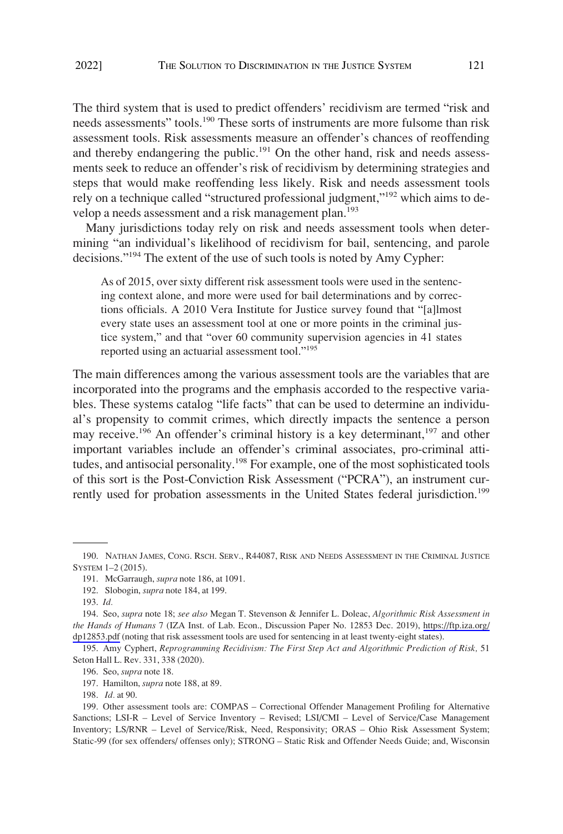The third system that is used to predict offenders' recidivism are termed "risk and needs assessments" tools.190 These sorts of instruments are more fulsome than risk assessment tools. Risk assessments measure an offender's chances of reoffending and thereby endangering the public.<sup>191</sup> On the other hand, risk and needs assessments seek to reduce an offender's risk of recidivism by determining strategies and steps that would make reoffending less likely. Risk and needs assessment tools rely on a technique called "structured professional judgment,"<sup>192</sup> which aims to develop a needs assessment and a risk management plan.<sup>193</sup>

Many jurisdictions today rely on risk and needs assessment tools when determining "an individual's likelihood of recidivism for bail, sentencing, and parole decisions."<sup>194</sup> The extent of the use of such tools is noted by Amy Cypher:

As of 2015, over sixty different risk assessment tools were used in the sentencing context alone, and more were used for bail determinations and by corrections officials. A 2010 Vera Institute for Justice survey found that "[a]lmost every state uses an assessment tool at one or more points in the criminal justice system," and that "over 60 community supervision agencies in 41 states reported using an actuarial assessment tool."<sup>195</sup>

The main differences among the various assessment tools are the variables that are incorporated into the programs and the emphasis accorded to the respective variables. These systems catalog "life facts" that can be used to determine an individual's propensity to commit crimes, which directly impacts the sentence a person may receive.<sup>196</sup> An offender's criminal history is a key determinant,<sup>197</sup> and other important variables include an offender's criminal associates, pro-criminal attitudes, and antisocial personality.<sup>198</sup> For example, one of the most sophisticated tools of this sort is the Post-Conviction Risk Assessment ("PCRA"), an instrument currently used for probation assessments in the United States federal jurisdiction.<sup>199</sup>

<sup>190.</sup> NATHAN JAMES, CONG. RSCH. SERV., R44087, RISK AND NEEDS ASSESSMENT IN THE CRIMINAL JUSTICE SYSTEM 1–2 (2015).

<sup>191.</sup> McGarraugh, *supra* note 186, at 1091.

<sup>192.</sup> Slobogin, *supra* note 184, at 199.

<sup>193.</sup> *Id.* 

<sup>194.</sup> Seo, *supra* note 18; see also Megan T. Stevenson & Jennifer L. Doleac, Algorithmic Risk Assessment in *the Hands of Humans* 7 (IZA Inst. of Lab. Econ., Discussion Paper No. 12853 Dec. 2019), [https://ftp.iza.org/](https://ftp.iza.org/dp12853.pdf)  [dp12853.pdf](https://ftp.iza.org/dp12853.pdf) (noting that risk assessment tools are used for sentencing in at least twenty-eight states).

<sup>195.</sup> Amy Cyphert, *Reprogramming Recidivism: The First Step Act and Algorithmic Prediction of Risk,* 51 Seton Hall L. Rev. 331, 338 (2020).

<sup>196.</sup> Seo, *supra* note 18.

<sup>197.</sup> Hamilton, *supra* note 188, at 89.

<sup>198.</sup> *Id.* at 90.

<sup>199.</sup> Other assessment tools are: COMPAS – Correctional Offender Management Profiling for Alternative Sanctions; LSI-R – Level of Service Inventory – Revised; LSI/CMI – Level of Service/Case Management Inventory; LS/RNR – Level of Service/Risk, Need, Responsivity; ORAS – Ohio Risk Assessment System; Static-99 (for sex offenders/ offenses only); STRONG – Static Risk and Offender Needs Guide; and, Wisconsin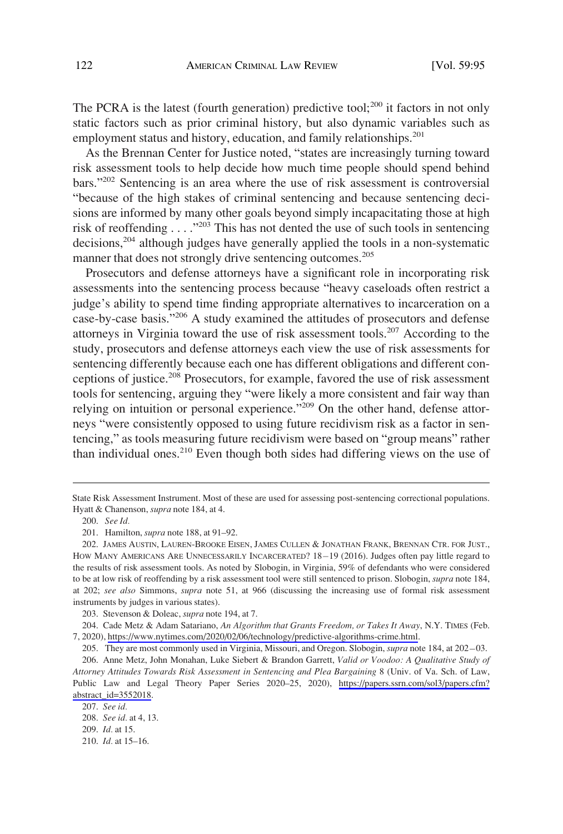The PCRA is the latest (fourth generation) predictive tool;<sup>200</sup> it factors in not only static factors such as prior criminal history, but also dynamic variables such as employment status and history, education, and family relationships.<sup>201</sup>

As the Brennan Center for Justice noted, "states are increasingly turning toward risk assessment tools to help decide how much time people should spend behind bars."202 Sentencing is an area where the use of risk assessment is controversial "because of the high stakes of criminal sentencing and because sentencing decisions are informed by many other goals beyond simply incapacitating those at high risk of reoffending  $\ldots$ ."<sup>203</sup> This has not dented the use of such tools in sentencing decisions,<sup>204</sup> although judges have generally applied the tools in a non-systematic manner that does not strongly drive sentencing outcomes.<sup>205</sup>

Prosecutors and defense attorneys have a significant role in incorporating risk assessments into the sentencing process because "heavy caseloads often restrict a judge's ability to spend time finding appropriate alternatives to incarceration on a case-by-case basis."<sup>206</sup> A study examined the attitudes of prosecutors and defense attorneys in Virginia toward the use of risk assessment tools.<sup>207</sup> According to the study, prosecutors and defense attorneys each view the use of risk assessments for sentencing differently because each one has different obligations and different conceptions of justice.208 Prosecutors, for example, favored the use of risk assessment tools for sentencing, arguing they "were likely a more consistent and fair way than relying on intuition or personal experience."209 On the other hand, defense attorneys "were consistently opposed to using future recidivism risk as a factor in sentencing," as tools measuring future recidivism were based on "group means" rather than individual ones.<sup>210</sup> Even though both sides had differing views on the use of

State Risk Assessment Instrument. Most of these are used for assessing post-sentencing correctional populations. Hyatt & Chanenson, *supra* note 184, at 4.

<sup>200.</sup> *See Id.* 

<sup>201.</sup> Hamilton, *supra* note 188, at 91–92.

<sup>202.</sup> JAMES AUSTIN, LAUREN-BROOKE EISEN, JAMES CULLEN & JONATHAN FRANK, BRENNAN CTR. FOR JUST., HOW MANY AMERICANS ARE UNNECESSARILY INCARCERATED?  $18-19$  (2016). Judges often pay little regard to the results of risk assessment tools. As noted by Slobogin, in Virginia, 59% of defendants who were considered to be at low risk of reoffending by a risk assessment tool were still sentenced to prison. Slobogin, *supra* note 184, at 202; *see also* Simmons, *supra* note 51, at 966 (discussing the increasing use of formal risk assessment instruments by judges in various states).

<sup>203.</sup> Stevenson & Doleac, *supra* note 194, at 7.

Cade Metz & Adam Satariano, *An Algorithm that Grants Freedom, or Takes It Away*, N.Y. TIMES (Feb. 204. 7, 2020), [https://www.nytimes.com/2020/02/06/technology/predictive-algorithms-crime.html.](https://www.nytimes.com/2020/02/06/technology/predictive-algorithms-crime.html)

<sup>205.</sup> They are most commonly used in Virginia, Missouri, and Oregon. Slobogin, *supra* note 184, at 202–03.

<sup>206.</sup> Anne Metz, John Monahan, Luke Siebert & Brandon Garrett, Valid or Voodoo: A Qualitative Study of *Attorney Attitudes Towards Risk Assessment in Sentencing and Plea Bargaining* 8 (Univ. of Va. Sch. of Law, Public Law and Legal Theory Paper Series 2020–25, 2020), [https://papers.ssrn.com/sol3/papers.cfm?](https://papers.ssrn.com/sol3/papers.cfm?abstract_id=3552018)  [abstract\\_id=3552018.](https://papers.ssrn.com/sol3/papers.cfm?abstract_id=3552018)

<sup>207.</sup> *See id.* 

<sup>208.</sup> *See id.* at 4, 13.

<sup>209.</sup> *Id.* at 15.

<sup>210.</sup> *Id.* at 15–16.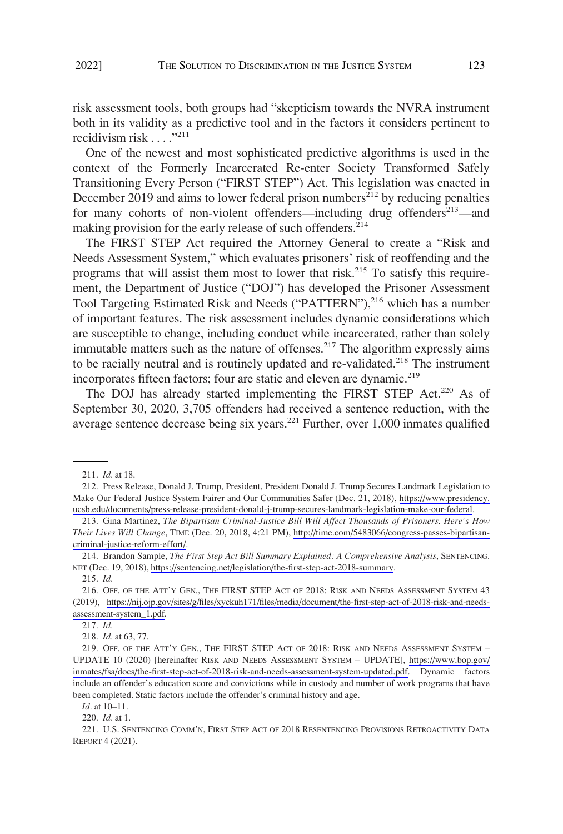risk assessment tools, both groups had "skepticism towards the NVRA instrument both in its validity as a predictive tool and in the factors it considers pertinent to recidivism risk  $\ldots$ <sup>"211</sup>

One of the newest and most sophisticated predictive algorithms is used in the context of the Formerly Incarcerated Re-enter Society Transformed Safely Transitioning Every Person ("FIRST STEP") Act. This legislation was enacted in December 2019 and aims to lower federal prison numbers<sup>212</sup> by reducing penalties for many cohorts of non-violent offenders—including drug offenders<sup>213</sup>—and making provision for the early release of such offenders.<sup>214</sup>

The FIRST STEP Act required the Attorney General to create a "Risk and Needs Assessment System," which evaluates prisoners' risk of reoffending and the programs that will assist them most to lower that risk.<sup>215</sup> To satisfy this requirement, the Department of Justice ("DOJ") has developed the Prisoner Assessment Tool Targeting Estimated Risk and Needs ("PATTERN"),<sup>216</sup> which has a number of important features. The risk assessment includes dynamic considerations which are susceptible to change, including conduct while incarcerated, rather than solely immutable matters such as the nature of offenses.<sup>217</sup> The algorithm expressly aims to be racially neutral and is routinely updated and re-validated.<sup>218</sup> The instrument incorporates fifteen factors; four are static and eleven are dynamic.<sup>219</sup>

The DOJ has already started implementing the FIRST STEP Act.<sup>220</sup> As of September 30, 2020, 3,705 offenders had received a sentence reduction, with the average sentence decrease being six years.221 Further, over 1,000 inmates qualified

*Id.* at 10–11.

220. *Id.* at 1.

<sup>211.</sup> *Id.* at 18.

<sup>212.</sup> Press Release, Donald J. Trump, President, President Donald J. Trump Secures Landmark Legislation to Make Our Federal Justice System Fairer and Our Communities Safer (Dec. 21, 2018), [https://www.presidency.](https://www.presidency.ucsb.edu/documents/press-release-president-donald-j-trump-secures-landmark-legislation-make-our-federal) [ucsb.edu/documents/press-release-president-donald-j-trump-secures-landmark-legislation-make-our-federal](https://www.presidency.ucsb.edu/documents/press-release-president-donald-j-trump-secures-landmark-legislation-make-our-federal).

<sup>213.</sup> Gina Martinez, *The Bipartisan Criminal-Justice Bill Will Affect Thousands of Prisoners. Here's How Their Lives Will Change*, TIME (Dec. 20, 2018, 4:21 PM), [http://time.com/5483066/congress-passes-bipartisan](http://time.com/5483066/congress-passes-bipartisan-criminal-justice-reform-effort/)[criminal-justice-reform-effort/](http://time.com/5483066/congress-passes-bipartisan-criminal-justice-reform-effort/).

<sup>214.</sup> Brandon Sample, *The First Step Act Bill Summary Explained: A Comprehensive Analysis*, SENTENCING. NET (Dec. 19, 2018), [https://sentencing.net/legislation/the-first-step-act-2018-summary.](https://sentencing.net/legislation/the-first-step-act-2018-summary)

<sup>215.</sup> *Id.* 

<sup>216.</sup> OFF. OF THE ATT'Y GEN., THE FIRST STEP ACT OF 2018: RISK AND NEEDS ASSESSMENT SYSTEM 43 (2019), [https://nij.ojp.gov/sites/g/files/xyckuh171/files/media/document/the-first-step-act-of-2018-risk-and-needs](https://nij.ojp.gov/sites/g/files/xyckuh171/files/media/document/the-first-step-act-of-2018-risk-and-needs-assessment-system_1.pdf)[assessment-system\\_1.pdf](https://nij.ojp.gov/sites/g/files/xyckuh171/files/media/document/the-first-step-act-of-2018-risk-and-needs-assessment-system_1.pdf).

<sup>217.</sup> *Id.* 

<sup>218.</sup> *Id.* at 63, 77.

<sup>219.</sup> OFF. OF THE ATT'Y GEN., THE FIRST STEP ACT OF 2018: RISK AND NEEDS ASSESSMENT SYSTEM -UPDATE 10 (2020) [hereinafter RISK AND NEEDS ASSESSMENT SYSTEM – UPDATE], [https://www.bop.gov/](https://www.bop.gov/inmates/fsa/docs/the-first-step-act-of-2018-risk-and-needs-assessment-system-updated.pdf) [inmates/fsa/docs/the-first-step-act-of-2018-risk-and-needs-assessment-system-updated.pdf](https://www.bop.gov/inmates/fsa/docs/the-first-step-act-of-2018-risk-and-needs-assessment-system-updated.pdf). Dynamic factors include an offender's education score and convictions while in custody and number of work programs that have been completed. Static factors include the offender's criminal history and age.

<sup>221.</sup> U.S. SENTENCING COMM'N, FIRST STEP ACT OF 2018 RESENTENCING PROVISIONS RETROACTIVITY DATA REPORT 4 (2021).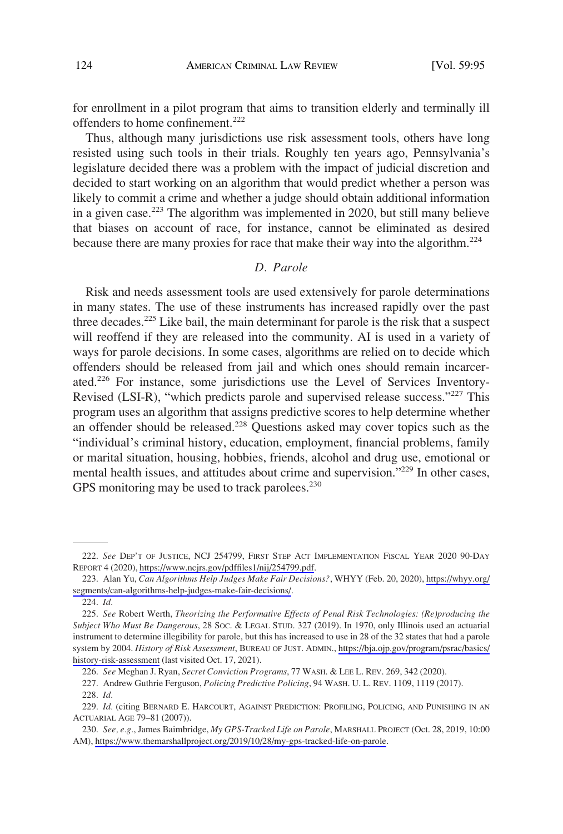<span id="page-29-0"></span>for enrollment in a pilot program that aims to transition elderly and terminally ill offenders to home confinement.222

Thus, although many jurisdictions use risk assessment tools, others have long resisted using such tools in their trials. Roughly ten years ago, Pennsylvania's legislature decided there was a problem with the impact of judicial discretion and decided to start working on an algorithm that would predict whether a person was likely to commit a crime and whether a judge should obtain additional information in a given case.<sup>223</sup> The algorithm was implemented in 2020, but still many believe that biases on account of race, for instance, cannot be eliminated as desired because there are many proxies for race that make their way into the algorithm.<sup>224</sup>

## *D. Parole*

Risk and needs assessment tools are used extensively for parole determinations in many states. The use of these instruments has increased rapidly over the past three decades.<sup>225</sup> Like bail, the main determinant for parole is the risk that a suspect will reoffend if they are released into the community. AI is used in a variety of ways for parole decisions. In some cases, algorithms are relied on to decide which offenders should be released from jail and which ones should remain incarcerated.226 For instance, some jurisdictions use the Level of Services Inventory-Revised (LSI-R), "which predicts parole and supervised release success."<sup>227</sup> This program uses an algorithm that assigns predictive scores to help determine whether an offender should be released.<sup>228</sup> Questions asked may cover topics such as the "individual's criminal history, education, employment, financial problems, family or marital situation, housing, hobbies, friends, alcohol and drug use, emotional or mental health issues, and attitudes about crime and supervision."229 In other cases, GPS monitoring may be used to track parolees.<sup>230</sup>

*See* DEP'T OF JUSTICE, NCJ 254799, FIRST STEP ACT IMPLEMENTATION FISCAL YEAR 2020 90-DAY 222. REPORT 4 (2020), <https://www.ncjrs.gov/pdffiles1/nij/254799.pdf>.

Alan Yu, *Can Algorithms Help Judges Make Fair Decisions?*, WHYY (Feb. 20, 2020), [https://whyy.org/](https://whyy.org/segments/can-algorithms-help-judges-make-fair-decisions/) 223. [segments/can-algorithms-help-judges-make-fair-decisions/](https://whyy.org/segments/can-algorithms-help-judges-make-fair-decisions/).

<sup>224.</sup> *Id.* 

*See* Robert Werth, *Theorizing the Performative Effects of Penal Risk Technologies: (Re)producing the*  225. *Subject Who Must Be Dangerous*, 28 SOC. & LEGAL STUD. 327 (2019). In 1970, only Illinois used an actuarial instrument to determine illegibility for parole, but this has increased to use in 28 of the 32 states that had a parole system by 2004. *History of Risk Assessment*, BUREAU OF JUST. ADMIN., [https://bja.ojp.gov/program/psrac/basics/](https://bja.ojp.gov/program/psrac/basics/history-risk-assessment) [history-risk-assessment](https://bja.ojp.gov/program/psrac/basics/history-risk-assessment) (last visited Oct. 17, 2021).

<sup>226.</sup> *See* Meghan J. Ryan, *Secret Conviction Programs*, 77 WASH. & LEE L. REV. 269, 342 (2020).

<sup>227.</sup> Andrew Guthrie Ferguson, *Policing Predictive Policing*, 94 WASH. U. L. REV. 1109, 1119 (2017).

<sup>228.</sup> *Id.* 

<sup>229.</sup> *Id.* (citing BERNARD E. HARCOURT, AGAINST PREDICTION: PROFILING, POLICING, AND PUNISHING IN AN ACTUARIAL AGE 79–81 (2007)).

*See, e.g.*, James Baimbridge, *My GPS-Tracked Life on Parole*, MARSHALL PROJECT (Oct. 28, 2019, 10:00 230. AM), [https://www.themarshallproject.org/2019/10/28/my-gps-tracked-life-on-parole.](https://www.themarshallproject.org/2019/10/28/my-gps-tracked-life-on-parole)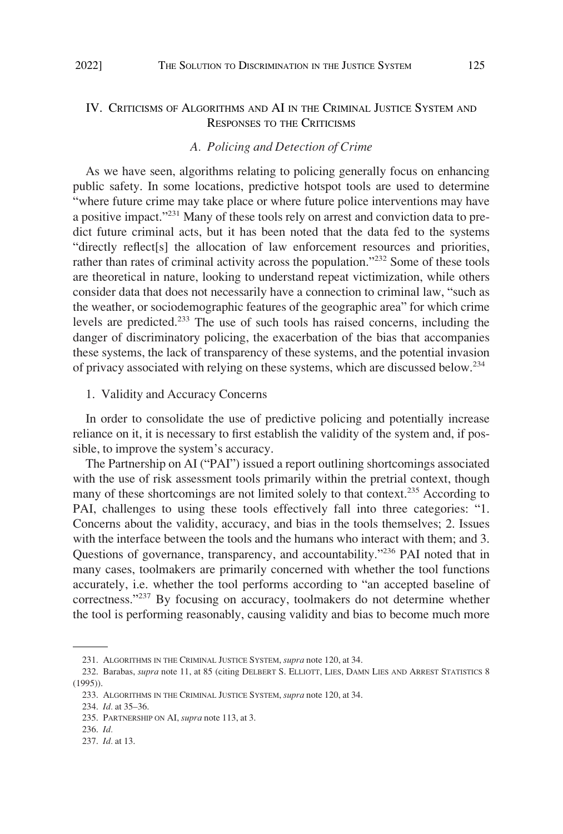# <span id="page-30-0"></span>IV. CRITICISMS OF ALGORITHMS AND AI IN THE CRIMINAL JUSTICE SYSTEM AND RESPONSES TO THE CRITICISMS

### *A. Policing and Detection of Crime*

As we have seen, algorithms relating to policing generally focus on enhancing public safety. In some locations, predictive hotspot tools are used to determine "where future crime may take place or where future police interventions may have a positive impact."231 Many of these tools rely on arrest and conviction data to predict future criminal acts, but it has been noted that the data fed to the systems "directly reflect[s] the allocation of law enforcement resources and priorities, rather than rates of criminal activity across the population."<sup>232</sup> Some of these tools are theoretical in nature, looking to understand repeat victimization, while others consider data that does not necessarily have a connection to criminal law, "such as the weather, or sociodemographic features of the geographic area" for which crime levels are predicted.233 The use of such tools has raised concerns, including the danger of discriminatory policing, the exacerbation of the bias that accompanies these systems, the lack of transparency of these systems, and the potential invasion of privacy associated with relying on these systems, which are discussed below.<sup>234</sup>

1. Validity and Accuracy Concerns

In order to consolidate the use of predictive policing and potentially increase reliance on it, it is necessary to first establish the validity of the system and, if possible, to improve the system's accuracy.

The Partnership on AI ("PAI") issued a report outlining shortcomings associated with the use of risk assessment tools primarily within the pretrial context, though many of these shortcomings are not limited solely to that context.<sup>235</sup> According to PAI, challenges to using these tools effectively fall into three categories: "1. Concerns about the validity, accuracy, and bias in the tools themselves; 2. Issues with the interface between the tools and the humans who interact with them; and 3. Questions of governance, transparency, and accountability."<sup>236</sup> PAI noted that in many cases, toolmakers are primarily concerned with whether the tool functions accurately, i.e. whether the tool performs according to "an accepted baseline of correctness."237 By focusing on accuracy, toolmakers do not determine whether the tool is performing reasonably, causing validity and bias to become much more

<sup>231.</sup> ALGORITHMS IN THE CRIMINAL JUSTICE SYSTEM, *supra* note 120, at 34.

<sup>232.</sup> Barabas, *supra* note 11, at 85 (citing DELBERT S. ELLIOTT, LIES, DAMN LIES AND ARREST STATISTICS 8 (1995)).

<sup>233.</sup> ALGORITHMS IN THE CRIMINAL JUSTICE SYSTEM, *supra* note 120, at 34.

<sup>234.</sup> *Id.* at 35–36.

<sup>235.</sup> PARTNERSHIP ON AI, *supra* note 113, at 3.

<sup>236.</sup> *Id.* 

<sup>237.</sup> *Id.* at 13.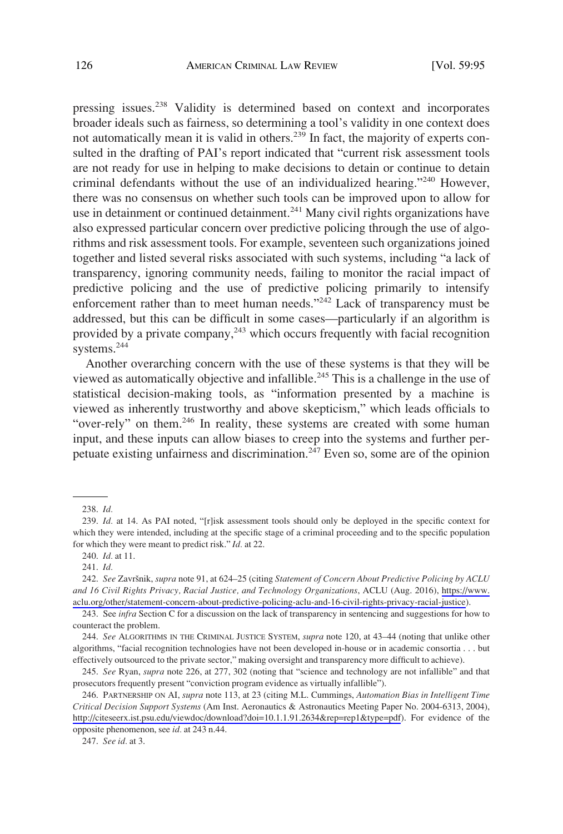pressing issues.238 Validity is determined based on context and incorporates broader ideals such as fairness, so determining a tool's validity in one context does not automatically mean it is valid in others.<sup>239</sup> In fact, the majority of experts consulted in the drafting of PAI's report indicated that "current risk assessment tools are not ready for use in helping to make decisions to detain or continue to detain criminal defendants without the use of an individualized hearing."240 However, there was no consensus on whether such tools can be improved upon to allow for use in detainment or continued detainment.<sup>241</sup> Many civil rights organizations have also expressed particular concern over predictive policing through the use of algorithms and risk assessment tools. For example, seventeen such organizations joined together and listed several risks associated with such systems, including "a lack of transparency, ignoring community needs, failing to monitor the racial impact of predictive policing and the use of predictive policing primarily to intensify enforcement rather than to meet human needs."<sup>242</sup> Lack of transparency must be addressed, but this can be difficult in some cases—particularly if an algorithm is provided by a private company,<sup>243</sup> which occurs frequently with facial recognition systems.<sup>244</sup>

Another overarching concern with the use of these systems is that they will be viewed as automatically objective and infallible.<sup>245</sup> This is a challenge in the use of statistical decision-making tools, as "information presented by a machine is viewed as inherently trustworthy and above skepticism," which leads officials to "over-rely" on them.<sup>246</sup> In reality, these systems are created with some human input, and these inputs can allow biases to creep into the systems and further perpetuate existing unfairness and discrimination.<sup> $2\overline{47}$ </sup> Even so, some are of the opinion

242. See Završnik, *supra* note 91, at 624–25 (citing *Statement of Concern About Predictive Policing by ACLU and 16 Civil Rights Privacy, Racial Justice, and Technology Organizations*, ACLU (Aug. 2016), [https://www.](https://www.aclu.org/other/statement-concern-about-predictive-policing-aclu-and-16-civil-rights-privacy-racial-justice)  [aclu.org/other/statement-concern-about-predictive-policing-aclu-and-16-civil-rights-privacy-racial-justice](https://www.aclu.org/other/statement-concern-about-predictive-policing-aclu-and-16-civil-rights-privacy-racial-justice)).

244. *See* ALGORITHMS IN THE CRIMINAL JUSTICE SYSTEM, *supra* note 120, at 43–44 (noting that unlike other algorithms, "facial recognition technologies have not been developed in-house or in academic consortia . . . but effectively outsourced to the private sector," making oversight and transparency more difficult to achieve).

245. *See* Ryan, *supra* note 226, at 277, 302 (noting that "science and technology are not infallible" and that prosecutors frequently present "conviction program evidence as virtually infallible").

PARTNERSHIP ON AI, *supra* note 113, at 23 (citing M.L. Cummings, *Automation Bias in Intelligent Time*  246. *Critical Decision Support Systems* (Am Inst. Aeronautics & Astronautics Meeting Paper No. 2004-6313, 2004), <http://citeseerx.ist.psu.edu/viewdoc/download?doi=10.1.1.91.2634&rep=rep1&type=pdf>). For evidence of the opposite phenomenon, see *id.* at 243 n.44.

247. *See id.* at 3.

<sup>238.</sup> *Id.* 

<sup>239.</sup> *Id.* at 14. As PAI noted, "[r]isk assessment tools should only be deployed in the specific context for which they were intended, including at the specific stage of a criminal proceeding and to the specific population for which they were meant to predict risk." *Id.* at 22.

<sup>240.</sup> *Id.* at 11.

<sup>241.</sup> *Id.* 

<sup>243.</sup> See *infra* Section C for a discussion on the lack of transparency in sentencing and suggestions for how to counteract the problem.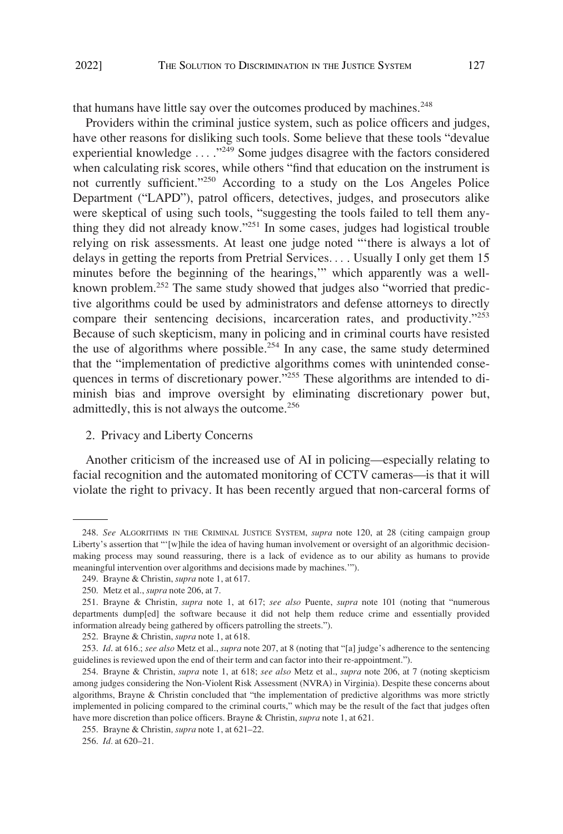<span id="page-32-0"></span>that humans have little say over the outcomes produced by machines.<sup>248</sup>

Providers within the criminal justice system, such as police officers and judges, have other reasons for disliking such tools. Some believe that these tools "devalue experiential knowledge ...."<sup>249</sup> Some judges disagree with the factors considered when calculating risk scores, while others "find that education on the instrument is not currently sufficient."250 According to a study on the Los Angeles Police Department ("LAPD"), patrol officers, detectives, judges, and prosecutors alike were skeptical of using such tools, "suggesting the tools failed to tell them anything they did not already know."251 In some cases, judges had logistical trouble relying on risk assessments. At least one judge noted "'there is always a lot of delays in getting the reports from Pretrial Services. . . . Usually I only get them 15 minutes before the beginning of the hearings,'" which apparently was a wellknown problem.252 The same study showed that judges also "worried that predictive algorithms could be used by administrators and defense attorneys to directly compare their sentencing decisions, incarceration rates, and productivity."<sup>253</sup> Because of such skepticism, many in policing and in criminal courts have resisted the use of algorithms where possible.<sup>254</sup> In any case, the same study determined that the "implementation of predictive algorithms comes with unintended consequences in terms of discretionary power."<sup>255</sup> These algorithms are intended to diminish bias and improve oversight by eliminating discretionary power but, admittedly, this is not always the outcome.<sup>256</sup>

### 2. Privacy and Liberty Concerns

Another criticism of the increased use of AI in policing—especially relating to facial recognition and the automated monitoring of CCTV cameras—is that it will violate the right to privacy. It has been recently argued that non-carceral forms of

<sup>248.</sup> *See* ALGORITHMS IN THE CRIMINAL JUSTICE SYSTEM, *supra* note 120, at 28 (citing campaign group Liberty's assertion that "'[w]hile the idea of having human involvement or oversight of an algorithmic decisionmaking process may sound reassuring, there is a lack of evidence as to our ability as humans to provide meaningful intervention over algorithms and decisions made by machines.'").

<sup>249.</sup> Brayne & Christin, *supra* note 1, at 617.

<sup>250.</sup> Metz et al., *supra* note 206, at 7.

<sup>251.</sup> Brayne & Christin, *supra* note 1, at 617; *see also* Puente, *supra* note 101 (noting that "numerous departments dump[ed] the software because it did not help them reduce crime and essentially provided information already being gathered by officers patrolling the streets.").

<sup>252.</sup> Brayne & Christin, *supra* note 1, at 618.

<sup>253.</sup> *Id*. at 616.; *see also* Metz et al., *supra* note 207, at 8 (noting that "[a] judge's adherence to the sentencing guidelines is reviewed upon the end of their term and can factor into their re-appointment.").

<sup>254.</sup> Brayne & Christin, *supra* note 1, at 618; *see also* Metz et al., *supra* note 206, at 7 (noting skepticism among judges considering the Non-Violent Risk Assessment (NVRA) in Virginia). Despite these concerns about algorithms, Brayne & Christin concluded that "the implementation of predictive algorithms was more strictly implemented in policing compared to the criminal courts," which may be the result of the fact that judges often have more discretion than police officers. Brayne & Christin, *supra* note 1, at 621.

<sup>255.</sup> Brayne & Christin*, supra* note 1, at 621–22.

<sup>256.</sup> *Id.* at 620–21.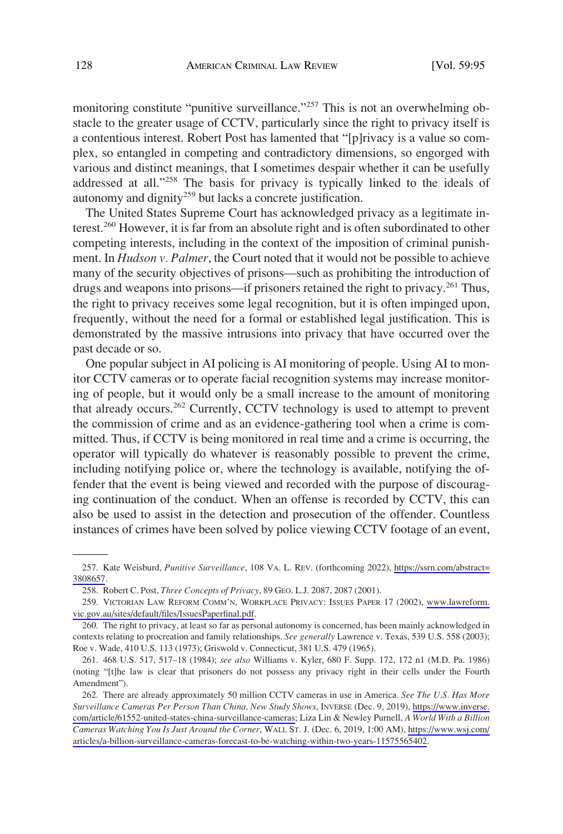monitoring constitute "punitive surveillance."<sup>257</sup> This is not an overwhelming obstacle to the greater usage of CCTV, particularly since the right to privacy itself is a contentious interest. Robert Post has lamented that "[p]rivacy is a value so complex, so entangled in competing and contradictory dimensions, so engorged with various and distinct meanings, that I sometimes despair whether it can be usefully addressed at all."<sup>258</sup> The basis for privacy is typically linked to the ideals of autonomy and dignity<sup>259</sup> but lacks a concrete justification.

The United States Supreme Court has acknowledged privacy as a legitimate interest.260 However, it is far from an absolute right and is often subordinated to other competing interests, including in the context of the imposition of criminal punishment. In *Hudson v. Palmer*, the Court noted that it would not be possible to achieve many of the security objectives of prisons—such as prohibiting the introduction of drugs and weapons into prisons—if prisoners retained the right to privacy.<sup>261</sup> Thus, the right to privacy receives some legal recognition, but it is often impinged upon, frequently, without the need for a formal or established legal justification. This is demonstrated by the massive intrusions into privacy that have occurred over the past decade or so.

One popular subject in AI policing is AI monitoring of people. Using AI to monitor CCTV cameras or to operate facial recognition systems may increase monitoring of people, but it would only be a small increase to the amount of monitoring that already occurs.<sup>262</sup> Currently, CCTV technology is used to attempt to prevent the commission of crime and as an evidence-gathering tool when a crime is committed. Thus, if CCTV is being monitored in real time and a crime is occurring, the operator will typically do whatever is reasonably possible to prevent the crime, including notifying police or, where the technology is available, notifying the offender that the event is being viewed and recorded with the purpose of discouraging continuation of the conduct. When an offense is recorded by CCTV, this can also be used to assist in the detection and prosecution of the offender. Countless instances of crimes have been solved by police viewing CCTV footage of an event,

<sup>257.</sup> Kate Weisburd, *Punitive Surveillance*, 108 VA. L. REV. (forthcoming 2022), [https://ssrn.com/abstract=](https://ssrn.com/abstract=3808657) [3808657.](https://ssrn.com/abstract=3808657)

<sup>258.</sup> Robert C. Post, *Three Concepts of Privacy*, 89 GEO. L.J. 2087, 2087 (2001).

<sup>259.</sup> VICTORIAN LAW REFORM COMM'N, WORKPLACE PRIVACY: ISSUES PAPER 17 (2002), [www.lawreform.](http://www.lawreform.vic.gov.au/sites/default/files/IssuesPaperfinal.pdf) [vic.gov.au/sites/default/files/IssuesPaperfinal.pdf.](http://www.lawreform.vic.gov.au/sites/default/files/IssuesPaperfinal.pdf)

<sup>260.</sup> The right to privacy, at least so far as personal autonomy is concerned, has been mainly acknowledged in contexts relating to procreation and family relationships. *See generally* Lawrence v. Texas, 539 U.S. 558 (2003); Roe v. Wade, 410 U.S. 113 (1973); Griswold v. Connecticut, 381 U.S. 479 (1965).

<sup>261. 468</sup> U.S. 517, 517–18 (1984); *see also* Williams v. Kyler, 680 F. Supp. 172, 172 n1 (M.D. Pa. 1986) (noting "[t]he law is clear that prisoners do not possess any privacy right in their cells under the Fourth Amendment").

<sup>262.</sup> There are already approximately 50 million CCTV cameras in use in America. See The U.S. Has More *Surveillance Cameras Per Person Than China, New Study Shows*, INVERSE (Dec. 9, 2019), [https://www.inverse.](https://www.inverse.com/article/61552-united-states-china-surveillance-cameras) [com/article/61552-united-states-china-surveillance-cameras;](https://www.inverse.com/article/61552-united-states-china-surveillance-cameras) Liza Lin & Newley Purnell, *A World With a Billion Cameras Watching You Is Just Around the Corner*, WALL ST. J. (Dec. 6, 2019, 1:00 AM), [https://www.wsj.com/](https://www.wsj.com/articles/a-billion-surveillance-cameras-forecast-to-be-watching-within-two-years-11575565402)  [articles/a-billion-surveillance-cameras-forecast-to-be-watching-within-two-years-11575565402.](https://www.wsj.com/articles/a-billion-surveillance-cameras-forecast-to-be-watching-within-two-years-11575565402)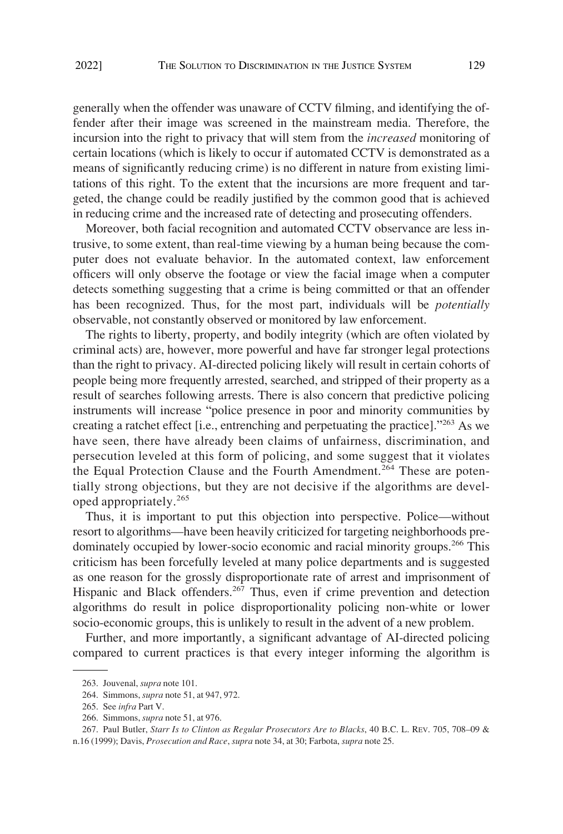generally when the offender was unaware of CCTV filming, and identifying the offender after their image was screened in the mainstream media. Therefore, the incursion into the right to privacy that will stem from the *increased* monitoring of certain locations (which is likely to occur if automated CCTV is demonstrated as a means of significantly reducing crime) is no different in nature from existing limitations of this right. To the extent that the incursions are more frequent and targeted, the change could be readily justified by the common good that is achieved in reducing crime and the increased rate of detecting and prosecuting offenders.

Moreover, both facial recognition and automated CCTV observance are less intrusive, to some extent, than real-time viewing by a human being because the computer does not evaluate behavior. In the automated context, law enforcement officers will only observe the footage or view the facial image when a computer detects something suggesting that a crime is being committed or that an offender has been recognized. Thus, for the most part, individuals will be *potentially*  observable, not constantly observed or monitored by law enforcement.

The rights to liberty, property, and bodily integrity (which are often violated by criminal acts) are, however, more powerful and have far stronger legal protections than the right to privacy. AI-directed policing likely will result in certain cohorts of people being more frequently arrested, searched, and stripped of their property as a result of searches following arrests. There is also concern that predictive policing instruments will increase "police presence in poor and minority communities by creating a ratchet effect [i.e., entrenching and perpetuating the practice]."263 As we have seen, there have already been claims of unfairness, discrimination, and persecution leveled at this form of policing, and some suggest that it violates the Equal Protection Clause and the Fourth Amendment.<sup>264</sup> These are potentially strong objections, but they are not decisive if the algorithms are developed appropriately.<sup>265</sup>

Thus, it is important to put this objection into perspective. Police—without resort to algorithms—have been heavily criticized for targeting neighborhoods predominately occupied by lower-socio economic and racial minority groups.<sup>266</sup> This criticism has been forcefully leveled at many police departments and is suggested as one reason for the grossly disproportionate rate of arrest and imprisonment of Hispanic and Black offenders.<sup>267</sup> Thus, even if crime prevention and detection algorithms do result in police disproportionality policing non-white or lower socio-economic groups, this is unlikely to result in the advent of a new problem.

Further, and more importantly, a significant advantage of AI-directed policing compared to current practices is that every integer informing the algorithm is

<sup>263.</sup> Jouvenal, *supra* note 101.

<sup>264.</sup> Simmons, *supra* note 51, at 947, 972.

<sup>265.</sup> See *infra* Part V.

<sup>266.</sup> Simmons, *supra* note 51, at 976.

<sup>267.</sup> Paul Butler, *Starr Is to Clinton as Regular Prosecutors Are to Blacks*, 40 B.C. L. REV. 705, 708–09 & n.16 (1999); Davis, *Prosecution and Race*, *supra* note 34, at 30; Farbota, *supra* note 25.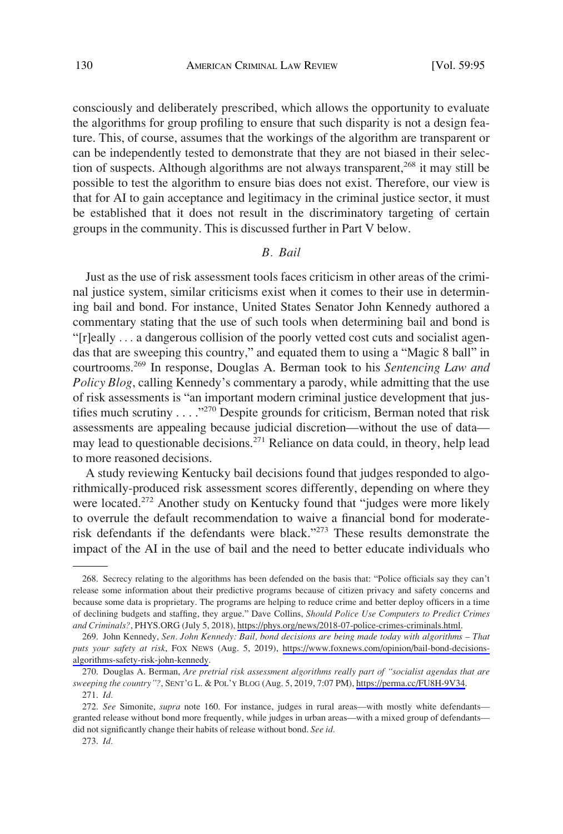<span id="page-35-0"></span>consciously and deliberately prescribed, which allows the opportunity to evaluate the algorithms for group profiling to ensure that such disparity is not a design feature. This, of course, assumes that the workings of the algorithm are transparent or can be independently tested to demonstrate that they are not biased in their selection of suspects. Although algorithms are not always transparent,<sup>268</sup> it may still be possible to test the algorithm to ensure bias does not exist. Therefore, our view is that for AI to gain acceptance and legitimacy in the criminal justice sector, it must be established that it does not result in the discriminatory targeting of certain groups in the community. This is discussed further in Part V below.

### *B. Bail*

Just as the use of risk assessment tools faces criticism in other areas of the criminal justice system, similar criticisms exist when it comes to their use in determining bail and bond. For instance, United States Senator John Kennedy authored a commentary stating that the use of such tools when determining bail and bond is "[r]eally . . . a dangerous collision of the poorly vetted cost cuts and socialist agendas that are sweeping this country," and equated them to using a "Magic 8 ball" in courtrooms.269 In response, Douglas A. Berman took to his *Sentencing Law and Policy Blog*, calling Kennedy's commentary a parody, while admitting that the use of risk assessments is "an important modern criminal justice development that justifies much scrutiny  $\dots$  ."<sup>270</sup> Despite grounds for criticism, Berman noted that risk assessments are appealing because judicial discretion—without the use of data may lead to questionable decisions.271 Reliance on data could, in theory, help lead to more reasoned decisions.

A study reviewing Kentucky bail decisions found that judges responded to algorithmically-produced risk assessment scores differently, depending on where they were located.<sup>272</sup> Another study on Kentucky found that "judges were more likely to overrule the default recommendation to waive a financial bond for moderaterisk defendants if the defendants were black."273 These results demonstrate the impact of the AI in the use of bail and the need to better educate individuals who

<sup>268.</sup> Secrecy relating to the algorithms has been defended on the basis that: "Police officials say they can't release some information about their predictive programs because of citizen privacy and safety concerns and because some data is proprietary. The programs are helping to reduce crime and better deploy officers in a time of declining budgets and staffing, they argue." Dave Collins, *Should Police Use Computers to Predict Crimes and Criminals?*, PHYS.ORG (July 5, 2018), [https://phys.org/news/2018-07-police-crimes-criminals.html.](https://phys.org/news/2018-07-police-crimes-criminals.html)

<sup>269.</sup> John Kennedy, Sen. John Kennedy: Bail, bond decisions are being made today with algorithms - That *puts your safety at risk*, FOX NEWS (Aug. 5, 2019), [https://www.foxnews.com/opinion/bail-bond-decisions](https://www.foxnews.com/opinion/bail-bond-decisions-algorithms-safety-risk-john-kennedy)[algorithms-safety-risk-john-kennedy](https://www.foxnews.com/opinion/bail-bond-decisions-algorithms-safety-risk-john-kennedy).

<sup>270.</sup> Douglas A. Berman, *Are pretrial risk assessment algorithms really part of "socialist agendas that are sweeping the country"?*, SENT'G L. & POL'Y BLOG (Aug. 5, 2019, 7:07 PM), [https://perma.cc/FU8H-9V34.](https://perma.cc/FU8H-9V34) 271. *Id.* 

<sup>272.</sup> *See* Simonite, *supra* note 160. For instance, judges in rural areas—with mostly white defendants granted release without bond more frequently, while judges in urban areas—with a mixed group of defendants did not significantly change their habits of release without bond. *See id.* 

<sup>273.</sup> *Id.*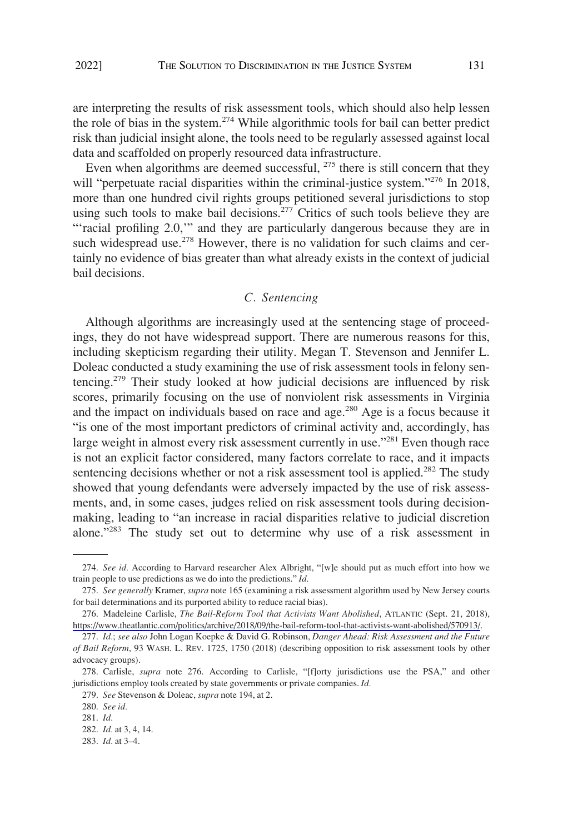<span id="page-36-0"></span>are interpreting the results of risk assessment tools, which should also help lessen the role of bias in the system.274 While algorithmic tools for bail can better predict risk than judicial insight alone, the tools need to be regularly assessed against local data and scaffolded on properly resourced data infrastructure.

Even when algorithms are deemed successful, <sup>275</sup> there is still concern that they will "perpetuate racial disparities within the criminal-justice system."<sup>276</sup> In 2018, more than one hundred civil rights groups petitioned several jurisdictions to stop using such tools to make bail decisions.<sup>277</sup> Critics of such tools believe they are "'racial profiling 2.0," and they are particularly dangerous because they are in such widespread use.<sup>278</sup> However, there is no validation for such claims and certainly no evidence of bias greater than what already exists in the context of judicial bail decisions.

# *C. Sentencing*

Although algorithms are increasingly used at the sentencing stage of proceedings, they do not have widespread support. There are numerous reasons for this, including skepticism regarding their utility. Megan T. Stevenson and Jennifer L. Doleac conducted a study examining the use of risk assessment tools in felony sentencing.279 Their study looked at how judicial decisions are influenced by risk scores, primarily focusing on the use of nonviolent risk assessments in Virginia and the impact on individuals based on race and age.<sup>280</sup> Age is a focus because it "is one of the most important predictors of criminal activity and, accordingly, has large weight in almost every risk assessment currently in use."<sup>281</sup> Even though race is not an explicit factor considered, many factors correlate to race, and it impacts sentencing decisions whether or not a risk assessment tool is applied.<sup>282</sup> The study showed that young defendants were adversely impacted by the use of risk assessments, and, in some cases, judges relied on risk assessment tools during decisionmaking, leading to "an increase in racial disparities relative to judicial discretion alone."283 The study set out to determine why use of a risk assessment in

<sup>274.</sup> *See id.* According to Harvard researcher Alex Albright, "[w]e should put as much effort into how we train people to use predictions as we do into the predictions." *Id.* 

<sup>275.</sup> *See generally* Kramer, *supra* note 165 (examining a risk assessment algorithm used by New Jersey courts for bail determinations and its purported ability to reduce racial bias).

<sup>276.</sup> Madeleine Carlisle, *The Bail-Reform Tool that Activists Want Abolished*, ATLANTIC (Sept. 21, 2018), [https://www.theatlantic.com/politics/archive/2018/09/the-bail-reform-tool-that-activists-want-abolished/570913/.](https://www.theatlantic.com/politics/archive/2018/09/the-bail-reform-tool-that-activists-want-abolished/570913/)

<sup>277.</sup> *Id.*; *see also* John Logan Koepke & David G. Robinson, *Danger Ahead: Risk Assessment and the Future of Bail Reform*, 93 WASH. L. REV. 1725, 1750 (2018) (describing opposition to risk assessment tools by other advocacy groups).

<sup>278.</sup> Carlisle, *supra* note 276. According to Carlisle, "[f]orty jurisdictions use the PSA," and other jurisdictions employ tools created by state governments or private companies. *Id.* 

<sup>279.</sup> *See* Stevenson & Doleac, *supra* note 194, at 2.

<sup>280.</sup> *See id.* 

<sup>281.</sup> *Id.* 

<sup>282.</sup> *Id.* at 3, 4, 14.

<sup>283.</sup> *Id.* at 3–4.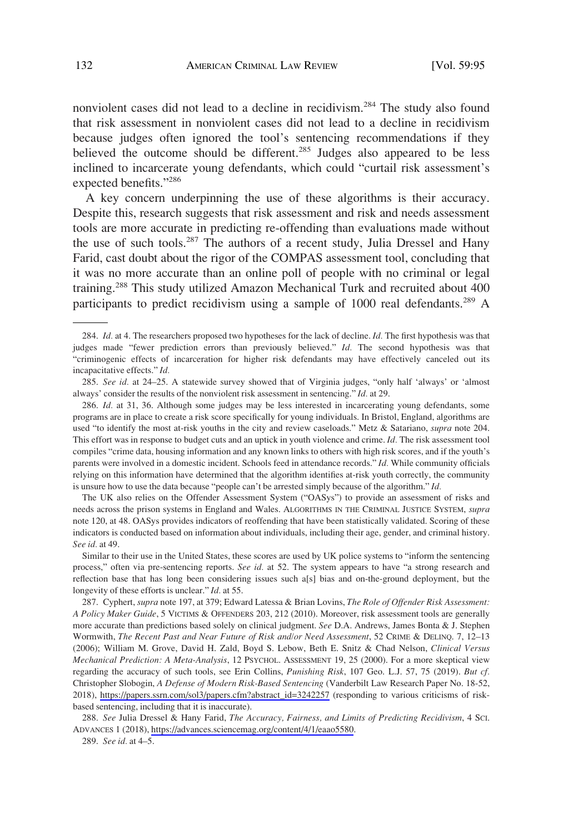nonviolent cases did not lead to a decline in recidivism.<sup>284</sup> The study also found that risk assessment in nonviolent cases did not lead to a decline in recidivism because judges often ignored the tool's sentencing recommendations if they believed the outcome should be different.<sup>285</sup> Judges also appeared to be less inclined to incarcerate young defendants, which could "curtail risk assessment's expected benefits."286

A key concern underpinning the use of these algorithms is their accuracy. Despite this, research suggests that risk assessment and risk and needs assessment tools are more accurate in predicting re-offending than evaluations made without the use of such tools.<sup>287</sup> The authors of a recent study, Julia Dressel and Hany Farid, cast doubt about the rigor of the COMPAS assessment tool, concluding that it was no more accurate than an online poll of people with no criminal or legal training.<sup>288</sup> This study utilized Amazon Mechanical Turk and recruited about 400 participants to predict recidivism using a sample of 1000 real defendants.<sup>289</sup> A

The UK also relies on the Offender Assessment System ("OASys") to provide an assessment of risks and needs across the prison systems in England and Wales. ALGORITHMS IN THE CRIMINAL JUSTICE SYSTEM, *supra*  note 120, at 48. OASys provides indicators of reoffending that have been statistically validated. Scoring of these indicators is conducted based on information about individuals, including their age, gender, and criminal history. *See id.* at 49.

Similar to their use in the United States, these scores are used by UK police systems to "inform the sentencing process," often via pre-sentencing reports. *See id.* at 52. The system appears to have "a strong research and reflection base that has long been considering issues such a[s] bias and on-the-ground deployment, but the longevity of these efforts is unclear." *Id.* at 55.

Cyphert, *supra* note 197, at 379; Edward Latessa & Brian Lovins, *The Role of Offender Risk Assessment:*  287. *A Policy Maker Guide*, 5 VICTIMS & OFFENDERS 203, 212 (2010). Moreover, risk assessment tools are generally more accurate than predictions based solely on clinical judgment. *See* D.A. Andrews, James Bonta & J. Stephen Wormwith, *The Recent Past and Near Future of Risk and/or Need Assessment*, 52 CRIME & DELINQ. 7, 12–13 (2006); William M. Grove, David H. Zald, Boyd S. Lebow, Beth E. Snitz & Chad Nelson, *Clinical Versus Mechanical Prediction: A Meta-Analysis*, 12 PSYCHOL. ASSESSMENT 19, 25 (2000). For a more skeptical view regarding the accuracy of such tools, see Erin Collins, *Punishing Risk*, 107 Geo. L.J. 57, 75 (2019). *But cf.*  Christopher Slobogin, *A Defense of Modern Risk-Based Sentencing* (Vanderbilt Law Research Paper No. 18-52, 2018), [https://papers.ssrn.com/sol3/papers.cfm?abstract\\_id=3242257](https://papers.ssrn.com/sol3/papers.cfm?abstract_id=3242257) (responding to various criticisms of riskbased sentencing, including that it is inaccurate).

*See* Julia Dressel & Hany Farid, *The Accuracy, Fairness, and Limits of Predicting Recidivism*, 4 SCI. 288. ADVANCES 1 (2018), <https://advances.sciencemag.org/content/4/1/eaao5580>.

289. *See id.* at 4–5.

<sup>284.</sup> *Id.* at 4. The researchers proposed two hypotheses for the lack of decline. *Id.* The first hypothesis was that judges made "fewer prediction errors than previously believed." *Id.* The second hypothesis was that "criminogenic effects of incarceration for higher risk defendants may have effectively canceled out its incapacitative effects." *Id.* 

<sup>285.</sup> *See id.* at 24–25. A statewide survey showed that of Virginia judges, "only half 'always' or 'almost always' consider the results of the nonviolent risk assessment in sentencing." *Id.* at 29.

<sup>286.</sup> *Id.* at 31, 36. Although some judges may be less interested in incarcerating young defendants, some programs are in place to create a risk score specifically for young individuals. In Bristol, England, algorithms are used "to identify the most at-risk youths in the city and review caseloads." Metz & Satariano, *supra* note 204. This effort was in response to budget cuts and an uptick in youth violence and crime. *Id.* The risk assessment tool compiles "crime data, housing information and any known links to others with high risk scores, and if the youth's parents were involved in a domestic incident. Schools feed in attendance records." *Id.* While community officials relying on this information have determined that the algorithm identifies at-risk youth correctly, the community is unsure how to use the data because "people can't be arrested simply because of the algorithm." *Id.*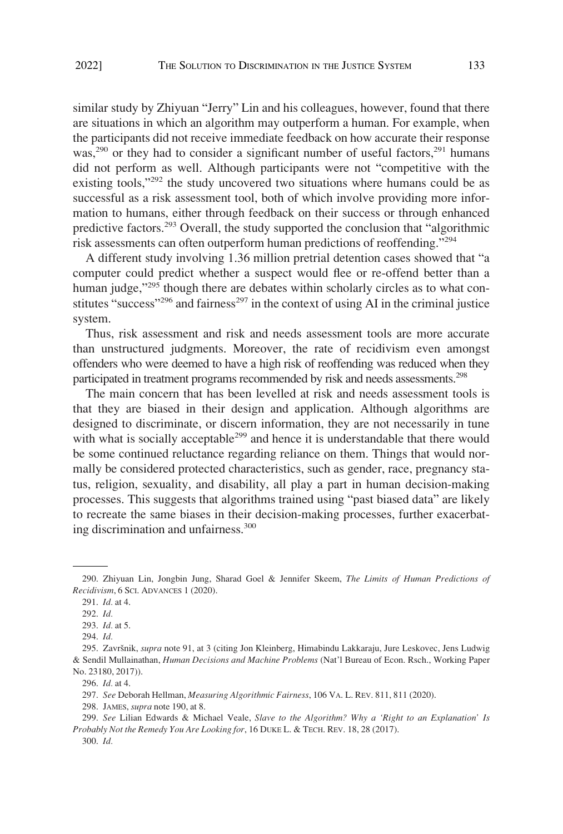similar study by Zhiyuan "Jerry" Lin and his colleagues, however, found that there are situations in which an algorithm may outperform a human. For example, when the participants did not receive immediate feedback on how accurate their response was,<sup>290</sup> or they had to consider a significant number of useful factors,<sup>291</sup> humans did not perform as well. Although participants were not "competitive with the existing tools,"<sup>292</sup> the study uncovered two situations where humans could be as successful as a risk assessment tool, both of which involve providing more information to humans, either through feedback on their success or through enhanced predictive factors.293 Overall, the study supported the conclusion that "algorithmic risk assessments can often outperform human predictions of reoffending."<sup>294</sup>

A different study involving 1.36 million pretrial detention cases showed that "a computer could predict whether a suspect would flee or re-offend better than a human judge,"295 though there are debates within scholarly circles as to what constitutes "success"<sup>296</sup> and fairness<sup>297</sup> in the context of using AI in the criminal justice system.

Thus, risk assessment and risk and needs assessment tools are more accurate than unstructured judgments. Moreover, the rate of recidivism even amongst offenders who were deemed to have a high risk of reoffending was reduced when they participated in treatment programs recommended by risk and needs assessments.<sup>298</sup>

The main concern that has been levelled at risk and needs assessment tools is that they are biased in their design and application. Although algorithms are designed to discriminate, or discern information, they are not necessarily in tune with what is socially acceptable<sup>299</sup> and hence it is understandable that there would be some continued reluctance regarding reliance on them. Things that would normally be considered protected characteristics, such as gender, race, pregnancy status, religion, sexuality, and disability, all play a part in human decision-making processes. This suggests that algorithms trained using "past biased data" are likely to recreate the same biases in their decision-making processes, further exacerbating discrimination and unfairness.<sup>300</sup>

<sup>290.</sup> Zhiyuan Lin, Jongbin Jung, Sharad Goel & Jennifer Skeem, *The Limits of Human Predictions of Recidivism*, 6 SCI. ADVANCES 1 (2020).

<sup>291.</sup> *Id.* at 4.

<sup>292.</sup> *Id.* 

<sup>293.</sup> *Id.* at 5.

<sup>294.</sup> *Id.* 

<sup>295.</sup> Završnik, *supra* note 91, at 3 (citing Jon Kleinberg, Himabindu Lakkaraju, Jure Leskovec, Jens Ludwig & Sendil Mullainathan, *Human Decisions and Machine Problems* (Nat'l Bureau of Econ. Rsch., Working Paper No. 23180, 2017)).

<sup>296.</sup> *Id.* at 4.

<sup>297.</sup> *See* Deborah Hellman, *Measuring Algorithmic Fairness*, 106 VA. L. REV. 811, 811 (2020).

<sup>298.</sup> JAMES, *supra* note 190, at 8.

<sup>299.</sup> *See* Lilian Edwards & Michael Veale, *Slave to the Algorithm? Why a 'Right to an Explanation' Is Probably Not the Remedy You Are Looking for*, 16 DUKE L. & TECH. REV. 18, 28 (2017).

<sup>300.</sup> *Id.*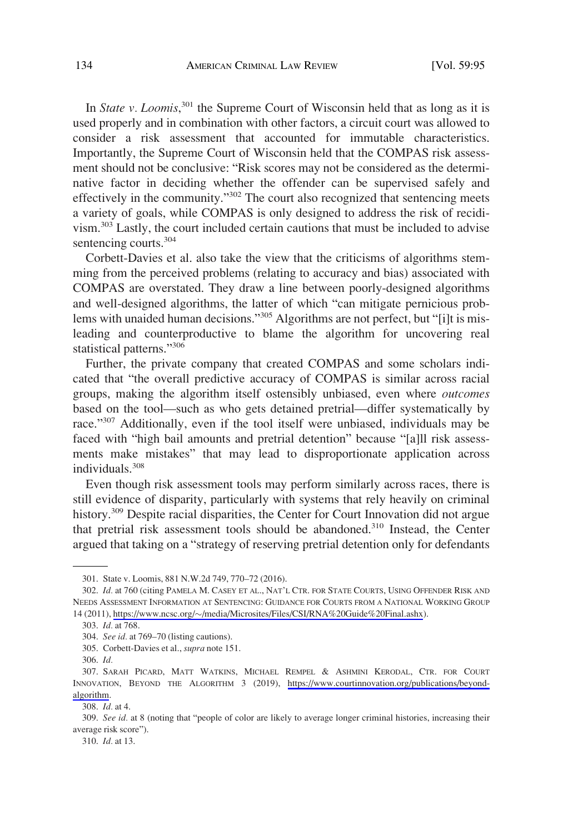In *State v. Loomis*,<sup>301</sup> the Supreme Court of Wisconsin held that as long as it is used properly and in combination with other factors, a circuit court was allowed to consider a risk assessment that accounted for immutable characteristics. Importantly, the Supreme Court of Wisconsin held that the COMPAS risk assessment should not be conclusive: "Risk scores may not be considered as the determinative factor in deciding whether the offender can be supervised safely and effectively in the community."<sup>302</sup> The court also recognized that sentencing meets a variety of goals, while COMPAS is only designed to address the risk of recidivism.303 Lastly, the court included certain cautions that must be included to advise sentencing courts.<sup>304</sup>

Corbett-Davies et al. also take the view that the criticisms of algorithms stemming from the perceived problems (relating to accuracy and bias) associated with COMPAS are overstated. They draw a line between poorly-designed algorithms and well-designed algorithms, the latter of which "can mitigate pernicious problems with unaided human decisions."<sup>305</sup> Algorithms are not perfect, but "[i]t is misleading and counterproductive to blame the algorithm for uncovering real statistical patterns."<sup>306</sup>

Further, the private company that created COMPAS and some scholars indicated that "the overall predictive accuracy of COMPAS is similar across racial groups, making the algorithm itself ostensibly unbiased, even where *outcomes*  based on the tool—such as who gets detained pretrial—differ systematically by race."<sup>307</sup> Additionally, even if the tool itself were unbiased, individuals may be faced with "high bail amounts and pretrial detention" because "[a]ll risk assessments make mistakes" that may lead to disproportionate application across individuals.308

Even though risk assessment tools may perform similarly across races, there is still evidence of disparity, particularly with systems that rely heavily on criminal history.<sup>309</sup> Despite racial disparities, the Center for Court Innovation did not argue that pretrial risk assessment tools should be abandoned.<sup>310</sup> Instead, the Center argued that taking on a "strategy of reserving pretrial detention only for defendants

<sup>301.</sup> State v. Loomis, 881 N.W.2d 749, 770–72 (2016).

<sup>302.</sup> Id. at 760 (citing PAMELA M. CASEY ET AL., NAT'L CTR. FOR STATE COURTS, USING OFFENDER RISK AND NEEDS ASSESSMENT INFORMATION AT SENTENCING: GUIDANCE FOR COURTS FROM A NATIONAL WORKING GROUP 14 (2011), https://www.ncsc.org/�[/media/Microsites/Files/CSI/RNA%20Guide%20Final.ashx](https://www.ncsc.org/~/media/Microsites/Files/CSI/RNA&hx0025;20Guide&hx0025;20Final.ashx)).

<sup>303.</sup> *Id.* at 768.

<sup>304.</sup> *See id.* at 769–70 (listing cautions).

<sup>305.</sup> Corbett-Davies et al., *supra* note 151.

<sup>306.</sup> *Id.* 

<sup>307.</sup> SARAH PICARD, MATT WATKINS, MICHAEL REMPEL & ASHMINI KERODAL, CTR. FOR COURT INNOVATION, BEYOND THE ALGORITHM 3 (2019), [https://www.courtinnovation.org/publications/beyond](https://www.courtinnovation.org/publications/beyond-algorithm)[algorithm](https://www.courtinnovation.org/publications/beyond-algorithm).

<sup>308.</sup> *Id.* at 4.

<sup>309.</sup> *See id.* at 8 (noting that "people of color are likely to average longer criminal histories, increasing their average risk score").

<sup>310.</sup> *Id.* at 13.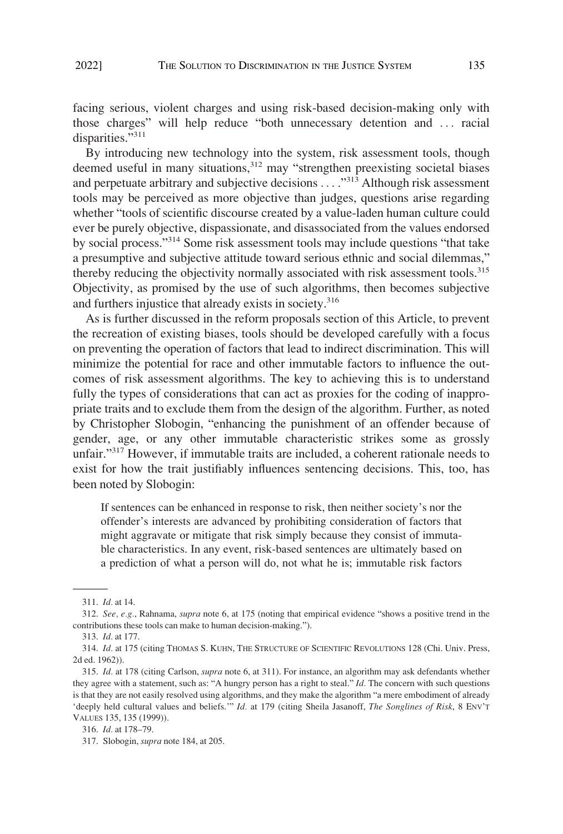facing serious, violent charges and using risk-based decision-making only with those charges" will help reduce "both unnecessary detention and . . . racial disparities."<sup>311</sup>

By introducing new technology into the system, risk assessment tools, though deemed useful in many situations,<sup>312</sup> may "strengthen preexisting societal biases and perpetuate arbitrary and subjective decisions . . . ."313 Although risk assessment tools may be perceived as more objective than judges, questions arise regarding whether "tools of scientific discourse created by a value-laden human culture could ever be purely objective, dispassionate, and disassociated from the values endorsed by social process."314 Some risk assessment tools may include questions "that take a presumptive and subjective attitude toward serious ethnic and social dilemmas," thereby reducing the objectivity normally associated with risk assessment tools.<sup>315</sup> Objectivity, as promised by the use of such algorithms, then becomes subjective and furthers injustice that already exists in society.<sup>316</sup>

As is further discussed in the reform proposals section of this Article, to prevent the recreation of existing biases, tools should be developed carefully with a focus on preventing the operation of factors that lead to indirect discrimination. This will minimize the potential for race and other immutable factors to influence the outcomes of risk assessment algorithms. The key to achieving this is to understand fully the types of considerations that can act as proxies for the coding of inappropriate traits and to exclude them from the design of the algorithm. Further, as noted by Christopher Slobogin, "enhancing the punishment of an offender because of gender, age, or any other immutable characteristic strikes some as grossly unfair."<sup>317</sup> However, if immutable traits are included, a coherent rationale needs to exist for how the trait justifiably influences sentencing decisions. This, too, has been noted by Slobogin:

If sentences can be enhanced in response to risk, then neither society's nor the offender's interests are advanced by prohibiting consideration of factors that might aggravate or mitigate that risk simply because they consist of immutable characteristics. In any event, risk-based sentences are ultimately based on a prediction of what a person will do, not what he is; immutable risk factors

<sup>311.</sup> *Id.* at 14.

<sup>312.</sup> *See, e.g.*, Rahnama, *supra* note 6, at 175 (noting that empirical evidence "shows a positive trend in the contributions these tools can make to human decision-making.").

<sup>313.</sup> *Id.* at 177.

<sup>314.</sup> *Id.* at 175 (citing THOMAS S. KUHN, THE STRUCTURE OF SCIENTIFIC REVOLUTIONS 128 (Chi. Univ. Press, 2d ed. 1962)).

<sup>315.</sup> *Id.* at 178 (citing Carlson, *supra* note 6, at 311). For instance, an algorithm may ask defendants whether they agree with a statement, such as: "A hungry person has a right to steal." *Id.* The concern with such questions is that they are not easily resolved using algorithms, and they make the algorithm "a mere embodiment of already 'deeply held cultural values and beliefs.'" *Id.* at 179 (citing Sheila Jasanoff, *The Songlines of Risk*, 8 ENV'T VALUES 135, 135 (1999)).

<sup>316.</sup> *Id.* at 178–79.

<sup>317.</sup> Slobogin, *supra* note 184, at 205.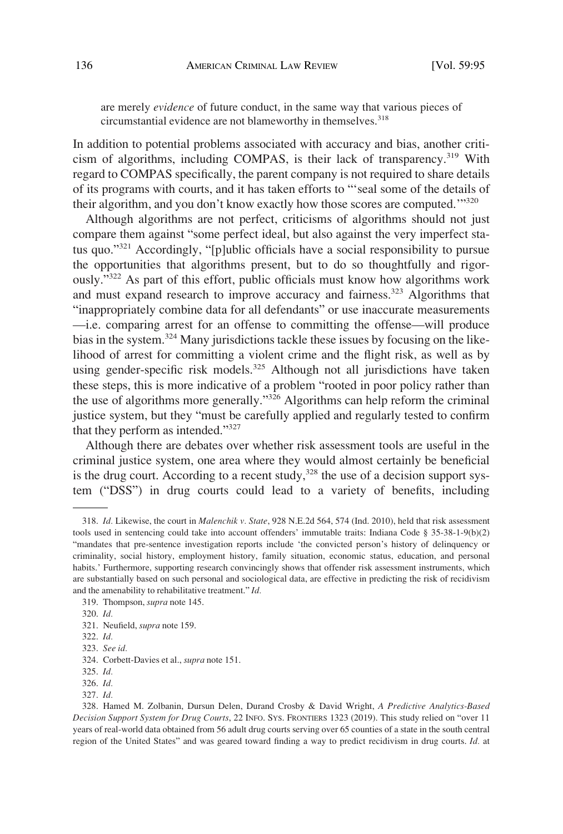are merely *evidence* of future conduct, in the same way that various pieces of circumstantial evidence are not blameworthy in themselves.<sup>318</sup>

In addition to potential problems associated with accuracy and bias, another criticism of algorithms, including COMPAS, is their lack of transparency.<sup>319</sup> With regard to COMPAS specifically, the parent company is not required to share details of its programs with courts, and it has taken efforts to "'seal some of the details of their algorithm, and you don't know exactly how those scores are computed.'"<sup>320</sup>

Although algorithms are not perfect, criticisms of algorithms should not just compare them against "some perfect ideal, but also against the very imperfect status quo."321 Accordingly, "[p]ublic officials have a social responsibility to pursue the opportunities that algorithms present, but to do so thoughtfully and rigorously."322 As part of this effort, public officials must know how algorithms work and must expand research to improve accuracy and fairness.<sup>323</sup> Algorithms that "inappropriately combine data for all defendants" or use inaccurate measurements —i.e. comparing arrest for an offense to committing the offense—will produce bias in the system.<sup>324</sup> Many jurisdictions tackle these issues by focusing on the likelihood of arrest for committing a violent crime and the flight risk, as well as by using gender-specific risk models.<sup>325</sup> Although not all jurisdictions have taken these steps, this is more indicative of a problem "rooted in poor policy rather than the use of algorithms more generally."326 Algorithms can help reform the criminal justice system, but they "must be carefully applied and regularly tested to confirm that they perform as intended."<sup>327</sup>

Although there are debates over whether risk assessment tools are useful in the criminal justice system, one area where they would almost certainly be beneficial is the drug court. According to a recent study, $328$  the use of a decision support system ("DSS") in drug courts could lead to a variety of benefits, including

<sup>318.</sup> *Id.* Likewise, the court in *Malenchik v. State*, 928 N.E.2d 564, 574 (Ind. 2010), held that risk assessment tools used in sentencing could take into account offenders' immutable traits: Indiana Code § 35-38-1-9(b)(2) "mandates that pre-sentence investigation reports include 'the convicted person's history of delinquency or criminality, social history, employment history, family situation, economic status, education, and personal habits.' Furthermore, supporting research convincingly shows that offender risk assessment instruments, which are substantially based on such personal and sociological data, are effective in predicting the risk of recidivism and the amenability to rehabilitative treatment." *Id.* 

<sup>319.</sup> Thompson, *supra* note 145.

<sup>320.</sup> *Id.* 

<sup>321.</sup> Neufield, *supra* note 159.

<sup>322.</sup> *Id.* 

<sup>323.</sup> *See id.* 

<sup>324.</sup> Corbett-Davies et al., *supra* note 151.

<sup>325.</sup> *Id.* 

<sup>326.</sup> *Id.* 

<sup>327.</sup> *Id.* 

<sup>328.</sup> Hamed M. Zolbanin, Dursun Delen, Durand Crosby & David Wright, *A Predictive Analytics-Based Decision Support System for Drug Courts*, 22 INFO. SYS. FRONTIERS 1323 (2019). This study relied on "over 11 years of real-world data obtained from 56 adult drug courts serving over 65 counties of a state in the south central region of the United States" and was geared toward finding a way to predict recidivism in drug courts. *Id.* at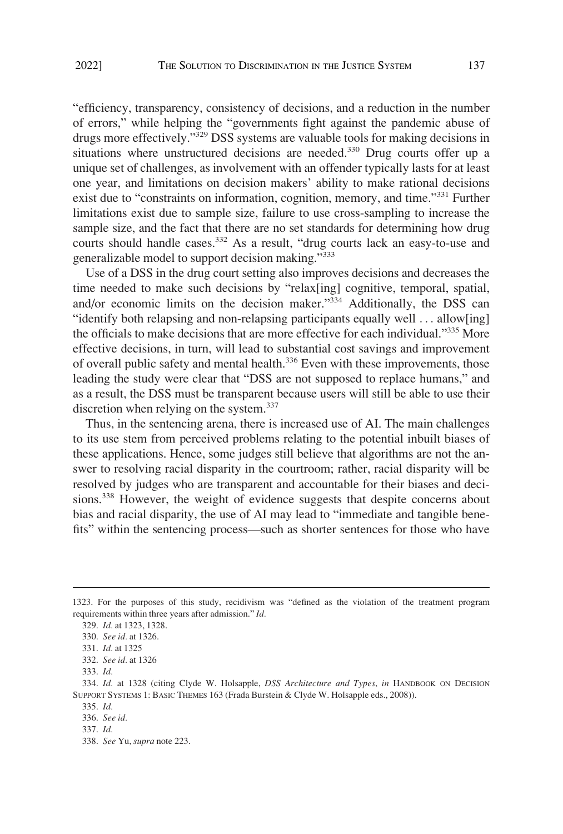"efficiency, transparency, consistency of decisions, and a reduction in the number of errors," while helping the "governments fight against the pandemic abuse of drugs more effectively."329 DSS systems are valuable tools for making decisions in situations where unstructured decisions are needed. $330$  Drug courts offer up a unique set of challenges, as involvement with an offender typically lasts for at least one year, and limitations on decision makers' ability to make rational decisions exist due to "constraints on information, cognition, memory, and time."<sup>331</sup> Further limitations exist due to sample size, failure to use cross-sampling to increase the sample size, and the fact that there are no set standards for determining how drug courts should handle cases.<sup>332</sup> As a result, "drug courts lack an easy-to-use and generalizable model to support decision making."<sup>333</sup>

Use of a DSS in the drug court setting also improves decisions and decreases the time needed to make such decisions by "relax[ing] cognitive, temporal, spatial, and/or economic limits on the decision maker."<sup>334</sup> Additionally, the DSS can "identify both relapsing and non-relapsing participants equally well . . . allow[ing] the officials to make decisions that are more effective for each individual."335 More effective decisions, in turn, will lead to substantial cost savings and improvement of overall public safety and mental health.<sup>336</sup> Even with these improvements, those leading the study were clear that "DSS are not supposed to replace humans," and as a result, the DSS must be transparent because users will still be able to use their discretion when relying on the system.<sup>337</sup>

Thus, in the sentencing arena, there is increased use of AI. The main challenges to its use stem from perceived problems relating to the potential inbuilt biases of these applications. Hence, some judges still believe that algorithms are not the answer to resolving racial disparity in the courtroom; rather, racial disparity will be resolved by judges who are transparent and accountable for their biases and decisions.<sup>338</sup> However, the weight of evidence suggests that despite concerns about bias and racial disparity, the use of AI may lead to "immediate and tangible benefits" within the sentencing process—such as shorter sentences for those who have

<sup>1323.</sup> For the purposes of this study, recidivism was "defined as the violation of the treatment program requirements within three years after admission." *Id.* 

<sup>329.</sup> *Id.* at 1323, 1328.

<sup>330.</sup> *See id.* at 1326.

<sup>331.</sup> *Id.* at 1325

<sup>332.</sup> *See id.* at 1326

<sup>333.</sup> *Id.* 

<sup>334.</sup> *Id.* at 1328 (citing Clyde W. Holsapple, *DSS Architecture and Types*, *in* HANDBOOK ON DECISION SUPPORT SYSTEMS 1: BASIC THEMES 163 (Frada Burstein & Clyde W. Holsapple eds., 2008)).

<sup>335.</sup> *Id.* 

<sup>336.</sup> *See id.* 

<sup>337.</sup> *Id.* 

<sup>338.</sup> *See* Yu, *supra* note 223.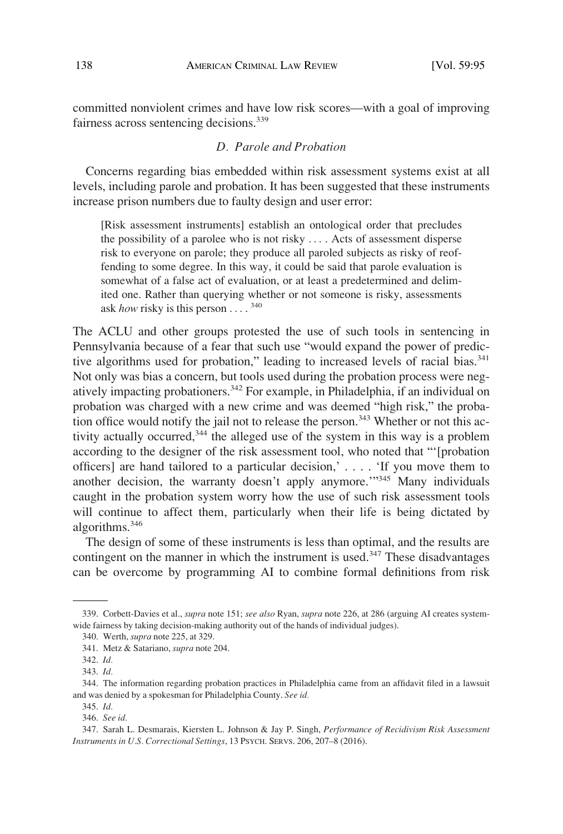<span id="page-43-0"></span>committed nonviolent crimes and have low risk scores—with a goal of improving fairness across sentencing decisions.<sup>339</sup>

# *D. Parole and Probation*

Concerns regarding bias embedded within risk assessment systems exist at all levels, including parole and probation. It has been suggested that these instruments increase prison numbers due to faulty design and user error:

[Risk assessment instruments] establish an ontological order that precludes the possibility of a parolee who is not risky . . . . Acts of assessment disperse risk to everyone on parole; they produce all paroled subjects as risky of reoffending to some degree. In this way, it could be said that parole evaluation is somewhat of a false act of evaluation, or at least a predetermined and delimited one. Rather than querying whether or not someone is risky, assessments ask *how* risky is this person . . . . <sup>340</sup>

The ACLU and other groups protested the use of such tools in sentencing in Pennsylvania because of a fear that such use "would expand the power of predictive algorithms used for probation," leading to increased levels of racial bias.<sup>341</sup> Not only was bias a concern, but tools used during the probation process were negatively impacting probationers.342 For example, in Philadelphia, if an individual on probation was charged with a new crime and was deemed "high risk," the probation office would notify the jail not to release the person.<sup>343</sup> Whether or not this activity actually occurred,<sup>344</sup> the alleged use of the system in this way is a problem according to the designer of the risk assessment tool, who noted that "'[probation officers] are hand tailored to a particular decision,' . . . . 'If you move them to another decision, the warranty doesn't apply anymore.<sup>"345</sup> Many individuals caught in the probation system worry how the use of such risk assessment tools will continue to affect them, particularly when their life is being dictated by algorithms. $346$ 

The design of some of these instruments is less than optimal, and the results are contingent on the manner in which the instrument is used.<sup>347</sup> These disadvantages can be overcome by programming AI to combine formal definitions from risk

<sup>339.</sup> Corbett-Davies et al., *supra* note 151; *see also* Ryan, *supra* note 226, at 286 (arguing AI creates systemwide fairness by taking decision-making authority out of the hands of individual judges).

<sup>340.</sup> Werth, *supra* note 225, at 329.

<sup>341.</sup> Metz & Satariano, *supra* note 204.

<sup>342.</sup> *Id.* 

<sup>343.</sup> *Id.* 

<sup>344.</sup> The information regarding probation practices in Philadelphia came from an affidavit filed in a lawsuit and was denied by a spokesman for Philadelphia County. *See id.* 

<sup>345.</sup> *Id.* 

<sup>346.</sup> *See id.* 

<sup>347.</sup> Sarah L. Desmarais, Kiersten L. Johnson & Jay P. Singh, *Performance of Recidivism Risk Assessment Instruments in U.S. Correctional Settings*, 13 PSYCH. SERVS. 206, 207–8 (2016).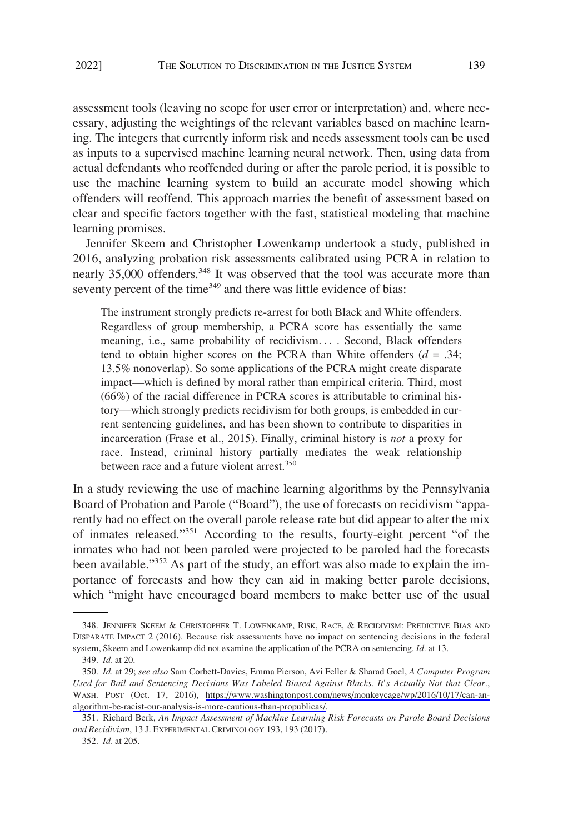assessment tools (leaving no scope for user error or interpretation) and, where necessary, adjusting the weightings of the relevant variables based on machine learning. The integers that currently inform risk and needs assessment tools can be used as inputs to a supervised machine learning neural network. Then, using data from actual defendants who reoffended during or after the parole period, it is possible to use the machine learning system to build an accurate model showing which offenders will reoffend. This approach marries the benefit of assessment based on clear and specific factors together with the fast, statistical modeling that machine learning promises.

Jennifer Skeem and Christopher Lowenkamp undertook a study, published in 2016, analyzing probation risk assessments calibrated using PCRA in relation to nearly 35,000 offenders.<sup>348</sup> It was observed that the tool was accurate more than seventy percent of the time<sup>349</sup> and there was little evidence of bias:

The instrument strongly predicts re-arrest for both Black and White offenders. Regardless of group membership, a PCRA score has essentially the same meaning, i.e., same probability of recidivism. . . . Second, Black offenders tend to obtain higher scores on the PCRA than White offenders  $(d = .34;$ 13.5% nonoverlap). So some applications of the PCRA might create disparate impact—which is defined by moral rather than empirical criteria. Third, most (66%) of the racial difference in PCRA scores is attributable to criminal history—which strongly predicts recidivism for both groups, is embedded in current sentencing guidelines, and has been shown to contribute to disparities in incarceration (Frase et al., 2015). Finally, criminal history is *not* a proxy for race. Instead, criminal history partially mediates the weak relationship between race and a future violent arrest.<sup>350</sup>

In a study reviewing the use of machine learning algorithms by the Pennsylvania Board of Probation and Parole ("Board"), the use of forecasts on recidivism "apparently had no effect on the overall parole release rate but did appear to alter the mix of inmates released."351 According to the results, fourty-eight percent "of the inmates who had not been paroled were projected to be paroled had the forecasts been available."<sup>352</sup> As part of the study, an effort was also made to explain the importance of forecasts and how they can aid in making better parole decisions, which "might have encouraged board members to make better use of the usual

<sup>348.</sup> JENNIFER SKEEM & CHRISTOPHER T. LOWENKAMP, RISK, RACE, & RECIDIVISM: PREDICTIVE BIAS AND DISPARATE IMPACT 2 (2016). Because risk assessments have no impact on sentencing decisions in the federal system, Skeem and Lowenkamp did not examine the application of the PCRA on sentencing. *Id.* at 13.

<sup>349.</sup> *Id.* at 20.

*Id.* at 29; *see also* Sam Corbett-Davies, Emma Pierson, Avi Feller & Sharad Goel, *A Computer Program*  350. *Used for Bail and Sentencing Decisions Was Labeled Biased Against Blacks. It's Actually Not that Clear.*, WASH. POST (Oct. 17, 2016), [https://www.washingtonpost.com/news/monkeycage/wp/2016/10/17/can-an](https://www.washingtonpost.com/news/monkeycage/wp/2016/10/17/can-an-algorithm-be-racist-our-analysis-is-more-cautious-than-propublicas/)[algorithm-be-racist-our-analysis-is-more-cautious-than-propublicas/](https://www.washingtonpost.com/news/monkeycage/wp/2016/10/17/can-an-algorithm-be-racist-our-analysis-is-more-cautious-than-propublicas/).

<sup>351.</sup> Richard Berk, *An Impact Assessment of Machine Learning Risk Forecasts on Parole Board Decisions and Recidivism*, 13 J. EXPERIMENTAL CRIMINOLOGY 193, 193 (2017).

<sup>352.</sup> *Id.* at 205.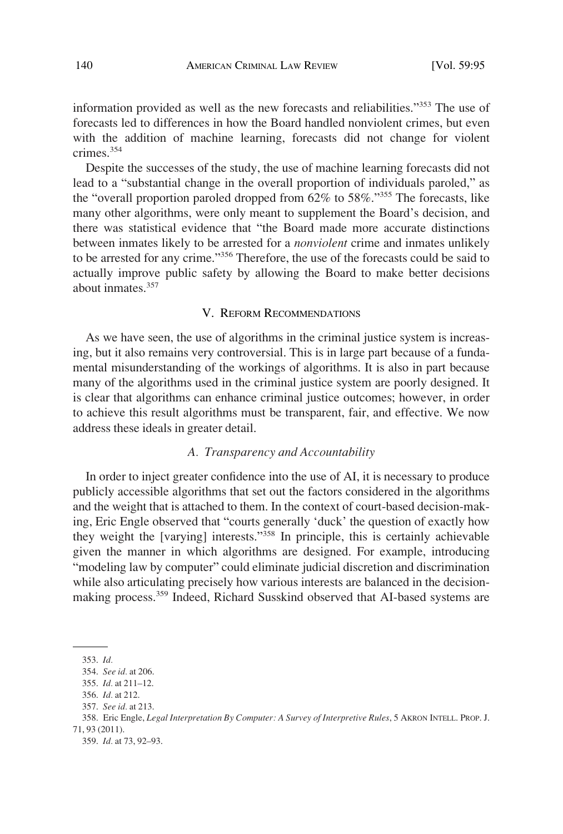<span id="page-45-0"></span>information provided as well as the new forecasts and reliabilities."353 The use of forecasts led to differences in how the Board handled nonviolent crimes, but even with the addition of machine learning, forecasts did not change for violent crimes.354

Despite the successes of the study, the use of machine learning forecasts did not lead to a "substantial change in the overall proportion of individuals paroled," as the "overall proportion paroled dropped from 62% to 58%."355 The forecasts, like many other algorithms, were only meant to supplement the Board's decision, and there was statistical evidence that "the Board made more accurate distinctions between inmates likely to be arrested for a *nonviolent* crime and inmates unlikely to be arrested for any crime."356 Therefore, the use of the forecasts could be said to actually improve public safety by allowing the Board to make better decisions about inmates.<sup>357</sup>

### V. REFORM RECOMMENDATIONS

As we have seen, the use of algorithms in the criminal justice system is increasing, but it also remains very controversial. This is in large part because of a fundamental misunderstanding of the workings of algorithms. It is also in part because many of the algorithms used in the criminal justice system are poorly designed. It is clear that algorithms can enhance criminal justice outcomes; however, in order to achieve this result algorithms must be transparent, fair, and effective. We now address these ideals in greater detail.

## *A. Transparency and Accountability*

In order to inject greater confidence into the use of AI, it is necessary to produce publicly accessible algorithms that set out the factors considered in the algorithms and the weight that is attached to them. In the context of court-based decision-making, Eric Engle observed that "courts generally 'duck' the question of exactly how they weight the [varying] interests."358 In principle, this is certainly achievable given the manner in which algorithms are designed. For example, introducing "modeling law by computer" could eliminate judicial discretion and discrimination while also articulating precisely how various interests are balanced in the decisionmaking process.<sup>359</sup> Indeed, Richard Susskind observed that AI-based systems are

<sup>353.</sup> *Id.* 

<sup>354.</sup> *See id.* at 206.

<sup>355.</sup> *Id.* at 211–12.

<sup>356.</sup> *Id.* at 212.

<sup>357.</sup> *See id.* at 213.

<sup>358.</sup> Eric Engle, *Legal Interpretation By Computer: A Survey of Interpretive Rules*, 5 AKRON INTELL. PROP. J. 71, 93 (2011).

<sup>359.</sup> *Id.* at 73, 92–93.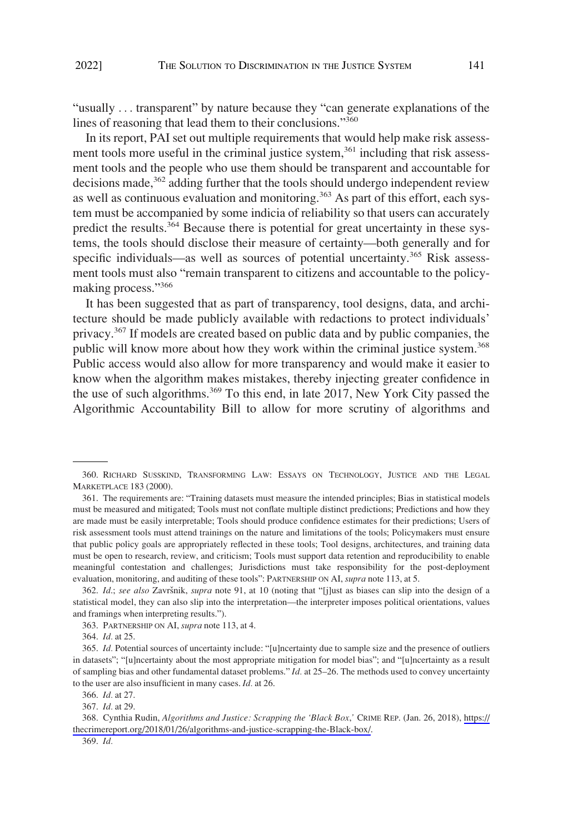"usually . . . transparent" by nature because they "can generate explanations of the lines of reasoning that lead them to their conclusions."<sup>360</sup>

In its report, PAI set out multiple requirements that would help make risk assessment tools more useful in the criminal justice system,<sup>361</sup> including that risk assessment tools and the people who use them should be transparent and accountable for decisions made, $362$  adding further that the tools should undergo independent review as well as continuous evaluation and monitoring.<sup>363</sup> As part of this effort, each system must be accompanied by some indicia of reliability so that users can accurately predict the results.<sup>364</sup> Because there is potential for great uncertainty in these systems, the tools should disclose their measure of certainty—both generally and for specific individuals—as well as sources of potential uncertainty.<sup>365</sup> Risk assessment tools must also "remain transparent to citizens and accountable to the policymaking process."<sup>366</sup>

It has been suggested that as part of transparency, tool designs, data, and architecture should be made publicly available with redactions to protect individuals' privacy.<sup>367</sup> If models are created based on public data and by public companies, the public will know more about how they work within the criminal justice system.<sup>368</sup> Public access would also allow for more transparency and would make it easier to know when the algorithm makes mistakes, thereby injecting greater confidence in the use of such algorithms.<sup>369</sup> To this end, in late 2017, New York City passed the Algorithmic Accountability Bill to allow for more scrutiny of algorithms and

<sup>360.</sup> RICHARD SUSSKIND, TRANSFORMING LAW: ESSAYS ON TECHNOLOGY, JUSTICE AND THE LEGAL MARKETPLACE 183 (2000).

<sup>361.</sup> The requirements are: "Training datasets must measure the intended principles; Bias in statistical models must be measured and mitigated; Tools must not conflate multiple distinct predictions; Predictions and how they are made must be easily interpretable; Tools should produce confidence estimates for their predictions; Users of risk assessment tools must attend trainings on the nature and limitations of the tools; Policymakers must ensure that public policy goals are appropriately reflected in these tools; Tool designs, architectures, and training data must be open to research, review, and criticism; Tools must support data retention and reproducibility to enable meaningful contestation and challenges; Jurisdictions must take responsibility for the post-deployment evaluation, monitoring, and auditing of these tools": PARTNERSHIP ON AI, *supra* note 113, at 5.

<sup>362.</sup> *Id.; see also Završnik, supra* note 91, at 10 (noting that "[j]ust as biases can slip into the design of a statistical model, they can also slip into the interpretation—the interpreter imposes political orientations, values and framings when interpreting results.").

<sup>363.</sup> PARTNERSHIP ON AI, *supra* note 113, at 4.

<sup>364.</sup> *Id.* at 25.

<sup>365.</sup> *Id.* Potential sources of uncertainty include: "[u]ncertainty due to sample size and the presence of outliers in datasets"; "[u]ncertainty about the most appropriate mitigation for model bias"; and "[u]ncertainty as a result of sampling bias and other fundamental dataset problems." *Id.* at 25–26. The methods used to convey uncertainty to the user are also insufficient in many cases. *Id.* at 26.

<sup>366.</sup> *Id.* at 27.

<sup>367.</sup> *Id.* at 29.

<sup>368.</sup> Cynthia Rudin, *Algorithms and Justice: Scrapping the 'Black Box*,' CRIME REP. (Jan. 26, 2018), [https://](https://thecrimereport.org/2018/01/26/algorithms-and-justice-scrapping-the-Black-box/) [thecrimereport.org/2018/01/26/algorithms-and-justice-scrapping-the-Black-box/](https://thecrimereport.org/2018/01/26/algorithms-and-justice-scrapping-the-Black-box/).

<sup>369.</sup> *Id.*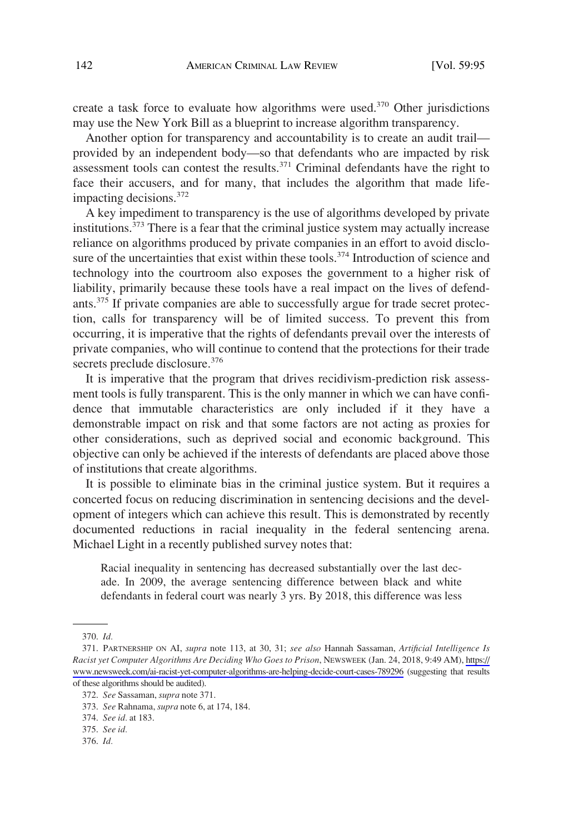create a task force to evaluate how algorithms were used.<sup>370</sup> Other jurisdictions may use the New York Bill as a blueprint to increase algorithm transparency.

Another option for transparency and accountability is to create an audit trail provided by an independent body—so that defendants who are impacted by risk assessment tools can contest the results. $371$  Criminal defendants have the right to face their accusers, and for many, that includes the algorithm that made lifeimpacting decisions.372

A key impediment to transparency is the use of algorithms developed by private institutions.<sup>373</sup> There is a fear that the criminal justice system may actually increase reliance on algorithms produced by private companies in an effort to avoid disclosure of the uncertainties that exist within these tools.<sup>374</sup> Introduction of science and technology into the courtroom also exposes the government to a higher risk of liability, primarily because these tools have a real impact on the lives of defendants.<sup>375</sup> If private companies are able to successfully argue for trade secret protection, calls for transparency will be of limited success. To prevent this from occurring, it is imperative that the rights of defendants prevail over the interests of private companies, who will continue to contend that the protections for their trade secrets preclude disclosure.<sup>376</sup>

It is imperative that the program that drives recidivism-prediction risk assessment tools is fully transparent. This is the only manner in which we can have confidence that immutable characteristics are only included if it they have a demonstrable impact on risk and that some factors are not acting as proxies for other considerations, such as deprived social and economic background. This objective can only be achieved if the interests of defendants are placed above those of institutions that create algorithms.

It is possible to eliminate bias in the criminal justice system. But it requires a concerted focus on reducing discrimination in sentencing decisions and the development of integers which can achieve this result. This is demonstrated by recently documented reductions in racial inequality in the federal sentencing arena. Michael Light in a recently published survey notes that:

Racial inequality in sentencing has decreased substantially over the last decade. In 2009, the average sentencing difference between black and white defendants in federal court was nearly 3 yrs. By 2018, this difference was less

<sup>370.</sup> *Id.* 

PARTNERSHIP ON AI, *supra* note 113, at 30, 31; *see also* Hannah Sassaman, *Artificial Intelligence Is*  371. *Racist yet Computer Algorithms Are Deciding Who Goes to Prison*, NEWSWEEK (Jan. 24, 2018, 9:49 AM), [https://](https://www.newsweek.com/ai-racist-yet-computer-algorithms-are-helping-decide-court-cases-789296)  [www.newsweek.com/ai-racist-yet-computer-algorithms-are-helping-decide-court-cases-789296](https://www.newsweek.com/ai-racist-yet-computer-algorithms-are-helping-decide-court-cases-789296) (suggesting that results of these algorithms should be audited).

<sup>372.</sup> *See* Sassaman, *supra* note 371.

<sup>373.</sup> *See* Rahnama, *supra* note 6, at 174, 184.

<sup>374.</sup> *See id.* at 183.

<sup>375.</sup> *See id.* 

<sup>376.</sup> *Id.*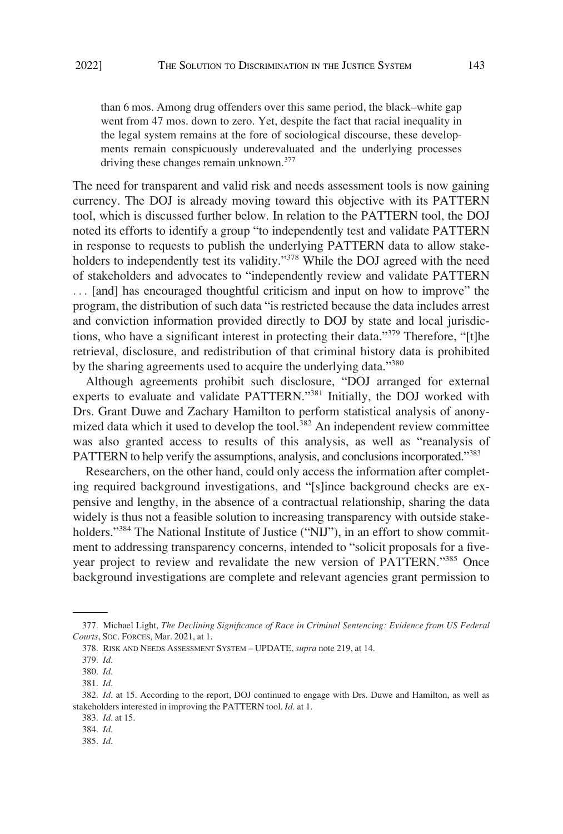than 6 mos. Among drug offenders over this same period, the black–white gap went from 47 mos. down to zero. Yet, despite the fact that racial inequality in the legal system remains at the fore of sociological discourse, these developments remain conspicuously underevaluated and the underlying processes driving these changes remain unknown.<sup>377</sup>

The need for transparent and valid risk and needs assessment tools is now gaining currency. The DOJ is already moving toward this objective with its PATTERN tool, which is discussed further below. In relation to the PATTERN tool, the DOJ noted its efforts to identify a group "to independently test and validate PATTERN in response to requests to publish the underlying PATTERN data to allow stakeholders to independently test its validity."<sup>378</sup> While the DOJ agreed with the need of stakeholders and advocates to "independently review and validate PATTERN ... [and] has encouraged thoughtful criticism and input on how to improve" the program, the distribution of such data "is restricted because the data includes arrest and conviction information provided directly to DOJ by state and local jurisdictions, who have a significant interest in protecting their data."379 Therefore, "[t]he retrieval, disclosure, and redistribution of that criminal history data is prohibited by the sharing agreements used to acquire the underlying data."<sup>380</sup>

Although agreements prohibit such disclosure, "DOJ arranged for external experts to evaluate and validate PATTERN."381 Initially, the DOJ worked with Drs. Grant Duwe and Zachary Hamilton to perform statistical analysis of anonymized data which it used to develop the tool.<sup>382</sup> An independent review committee was also granted access to results of this analysis, as well as "reanalysis of PATTERN to help verify the assumptions, analysis, and conclusions incorporated.<sup>"383</sup>

Researchers, on the other hand, could only access the information after completing required background investigations, and "[s]ince background checks are expensive and lengthy, in the absence of a contractual relationship, sharing the data widely is thus not a feasible solution to increasing transparency with outside stakeholders."<sup>384</sup> The National Institute of Justice ("NIJ"), in an effort to show commitment to addressing transparency concerns, intended to "solicit proposals for a fiveyear project to review and revalidate the new version of PATTERN."385 Once background investigations are complete and relevant agencies grant permission to

<sup>377.</sup> Michael Light, *The Declining Significance of Race in Criminal Sentencing: Evidence from US Federal Courts*, SOC. FORCES, Mar. 2021, at 1.

<sup>378.</sup> RISK AND NEEDS ASSESSMENT SYSTEM – UPDATE, *supra* note 219, at 14.

<sup>379.</sup> *Id.* 

<sup>380.</sup> *Id.* 

<sup>381.</sup> *Id.* 

<sup>382.</sup> *Id.* at 15. According to the report, DOJ continued to engage with Drs. Duwe and Hamilton, as well as stakeholders interested in improving the PATTERN tool. *Id.* at 1.

<sup>383.</sup> *Id.* at 15.

<sup>384.</sup> *Id.* 

<sup>385.</sup> *Id.*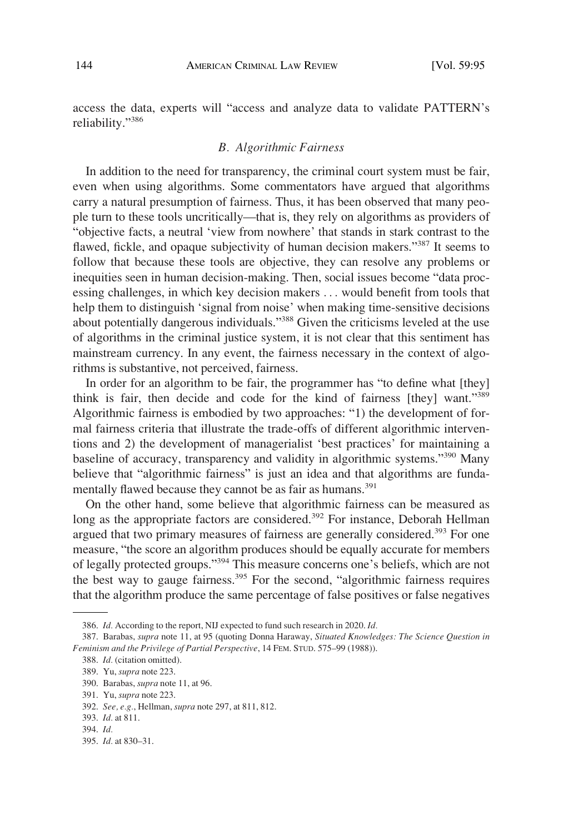<span id="page-49-0"></span>access the data, experts will "access and analyze data to validate PATTERN's reliability."<sup>386</sup>

#### *B. Algorithmic Fairness*

In addition to the need for transparency, the criminal court system must be fair, even when using algorithms. Some commentators have argued that algorithms carry a natural presumption of fairness. Thus, it has been observed that many people turn to these tools uncritically—that is, they rely on algorithms as providers of "objective facts, a neutral 'view from nowhere' that stands in stark contrast to the flawed, fickle, and opaque subjectivity of human decision makers."387 It seems to follow that because these tools are objective, they can resolve any problems or inequities seen in human decision-making. Then, social issues become "data processing challenges, in which key decision makers . . . would benefit from tools that help them to distinguish 'signal from noise' when making time-sensitive decisions about potentially dangerous individuals."<sup>388</sup> Given the criticisms leveled at the use of algorithms in the criminal justice system, it is not clear that this sentiment has mainstream currency. In any event, the fairness necessary in the context of algorithms is substantive, not perceived, fairness.

In order for an algorithm to be fair, the programmer has "to define what [they] think is fair, then decide and code for the kind of fairness [they] want."<sup>389</sup> Algorithmic fairness is embodied by two approaches: "1) the development of formal fairness criteria that illustrate the trade-offs of different algorithmic interventions and 2) the development of managerialist 'best practices' for maintaining a baseline of accuracy, transparency and validity in algorithmic systems."<sup>390</sup> Many believe that "algorithmic fairness" is just an idea and that algorithms are fundamentally flawed because they cannot be as fair as humans.<sup>391</sup>

On the other hand, some believe that algorithmic fairness can be measured as long as the appropriate factors are considered.<sup>392</sup> For instance, Deborah Hellman argued that two primary measures of fairness are generally considered.<sup>393</sup> For one measure, "the score an algorithm produces should be equally accurate for members of legally protected groups."394 This measure concerns one's beliefs, which are not the best way to gauge fairness.<sup>395</sup> For the second, "algorithmic fairness requires that the algorithm produce the same percentage of false positives or false negatives

<sup>386.</sup> *Id.* According to the report, NIJ expected to fund such research in 2020. *Id.* 

<sup>387.</sup> Barabas, *supra* note 11, at 95 (quoting Donna Haraway, *Situated Knowledges: The Science Question in Feminism and the Privilege of Partial Perspective*, 14 FEM. STUD. 575–99 (1988)).

<sup>388.</sup> *Id.* (citation omitted).

<sup>389.</sup> Yu, *supra* note 223.

<sup>390.</sup> Barabas, *supra* note 11, at 96.

<sup>391.</sup> Yu, *supra* note 223.

<sup>392.</sup> *See, e.g.*, Hellman, *supra* note 297, at 811, 812.

<sup>393.</sup> *Id.* at 811.

<sup>394.</sup> *Id.* 

<sup>395.</sup> *Id.* at 830–31.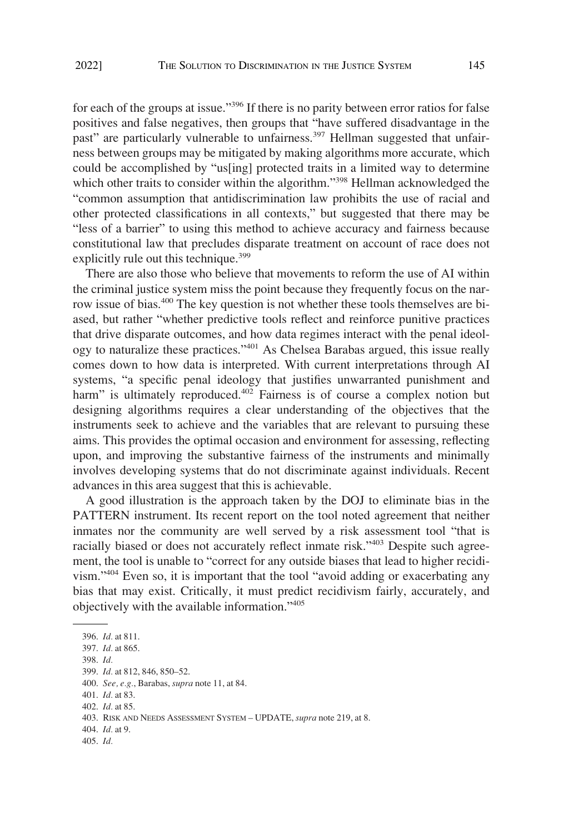for each of the groups at issue."<sup>396</sup> If there is no parity between error ratios for false positives and false negatives, then groups that "have suffered disadvantage in the past" are particularly vulnerable to unfairness.<sup>397</sup> Hellman suggested that unfairness between groups may be mitigated by making algorithms more accurate, which could be accomplished by "us[ing] protected traits in a limited way to determine which other traits to consider within the algorithm."<sup>398</sup> Hellman acknowledged the "common assumption that antidiscrimination law prohibits the use of racial and other protected classifications in all contexts," but suggested that there may be "less of a barrier" to using this method to achieve accuracy and fairness because constitutional law that precludes disparate treatment on account of race does not explicitly rule out this technique.<sup>399</sup>

There are also those who believe that movements to reform the use of AI within the criminal justice system miss the point because they frequently focus on the narrow issue of bias.<sup>400</sup> The key question is not whether these tools themselves are biased, but rather "whether predictive tools reflect and reinforce punitive practices that drive disparate outcomes, and how data regimes interact with the penal ideology to naturalize these practices."401 As Chelsea Barabas argued, this issue really comes down to how data is interpreted. With current interpretations through AI systems, "a specific penal ideology that justifies unwarranted punishment and harm" is ultimately reproduced.<sup>402</sup> Fairness is of course a complex notion but designing algorithms requires a clear understanding of the objectives that the instruments seek to achieve and the variables that are relevant to pursuing these aims. This provides the optimal occasion and environment for assessing, reflecting upon, and improving the substantive fairness of the instruments and minimally involves developing systems that do not discriminate against individuals. Recent advances in this area suggest that this is achievable.

A good illustration is the approach taken by the DOJ to eliminate bias in the PATTERN instrument. Its recent report on the tool noted agreement that neither inmates nor the community are well served by a risk assessment tool "that is racially biased or does not accurately reflect inmate risk."403 Despite such agreement, the tool is unable to "correct for any outside biases that lead to higher recidivism."404 Even so, it is important that the tool "avoid adding or exacerbating any bias that may exist. Critically, it must predict recidivism fairly, accurately, and objectively with the available information."<sup>405</sup>

398. *Id.* 

- 400. *See, e.g.*, Barabas, *supra* note 11, at 84.
- 401. *Id.* at 83.
- 402. *Id.* at 85.
- 403. RISK AND NEEDS ASSESSMENT SYSTEM UPDATE, *supra* note 219, at 8.
- 404. *Id.* at 9.
- 405. *Id.*

<sup>396.</sup> *Id.* at 811.

<sup>397.</sup> *Id.* at 865.

<sup>399.</sup> *Id.* at 812, 846, 850–52.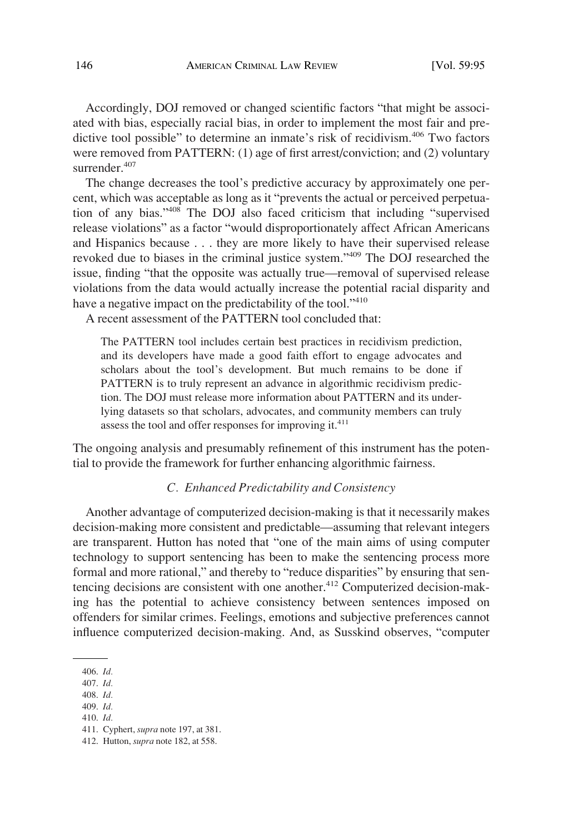<span id="page-51-0"></span>Accordingly, DOJ removed or changed scientific factors "that might be associated with bias, especially racial bias, in order to implement the most fair and predictive tool possible" to determine an inmate's risk of recidivism.406 Two factors were removed from PATTERN: (1) age of first arrest/conviction; and (2) voluntary surrender.<sup>407</sup>

The change decreases the tool's predictive accuracy by approximately one percent, which was acceptable as long as it "prevents the actual or perceived perpetuation of any bias."408 The DOJ also faced criticism that including "supervised release violations" as a factor "would disproportionately affect African Americans and Hispanics because . . . they are more likely to have their supervised release revoked due to biases in the criminal justice system."409 The DOJ researched the issue, finding "that the opposite was actually true—removal of supervised release violations from the data would actually increase the potential racial disparity and have a negative impact on the predictability of the tool."<sup>410</sup>

A recent assessment of the PATTERN tool concluded that:

The PATTERN tool includes certain best practices in recidivism prediction, and its developers have made a good faith effort to engage advocates and scholars about the tool's development. But much remains to be done if PATTERN is to truly represent an advance in algorithmic recidivism prediction. The DOJ must release more information about PATTERN and its underlying datasets so that scholars, advocates, and community members can truly assess the tool and offer responses for improving it.<sup>411</sup>

The ongoing analysis and presumably refinement of this instrument has the potential to provide the framework for further enhancing algorithmic fairness.

# *C. Enhanced Predictability and Consistency*

Another advantage of computerized decision-making is that it necessarily makes decision-making more consistent and predictable—assuming that relevant integers are transparent. Hutton has noted that "one of the main aims of using computer technology to support sentencing has been to make the sentencing process more formal and more rational," and thereby to "reduce disparities" by ensuring that sentencing decisions are consistent with one another.<sup>412</sup> Computerized decision-making has the potential to achieve consistency between sentences imposed on offenders for similar crimes. Feelings, emotions and subjective preferences cannot influence computerized decision-making. And, as Susskind observes, "computer

408. *Id.* 

<sup>406.</sup> *Id.* 

<sup>407.</sup> *Id.* 

<sup>409.</sup> *Id.*  410. *Id.* 

<sup>411.</sup> Cyphert, *supra* note 197, at 381. 412. Hutton, *supra* note 182, at 558.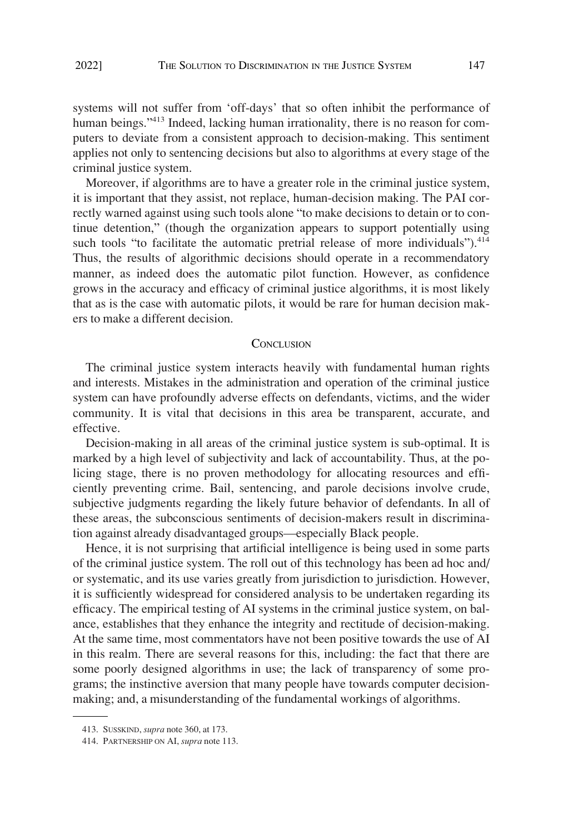<span id="page-52-0"></span>systems will not suffer from 'off-days' that so often inhibit the performance of human beings."<sup>413</sup> Indeed, lacking human irrationality, there is no reason for computers to deviate from a consistent approach to decision-making. This sentiment applies not only to sentencing decisions but also to algorithms at every stage of the criminal justice system.

Moreover, if algorithms are to have a greater role in the criminal justice system, it is important that they assist, not replace, human-decision making. The PAI correctly warned against using such tools alone "to make decisions to detain or to continue detention," (though the organization appears to support potentially using such tools "to facilitate the automatic pretrial release of more individuals").<sup>414</sup> Thus, the results of algorithmic decisions should operate in a recommendatory manner, as indeed does the automatic pilot function. However, as confidence grows in the accuracy and efficacy of criminal justice algorithms, it is most likely that as is the case with automatic pilots, it would be rare for human decision makers to make a different decision.

#### **CONCLUSION**

The criminal justice system interacts heavily with fundamental human rights and interests. Mistakes in the administration and operation of the criminal justice system can have profoundly adverse effects on defendants, victims, and the wider community. It is vital that decisions in this area be transparent, accurate, and effective.

Decision-making in all areas of the criminal justice system is sub-optimal. It is marked by a high level of subjectivity and lack of accountability. Thus, at the policing stage, there is no proven methodology for allocating resources and efficiently preventing crime. Bail, sentencing, and parole decisions involve crude, subjective judgments regarding the likely future behavior of defendants. In all of these areas, the subconscious sentiments of decision-makers result in discrimination against already disadvantaged groups—especially Black people.

Hence, it is not surprising that artificial intelligence is being used in some parts of the criminal justice system. The roll out of this technology has been ad hoc and/ or systematic, and its use varies greatly from jurisdiction to jurisdiction. However, it is sufficiently widespread for considered analysis to be undertaken regarding its efficacy. The empirical testing of AI systems in the criminal justice system, on balance, establishes that they enhance the integrity and rectitude of decision-making. At the same time, most commentators have not been positive towards the use of AI in this realm. There are several reasons for this, including: the fact that there are some poorly designed algorithms in use; the lack of transparency of some programs; the instinctive aversion that many people have towards computer decisionmaking; and, a misunderstanding of the fundamental workings of algorithms.

<sup>413.</sup> SUSSKIND, *supra* note 360, at 173.

<sup>414.</sup> PARTNERSHIP ON AI, *supra* note 113.